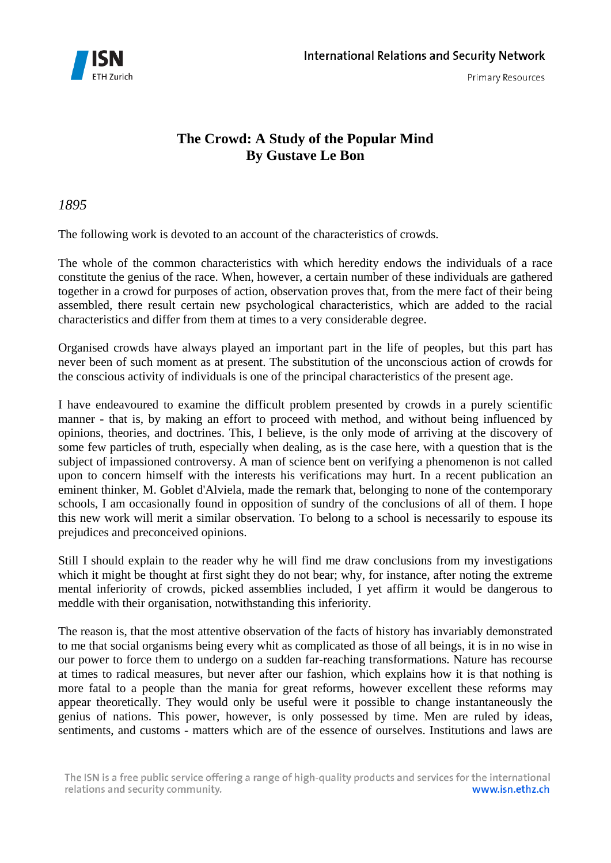

# **The Crowd: A Study of the Popular Mind By Gustave Le Bon**

*1895* 

The following work is devoted to an account of the characteristics of crowds.

The whole of the common characteristics with which heredity endows the individuals of a race constitute the genius of the race. When, however, a certain number of these individuals are gathered together in a crowd for purposes of action, observation proves that, from the mere fact of their being assembled, there result certain new psychological characteristics, which are added to the racial characteristics and differ from them at times to a very considerable degree.

Organised crowds have always played an important part in the life of peoples, but this part has never been of such moment as at present. The substitution of the unconscious action of crowds for the conscious activity of individuals is one of the principal characteristics of the present age.

I have endeavoured to examine the difficult problem presented by crowds in a purely scientific manner - that is, by making an effort to proceed with method, and without being influenced by opinions, theories, and doctrines. This, I believe, is the only mode of arriving at the discovery of some few particles of truth, especially when dealing, as is the case here, with a question that is the subject of impassioned controversy. A man of science bent on verifying a phenomenon is not called upon to concern himself with the interests his verifications may hurt. In a recent publication an eminent thinker, M. Goblet d'Alviela, made the remark that, belonging to none of the contemporary schools, I am occasionally found in opposition of sundry of the conclusions of all of them. I hope this new work will merit a similar observation. To belong to a school is necessarily to espouse its prejudices and preconceived opinions.

Still I should explain to the reader why he will find me draw conclusions from my investigations which it might be thought at first sight they do not bear; why, for instance, after noting the extreme mental inferiority of crowds, picked assemblies included, I yet affirm it would be dangerous to meddle with their organisation, notwithstanding this inferiority.

The reason is, that the most attentive observation of the facts of history has invariably demonstrated to me that social organisms being every whit as complicated as those of all beings, it is in no wise in our power to force them to undergo on a sudden far-reaching transformations. Nature has recourse at times to radical measures, but never after our fashion, which explains how it is that nothing is more fatal to a people than the mania for great reforms, however excellent these reforms may appear theoretically. They would only be useful were it possible to change instantaneously the genius of nations. This power, however, is only possessed by time. Men are ruled by ideas, sentiments, and customs - matters which are of the essence of ourselves. Institutions and laws are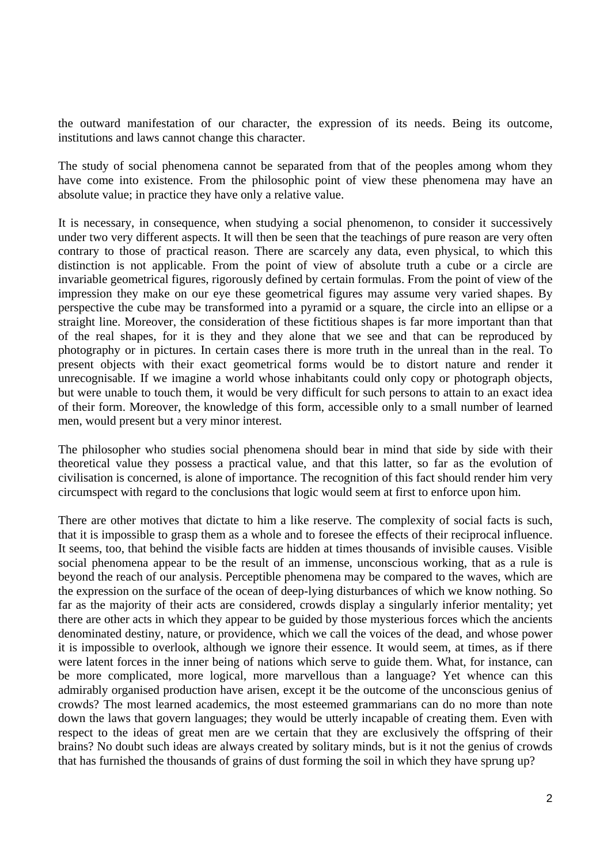the outward manifestation of our character, the expression of its needs. Being its outcome, institutions and laws cannot change this character.

The study of social phenomena cannot be separated from that of the peoples among whom they have come into existence. From the philosophic point of view these phenomena may have an absolute value; in practice they have only a relative value.

It is necessary, in consequence, when studying a social phenomenon, to consider it successively under two very different aspects. It will then be seen that the teachings of pure reason are very often contrary to those of practical reason. There are scarcely any data, even physical, to which this distinction is not applicable. From the point of view of absolute truth a cube or a circle are invariable geometrical figures, rigorously defined by certain formulas. From the point of view of the impression they make on our eye these geometrical figures may assume very varied shapes. By perspective the cube may be transformed into a pyramid or a square, the circle into an ellipse or a straight line. Moreover, the consideration of these fictitious shapes is far more important than that of the real shapes, for it is they and they alone that we see and that can be reproduced by photography or in pictures. In certain cases there is more truth in the unreal than in the real. To present objects with their exact geometrical forms would be to distort nature and render it unrecognisable. If we imagine a world whose inhabitants could only copy or photograph objects, but were unable to touch them, it would be very difficult for such persons to attain to an exact idea of their form. Moreover, the knowledge of this form, accessible only to a small number of learned men, would present but a very minor interest.

The philosopher who studies social phenomena should bear in mind that side by side with their theoretical value they possess a practical value, and that this latter, so far as the evolution of civilisation is concerned, is alone of importance. The recognition of this fact should render him very circumspect with regard to the conclusions that logic would seem at first to enforce upon him.

There are other motives that dictate to him a like reserve. The complexity of social facts is such, that it is impossible to grasp them as a whole and to foresee the effects of their reciprocal influence. It seems, too, that behind the visible facts are hidden at times thousands of invisible causes. Visible social phenomena appear to be the result of an immense, unconscious working, that as a rule is beyond the reach of our analysis. Perceptible phenomena may be compared to the waves, which are the expression on the surface of the ocean of deep-lying disturbances of which we know nothing. So far as the majority of their acts are considered, crowds display a singularly inferior mentality; yet there are other acts in which they appear to be guided by those mysterious forces which the ancients denominated destiny, nature, or providence, which we call the voices of the dead, and whose power it is impossible to overlook, although we ignore their essence. It would seem, at times, as if there were latent forces in the inner being of nations which serve to guide them. What, for instance, can be more complicated, more logical, more marvellous than a language? Yet whence can this admirably organised production have arisen, except it be the outcome of the unconscious genius of crowds? The most learned academics, the most esteemed grammarians can do no more than note down the laws that govern languages; they would be utterly incapable of creating them. Even with respect to the ideas of great men are we certain that they are exclusively the offspring of their brains? No doubt such ideas are always created by solitary minds, but is it not the genius of crowds that has furnished the thousands of grains of dust forming the soil in which they have sprung up?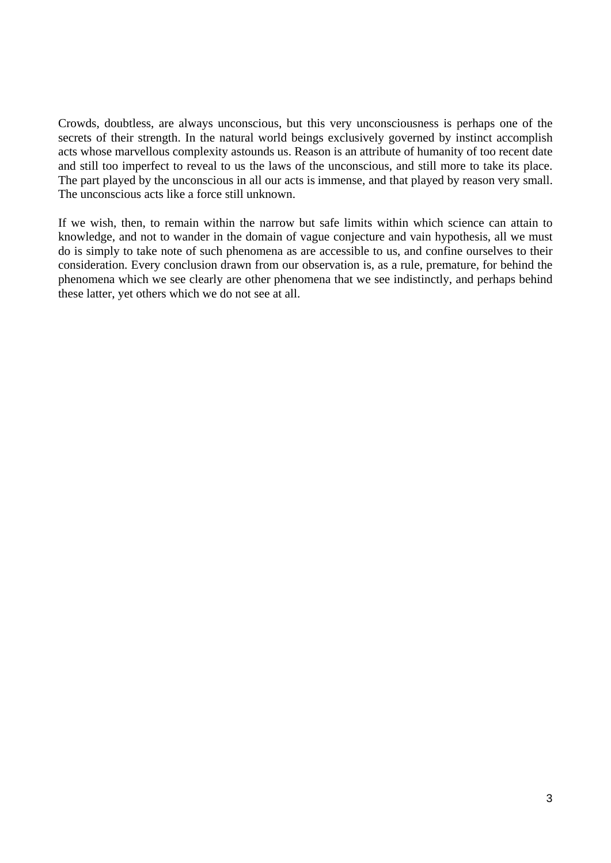Crowds, doubtless, are always unconscious, but this very unconsciousness is perhaps one of the secrets of their strength. In the natural world beings exclusively governed by instinct accomplish acts whose marvellous complexity astounds us. Reason is an attribute of humanity of too recent date and still too imperfect to reveal to us the laws of the unconscious, and still more to take its place. The part played by the unconscious in all our acts is immense, and that played by reason very small. The unconscious acts like a force still unknown.

If we wish, then, to remain within the narrow but safe limits within which science can attain to knowledge, and not to wander in the domain of vague conjecture and vain hypothesis, all we must do is simply to take note of such phenomena as are accessible to us, and confine ourselves to their consideration. Every conclusion drawn from our observation is, as a rule, premature, for behind the phenomena which we see clearly are other phenomena that we see indistinctly, and perhaps behind these latter, yet others which we do not see at all.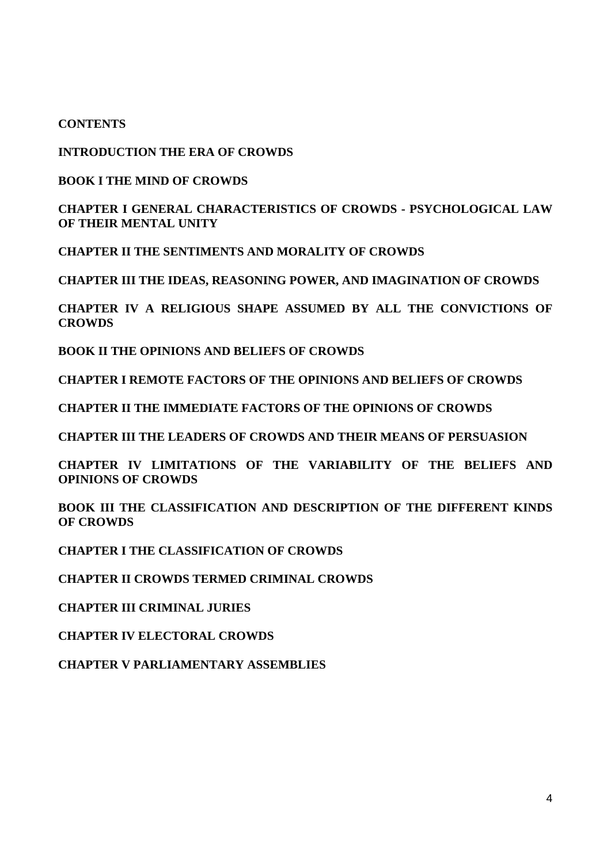#### **CONTENTS**

#### **INTRODUCTION THE ERA OF CROWDS**

#### **BOOK I THE MIND OF CROWDS**

# **CHAPTER I GENERAL CHARACTERISTICS OF CROWDS - PSYCHOLOGICAL LAW OF THEIR MENTAL UNITY**

**CHAPTER II THE SENTIMENTS AND MORALITY OF CROWDS** 

**CHAPTER III THE IDEAS, REASONING POWER, AND IMAGINATION OF CROWDS** 

**CHAPTER IV A RELIGIOUS SHAPE ASSUMED BY ALL THE CONVICTIONS OF CROWDS** 

**BOOK II THE OPINIONS AND BELIEFS OF CROWDS** 

**CHAPTER I REMOTE FACTORS OF THE OPINIONS AND BELIEFS OF CROWDS** 

**CHAPTER II THE IMMEDIATE FACTORS OF THE OPINIONS OF CROWDS** 

**CHAPTER III THE LEADERS OF CROWDS AND THEIR MEANS OF PERSUASION** 

**CHAPTER IV LIMITATIONS OF THE VARIABILITY OF THE BELIEFS AND OPINIONS OF CROWDS** 

**BOOK III THE CLASSIFICATION AND DESCRIPTION OF THE DIFFERENT KINDS OF CROWDS** 

**CHAPTER I THE CLASSIFICATION OF CROWDS** 

**CHAPTER II CROWDS TERMED CRIMINAL CROWDS** 

**CHAPTER III CRIMINAL JURIES** 

**CHAPTER IV ELECTORAL CROWDS** 

**CHAPTER V PARLIAMENTARY ASSEMBLIES**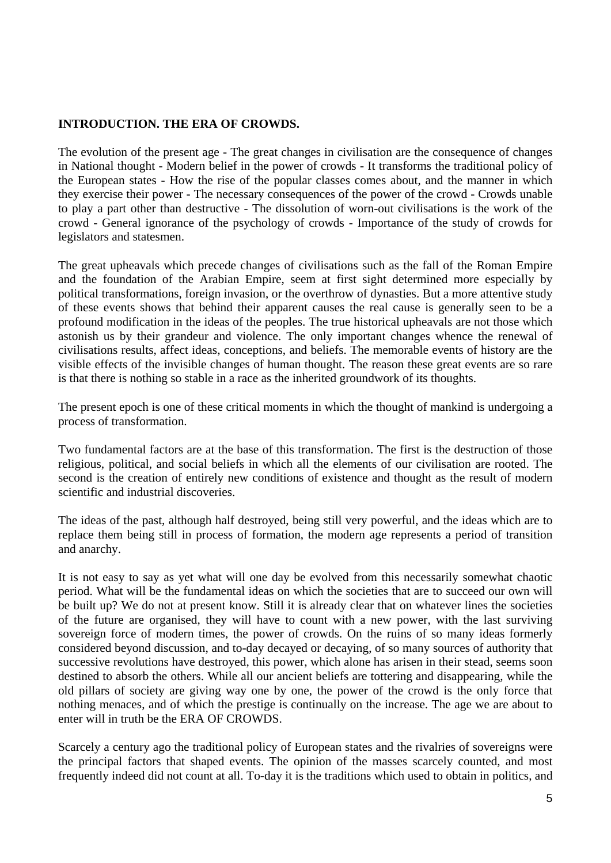### **INTRODUCTION. THE ERA OF CROWDS.**

The evolution of the present age - The great changes in civilisation are the consequence of changes in National thought - Modern belief in the power of crowds - It transforms the traditional policy of the European states - How the rise of the popular classes comes about, and the manner in which they exercise their power - The necessary consequences of the power of the crowd - Crowds unable to play a part other than destructive - The dissolution of worn-out civilisations is the work of the crowd - General ignorance of the psychology of crowds - Importance of the study of crowds for legislators and statesmen.

The great upheavals which precede changes of civilisations such as the fall of the Roman Empire and the foundation of the Arabian Empire, seem at first sight determined more especially by political transformations, foreign invasion, or the overthrow of dynasties. But a more attentive study of these events shows that behind their apparent causes the real cause is generally seen to be a profound modification in the ideas of the peoples. The true historical upheavals are not those which astonish us by their grandeur and violence. The only important changes whence the renewal of civilisations results, affect ideas, conceptions, and beliefs. The memorable events of history are the visible effects of the invisible changes of human thought. The reason these great events are so rare is that there is nothing so stable in a race as the inherited groundwork of its thoughts.

The present epoch is one of these critical moments in which the thought of mankind is undergoing a process of transformation.

Two fundamental factors are at the base of this transformation. The first is the destruction of those religious, political, and social beliefs in which all the elements of our civilisation are rooted. The second is the creation of entirely new conditions of existence and thought as the result of modern scientific and industrial discoveries.

The ideas of the past, although half destroyed, being still very powerful, and the ideas which are to replace them being still in process of formation, the modern age represents a period of transition and anarchy.

It is not easy to say as yet what will one day be evolved from this necessarily somewhat chaotic period. What will be the fundamental ideas on which the societies that are to succeed our own will be built up? We do not at present know. Still it is already clear that on whatever lines the societies of the future are organised, they will have to count with a new power, with the last surviving sovereign force of modern times, the power of crowds. On the ruins of so many ideas formerly considered beyond discussion, and to-day decayed or decaying, of so many sources of authority that successive revolutions have destroyed, this power, which alone has arisen in their stead, seems soon destined to absorb the others. While all our ancient beliefs are tottering and disappearing, while the old pillars of society are giving way one by one, the power of the crowd is the only force that nothing menaces, and of which the prestige is continually on the increase. The age we are about to enter will in truth be the ERA OF CROWDS.

Scarcely a century ago the traditional policy of European states and the rivalries of sovereigns were the principal factors that shaped events. The opinion of the masses scarcely counted, and most frequently indeed did not count at all. To-day it is the traditions which used to obtain in politics, and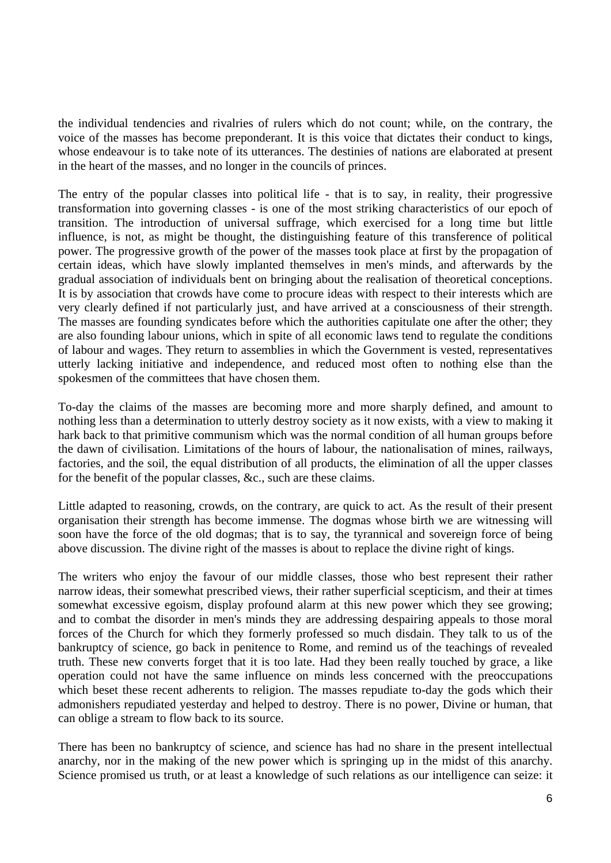the individual tendencies and rivalries of rulers which do not count; while, on the contrary, the voice of the masses has become preponderant. It is this voice that dictates their conduct to kings, whose endeavour is to take note of its utterances. The destinies of nations are elaborated at present in the heart of the masses, and no longer in the councils of princes.

The entry of the popular classes into political life - that is to say, in reality, their progressive transformation into governing classes - is one of the most striking characteristics of our epoch of transition. The introduction of universal suffrage, which exercised for a long time but little influence, is not, as might be thought, the distinguishing feature of this transference of political power. The progressive growth of the power of the masses took place at first by the propagation of certain ideas, which have slowly implanted themselves in men's minds, and afterwards by the gradual association of individuals bent on bringing about the realisation of theoretical conceptions. It is by association that crowds have come to procure ideas with respect to their interests which are very clearly defined if not particularly just, and have arrived at a consciousness of their strength. The masses are founding syndicates before which the authorities capitulate one after the other; they are also founding labour unions, which in spite of all economic laws tend to regulate the conditions of labour and wages. They return to assemblies in which the Government is vested, representatives utterly lacking initiative and independence, and reduced most often to nothing else than the spokesmen of the committees that have chosen them.

To-day the claims of the masses are becoming more and more sharply defined, and amount to nothing less than a determination to utterly destroy society as it now exists, with a view to making it hark back to that primitive communism which was the normal condition of all human groups before the dawn of civilisation. Limitations of the hours of labour, the nationalisation of mines, railways, factories, and the soil, the equal distribution of all products, the elimination of all the upper classes for the benefit of the popular classes, &c., such are these claims.

Little adapted to reasoning, crowds, on the contrary, are quick to act. As the result of their present organisation their strength has become immense. The dogmas whose birth we are witnessing will soon have the force of the old dogmas; that is to say, the tyrannical and sovereign force of being above discussion. The divine right of the masses is about to replace the divine right of kings.

The writers who enjoy the favour of our middle classes, those who best represent their rather narrow ideas, their somewhat prescribed views, their rather superficial scepticism, and their at times somewhat excessive egoism, display profound alarm at this new power which they see growing; and to combat the disorder in men's minds they are addressing despairing appeals to those moral forces of the Church for which they formerly professed so much disdain. They talk to us of the bankruptcy of science, go back in penitence to Rome, and remind us of the teachings of revealed truth. These new converts forget that it is too late. Had they been really touched by grace, a like operation could not have the same influence on minds less concerned with the preoccupations which beset these recent adherents to religion. The masses repudiate to-day the gods which their admonishers repudiated yesterday and helped to destroy. There is no power, Divine or human, that can oblige a stream to flow back to its source.

There has been no bankruptcy of science, and science has had no share in the present intellectual anarchy, nor in the making of the new power which is springing up in the midst of this anarchy. Science promised us truth, or at least a knowledge of such relations as our intelligence can seize: it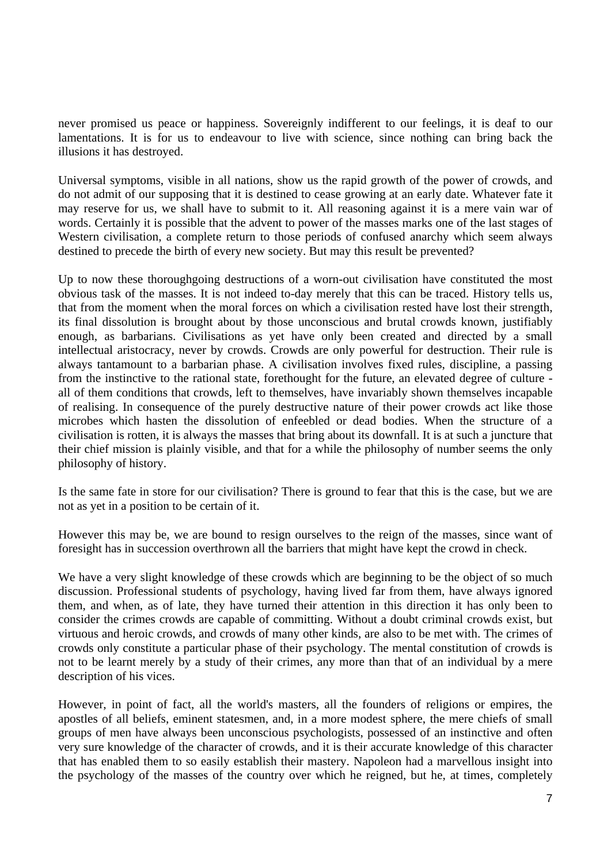never promised us peace or happiness. Sovereignly indifferent to our feelings, it is deaf to our lamentations. It is for us to endeavour to live with science, since nothing can bring back the illusions it has destroyed.

Universal symptoms, visible in all nations, show us the rapid growth of the power of crowds, and do not admit of our supposing that it is destined to cease growing at an early date. Whatever fate it may reserve for us, we shall have to submit to it. All reasoning against it is a mere vain war of words. Certainly it is possible that the advent to power of the masses marks one of the last stages of Western civilisation, a complete return to those periods of confused anarchy which seem always destined to precede the birth of every new society. But may this result be prevented?

Up to now these thoroughgoing destructions of a worn-out civilisation have constituted the most obvious task of the masses. It is not indeed to-day merely that this can be traced. History tells us, that from the moment when the moral forces on which a civilisation rested have lost their strength, its final dissolution is brought about by those unconscious and brutal crowds known, justifiably enough, as barbarians. Civilisations as yet have only been created and directed by a small intellectual aristocracy, never by crowds. Crowds are only powerful for destruction. Their rule is always tantamount to a barbarian phase. A civilisation involves fixed rules, discipline, a passing from the instinctive to the rational state, forethought for the future, an elevated degree of culture all of them conditions that crowds, left to themselves, have invariably shown themselves incapable of realising. In consequence of the purely destructive nature of their power crowds act like those microbes which hasten the dissolution of enfeebled or dead bodies. When the structure of a civilisation is rotten, it is always the masses that bring about its downfall. It is at such a juncture that their chief mission is plainly visible, and that for a while the philosophy of number seems the only philosophy of history.

Is the same fate in store for our civilisation? There is ground to fear that this is the case, but we are not as yet in a position to be certain of it.

However this may be, we are bound to resign ourselves to the reign of the masses, since want of foresight has in succession overthrown all the barriers that might have kept the crowd in check.

We have a very slight knowledge of these crowds which are beginning to be the object of so much discussion. Professional students of psychology, having lived far from them, have always ignored them, and when, as of late, they have turned their attention in this direction it has only been to consider the crimes crowds are capable of committing. Without a doubt criminal crowds exist, but virtuous and heroic crowds, and crowds of many other kinds, are also to be met with. The crimes of crowds only constitute a particular phase of their psychology. The mental constitution of crowds is not to be learnt merely by a study of their crimes, any more than that of an individual by a mere description of his vices.

However, in point of fact, all the world's masters, all the founders of religions or empires, the apostles of all beliefs, eminent statesmen, and, in a more modest sphere, the mere chiefs of small groups of men have always been unconscious psychologists, possessed of an instinctive and often very sure knowledge of the character of crowds, and it is their accurate knowledge of this character that has enabled them to so easily establish their mastery. Napoleon had a marvellous insight into the psychology of the masses of the country over which he reigned, but he, at times, completely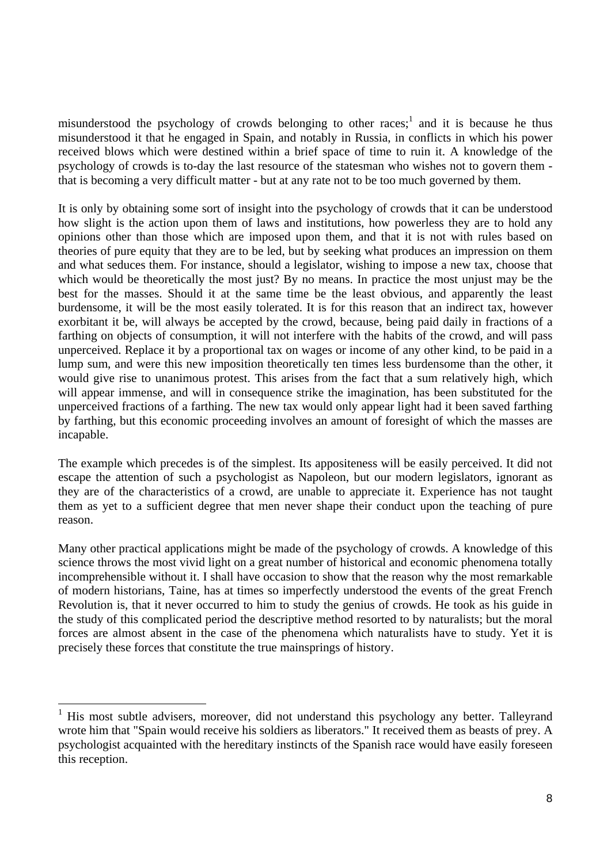misunderstood the psychology of crowds belonging to other races;<sup>1</sup> and it is because he thus misunderstood it that he engaged in Spain, and notably in Russia, in conflicts in which his power received blows which were destined within a brief space of time to ruin it. A knowledge of the psychology of crowds is to-day the last resource of the statesman who wishes not to govern them that is becoming a very difficult matter - but at any rate not to be too much governed by them.

It is only by obtaining some sort of insight into the psychology of crowds that it can be understood how slight is the action upon them of laws and institutions, how powerless they are to hold any opinions other than those which are imposed upon them, and that it is not with rules based on theories of pure equity that they are to be led, but by seeking what produces an impression on them and what seduces them. For instance, should a legislator, wishing to impose a new tax, choose that which would be theoretically the most just? By no means. In practice the most unjust may be the best for the masses. Should it at the same time be the least obvious, and apparently the least burdensome, it will be the most easily tolerated. It is for this reason that an indirect tax, however exorbitant it be, will always be accepted by the crowd, because, being paid daily in fractions of a farthing on objects of consumption, it will not interfere with the habits of the crowd, and will pass unperceived. Replace it by a proportional tax on wages or income of any other kind, to be paid in a lump sum, and were this new imposition theoretically ten times less burdensome than the other, it would give rise to unanimous protest. This arises from the fact that a sum relatively high, which will appear immense, and will in consequence strike the imagination, has been substituted for the unperceived fractions of a farthing. The new tax would only appear light had it been saved farthing by farthing, but this economic proceeding involves an amount of foresight of which the masses are incapable.

The example which precedes is of the simplest. Its appositeness will be easily perceived. It did not escape the attention of such a psychologist as Napoleon, but our modern legislators, ignorant as they are of the characteristics of a crowd, are unable to appreciate it. Experience has not taught them as yet to a sufficient degree that men never shape their conduct upon the teaching of pure reason.

Many other practical applications might be made of the psychology of crowds. A knowledge of this science throws the most vivid light on a great number of historical and economic phenomena totally incomprehensible without it. I shall have occasion to show that the reason why the most remarkable of modern historians, Taine, has at times so imperfectly understood the events of the great French Revolution is, that it never occurred to him to study the genius of crowds. He took as his guide in the study of this complicated period the descriptive method resorted to by naturalists; but the moral forces are almost absent in the case of the phenomena which naturalists have to study. Yet it is precisely these forces that constitute the true mainsprings of history.

<sup>&</sup>lt;sup>1</sup> His most subtle advisers, moreover, did not understand this psychology any better. Talleyrand wrote him that "Spain would receive his soldiers as liberators." It received them as beasts of prey. A psychologist acquainted with the hereditary instincts of the Spanish race would have easily foreseen this reception.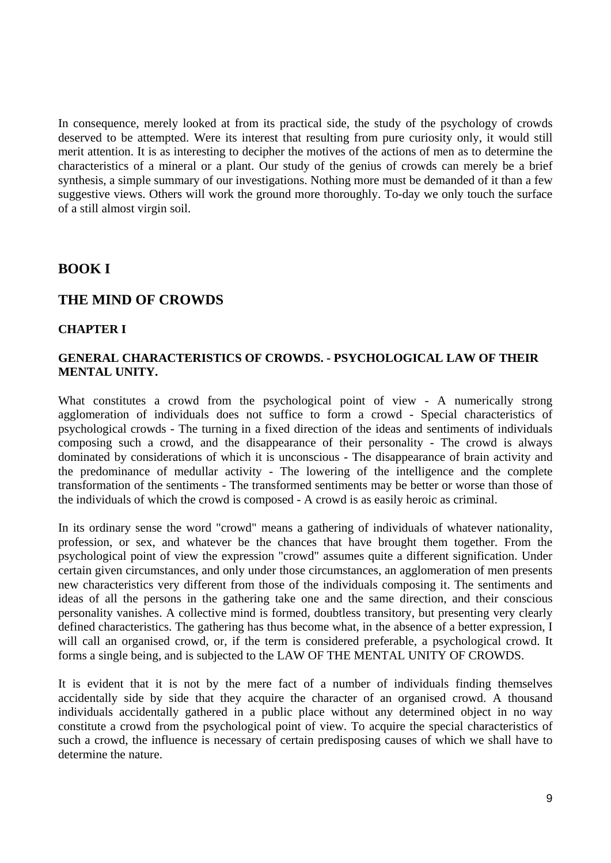In consequence, merely looked at from its practical side, the study of the psychology of crowds deserved to be attempted. Were its interest that resulting from pure curiosity only, it would still merit attention. It is as interesting to decipher the motives of the actions of men as to determine the characteristics of a mineral or a plant. Our study of the genius of crowds can merely be a brief synthesis, a simple summary of our investigations. Nothing more must be demanded of it than a few suggestive views. Others will work the ground more thoroughly. To-day we only touch the surface of a still almost virgin soil.

# **BOOK I**

# **THE MIND OF CROWDS**

#### **CHAPTER I**

#### **GENERAL CHARACTERISTICS OF CROWDS. - PSYCHOLOGICAL LAW OF THEIR MENTAL UNITY.**

What constitutes a crowd from the psychological point of view - A numerically strong agglomeration of individuals does not suffice to form a crowd - Special characteristics of psychological crowds - The turning in a fixed direction of the ideas and sentiments of individuals composing such a crowd, and the disappearance of their personality - The crowd is always dominated by considerations of which it is unconscious - The disappearance of brain activity and the predominance of medullar activity - The lowering of the intelligence and the complete transformation of the sentiments - The transformed sentiments may be better or worse than those of the individuals of which the crowd is composed - A crowd is as easily heroic as criminal.

In its ordinary sense the word "crowd" means a gathering of individuals of whatever nationality, profession, or sex, and whatever be the chances that have brought them together. From the psychological point of view the expression "crowd" assumes quite a different signification. Under certain given circumstances, and only under those circumstances, an agglomeration of men presents new characteristics very different from those of the individuals composing it. The sentiments and ideas of all the persons in the gathering take one and the same direction, and their conscious personality vanishes. A collective mind is formed, doubtless transitory, but presenting very clearly defined characteristics. The gathering has thus become what, in the absence of a better expression, I will call an organised crowd, or, if the term is considered preferable, a psychological crowd. It forms a single being, and is subjected to the LAW OF THE MENTAL UNITY OF CROWDS.

It is evident that it is not by the mere fact of a number of individuals finding themselves accidentally side by side that they acquire the character of an organised crowd. A thousand individuals accidentally gathered in a public place without any determined object in no way constitute a crowd from the psychological point of view. To acquire the special characteristics of such a crowd, the influence is necessary of certain predisposing causes of which we shall have to determine the nature.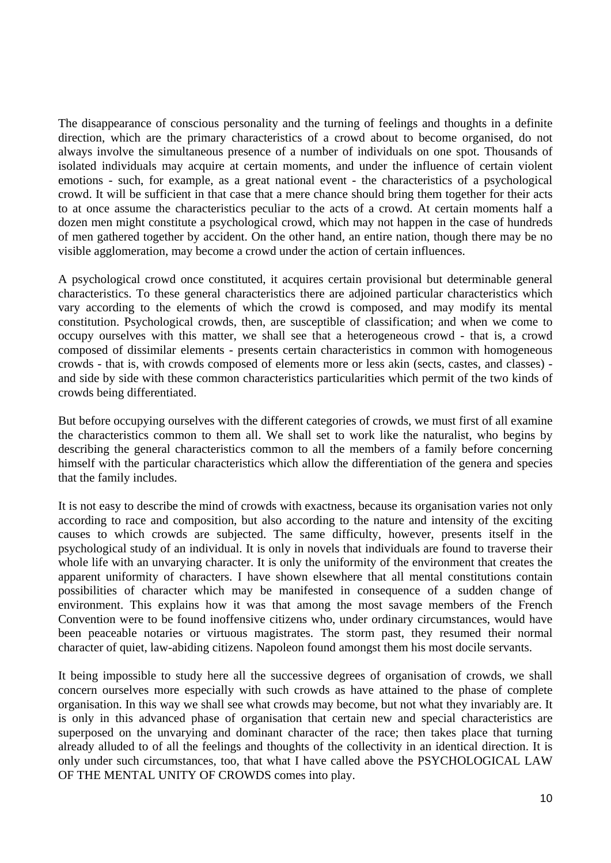The disappearance of conscious personality and the turning of feelings and thoughts in a definite direction, which are the primary characteristics of a crowd about to become organised, do not always involve the simultaneous presence of a number of individuals on one spot. Thousands of isolated individuals may acquire at certain moments, and under the influence of certain violent emotions - such, for example, as a great national event - the characteristics of a psychological crowd. It will be sufficient in that case that a mere chance should bring them together for their acts to at once assume the characteristics peculiar to the acts of a crowd. At certain moments half a dozen men might constitute a psychological crowd, which may not happen in the case of hundreds of men gathered together by accident. On the other hand, an entire nation, though there may be no visible agglomeration, may become a crowd under the action of certain influences.

A psychological crowd once constituted, it acquires certain provisional but determinable general characteristics. To these general characteristics there are adjoined particular characteristics which vary according to the elements of which the crowd is composed, and may modify its mental constitution. Psychological crowds, then, are susceptible of classification; and when we come to occupy ourselves with this matter, we shall see that a heterogeneous crowd - that is, a crowd composed of dissimilar elements - presents certain characteristics in common with homogeneous crowds - that is, with crowds composed of elements more or less akin (sects, castes, and classes) and side by side with these common characteristics particularities which permit of the two kinds of crowds being differentiated.

But before occupying ourselves with the different categories of crowds, we must first of all examine the characteristics common to them all. We shall set to work like the naturalist, who begins by describing the general characteristics common to all the members of a family before concerning himself with the particular characteristics which allow the differentiation of the genera and species that the family includes.

It is not easy to describe the mind of crowds with exactness, because its organisation varies not only according to race and composition, but also according to the nature and intensity of the exciting causes to which crowds are subjected. The same difficulty, however, presents itself in the psychological study of an individual. It is only in novels that individuals are found to traverse their whole life with an unvarying character. It is only the uniformity of the environment that creates the apparent uniformity of characters. I have shown elsewhere that all mental constitutions contain possibilities of character which may be manifested in consequence of a sudden change of environment. This explains how it was that among the most savage members of the French Convention were to be found inoffensive citizens who, under ordinary circumstances, would have been peaceable notaries or virtuous magistrates. The storm past, they resumed their normal character of quiet, law-abiding citizens. Napoleon found amongst them his most docile servants.

It being impossible to study here all the successive degrees of organisation of crowds, we shall concern ourselves more especially with such crowds as have attained to the phase of complete organisation. In this way we shall see what crowds may become, but not what they invariably are. It is only in this advanced phase of organisation that certain new and special characteristics are superposed on the unvarying and dominant character of the race; then takes place that turning already alluded to of all the feelings and thoughts of the collectivity in an identical direction. It is only under such circumstances, too, that what I have called above the PSYCHOLOGICAL LAW OF THE MENTAL UNITY OF CROWDS comes into play.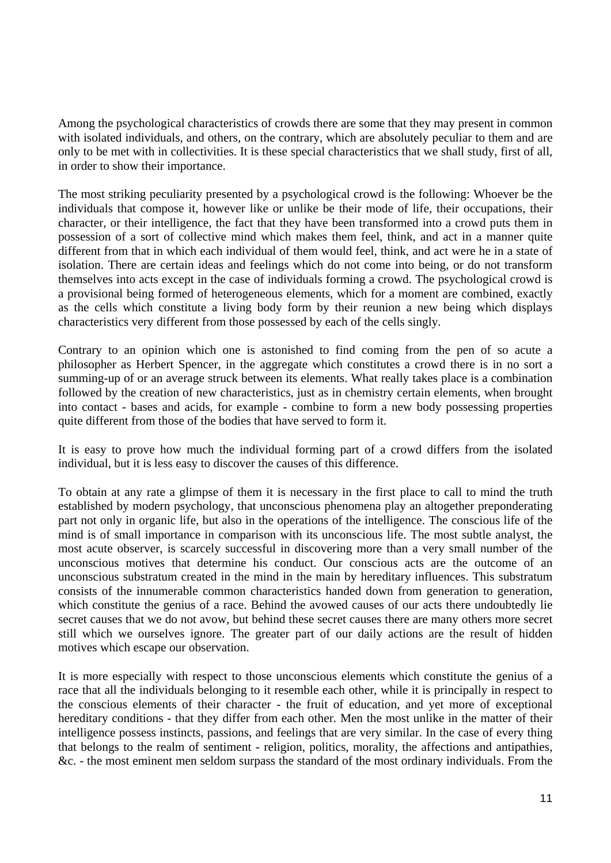Among the psychological characteristics of crowds there are some that they may present in common with isolated individuals, and others, on the contrary, which are absolutely peculiar to them and are only to be met with in collectivities. It is these special characteristics that we shall study, first of all, in order to show their importance.

The most striking peculiarity presented by a psychological crowd is the following: Whoever be the individuals that compose it, however like or unlike be their mode of life, their occupations, their character, or their intelligence, the fact that they have been transformed into a crowd puts them in possession of a sort of collective mind which makes them feel, think, and act in a manner quite different from that in which each individual of them would feel, think, and act were he in a state of isolation. There are certain ideas and feelings which do not come into being, or do not transform themselves into acts except in the case of individuals forming a crowd. The psychological crowd is a provisional being formed of heterogeneous elements, which for a moment are combined, exactly as the cells which constitute a living body form by their reunion a new being which displays characteristics very different from those possessed by each of the cells singly.

Contrary to an opinion which one is astonished to find coming from the pen of so acute a philosopher as Herbert Spencer, in the aggregate which constitutes a crowd there is in no sort a summing-up of or an average struck between its elements. What really takes place is a combination followed by the creation of new characteristics, just as in chemistry certain elements, when brought into contact - bases and acids, for example - combine to form a new body possessing properties quite different from those of the bodies that have served to form it.

It is easy to prove how much the individual forming part of a crowd differs from the isolated individual, but it is less easy to discover the causes of this difference.

To obtain at any rate a glimpse of them it is necessary in the first place to call to mind the truth established by modern psychology, that unconscious phenomena play an altogether preponderating part not only in organic life, but also in the operations of the intelligence. The conscious life of the mind is of small importance in comparison with its unconscious life. The most subtle analyst, the most acute observer, is scarcely successful in discovering more than a very small number of the unconscious motives that determine his conduct. Our conscious acts are the outcome of an unconscious substratum created in the mind in the main by hereditary influences. This substratum consists of the innumerable common characteristics handed down from generation to generation, which constitute the genius of a race. Behind the avowed causes of our acts there undoubtedly lie secret causes that we do not avow, but behind these secret causes there are many others more secret still which we ourselves ignore. The greater part of our daily actions are the result of hidden motives which escape our observation.

It is more especially with respect to those unconscious elements which constitute the genius of a race that all the individuals belonging to it resemble each other, while it is principally in respect to the conscious elements of their character - the fruit of education, and yet more of exceptional hereditary conditions - that they differ from each other. Men the most unlike in the matter of their intelligence possess instincts, passions, and feelings that are very similar. In the case of every thing that belongs to the realm of sentiment - religion, politics, morality, the affections and antipathies, &c. - the most eminent men seldom surpass the standard of the most ordinary individuals. From the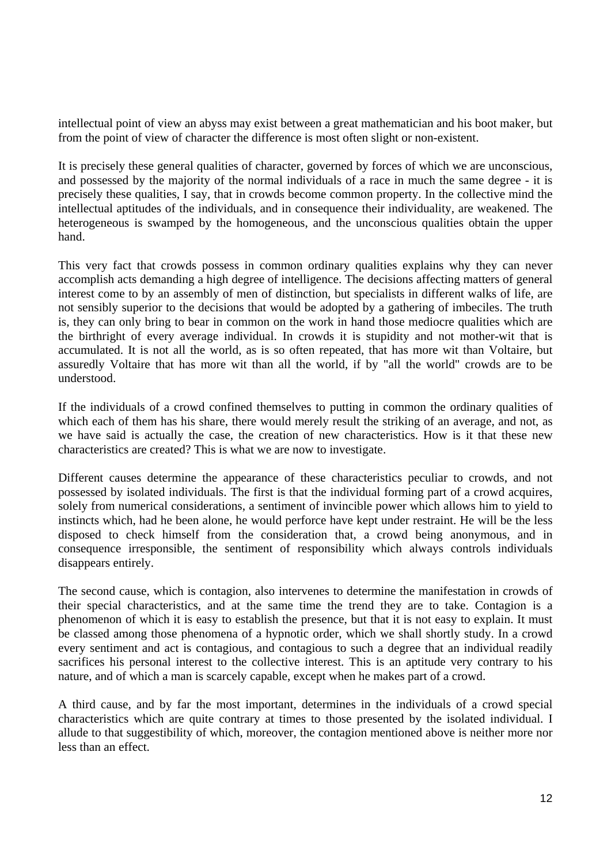intellectual point of view an abyss may exist between a great mathematician and his boot maker, but from the point of view of character the difference is most often slight or non-existent.

It is precisely these general qualities of character, governed by forces of which we are unconscious, and possessed by the majority of the normal individuals of a race in much the same degree - it is precisely these qualities, I say, that in crowds become common property. In the collective mind the intellectual aptitudes of the individuals, and in consequence their individuality, are weakened. The heterogeneous is swamped by the homogeneous, and the unconscious qualities obtain the upper hand.

This very fact that crowds possess in common ordinary qualities explains why they can never accomplish acts demanding a high degree of intelligence. The decisions affecting matters of general interest come to by an assembly of men of distinction, but specialists in different walks of life, are not sensibly superior to the decisions that would be adopted by a gathering of imbeciles. The truth is, they can only bring to bear in common on the work in hand those mediocre qualities which are the birthright of every average individual. In crowds it is stupidity and not mother-wit that is accumulated. It is not all the world, as is so often repeated, that has more wit than Voltaire, but assuredly Voltaire that has more wit than all the world, if by "all the world" crowds are to be understood.

If the individuals of a crowd confined themselves to putting in common the ordinary qualities of which each of them has his share, there would merely result the striking of an average, and not, as we have said is actually the case, the creation of new characteristics. How is it that these new characteristics are created? This is what we are now to investigate.

Different causes determine the appearance of these characteristics peculiar to crowds, and not possessed by isolated individuals. The first is that the individual forming part of a crowd acquires, solely from numerical considerations, a sentiment of invincible power which allows him to yield to instincts which, had he been alone, he would perforce have kept under restraint. He will be the less disposed to check himself from the consideration that, a crowd being anonymous, and in consequence irresponsible, the sentiment of responsibility which always controls individuals disappears entirely.

The second cause, which is contagion, also intervenes to determine the manifestation in crowds of their special characteristics, and at the same time the trend they are to take. Contagion is a phenomenon of which it is easy to establish the presence, but that it is not easy to explain. It must be classed among those phenomena of a hypnotic order, which we shall shortly study. In a crowd every sentiment and act is contagious, and contagious to such a degree that an individual readily sacrifices his personal interest to the collective interest. This is an aptitude very contrary to his nature, and of which a man is scarcely capable, except when he makes part of a crowd.

A third cause, and by far the most important, determines in the individuals of a crowd special characteristics which are quite contrary at times to those presented by the isolated individual. I allude to that suggestibility of which, moreover, the contagion mentioned above is neither more nor less than an effect.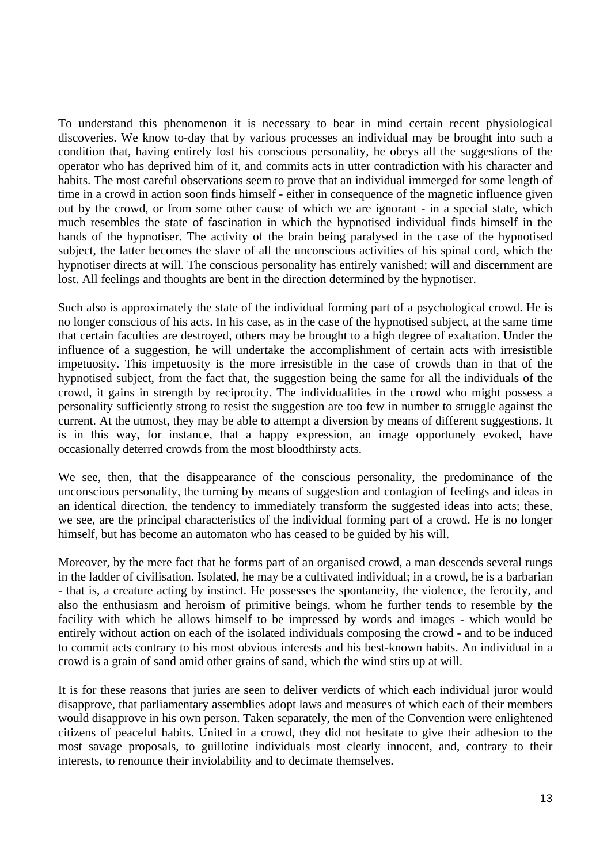To understand this phenomenon it is necessary to bear in mind certain recent physiological discoveries. We know to-day that by various processes an individual may be brought into such a condition that, having entirely lost his conscious personality, he obeys all the suggestions of the operator who has deprived him of it, and commits acts in utter contradiction with his character and habits. The most careful observations seem to prove that an individual immerged for some length of time in a crowd in action soon finds himself - either in consequence of the magnetic influence given out by the crowd, or from some other cause of which we are ignorant - in a special state, which much resembles the state of fascination in which the hypnotised individual finds himself in the hands of the hypnotiser. The activity of the brain being paralysed in the case of the hypnotised subject, the latter becomes the slave of all the unconscious activities of his spinal cord, which the hypnotiser directs at will. The conscious personality has entirely vanished; will and discernment are lost. All feelings and thoughts are bent in the direction determined by the hypnotiser.

Such also is approximately the state of the individual forming part of a psychological crowd. He is no longer conscious of his acts. In his case, as in the case of the hypnotised subject, at the same time that certain faculties are destroyed, others may be brought to a high degree of exaltation. Under the influence of a suggestion, he will undertake the accomplishment of certain acts with irresistible impetuosity. This impetuosity is the more irresistible in the case of crowds than in that of the hypnotised subject, from the fact that, the suggestion being the same for all the individuals of the crowd, it gains in strength by reciprocity. The individualities in the crowd who might possess a personality sufficiently strong to resist the suggestion are too few in number to struggle against the current. At the utmost, they may be able to attempt a diversion by means of different suggestions. It is in this way, for instance, that a happy expression, an image opportunely evoked, have occasionally deterred crowds from the most bloodthirsty acts.

We see, then, that the disappearance of the conscious personality, the predominance of the unconscious personality, the turning by means of suggestion and contagion of feelings and ideas in an identical direction, the tendency to immediately transform the suggested ideas into acts; these, we see, are the principal characteristics of the individual forming part of a crowd. He is no longer himself, but has become an automaton who has ceased to be guided by his will.

Moreover, by the mere fact that he forms part of an organised crowd, a man descends several rungs in the ladder of civilisation. Isolated, he may be a cultivated individual; in a crowd, he is a barbarian - that is, a creature acting by instinct. He possesses the spontaneity, the violence, the ferocity, and also the enthusiasm and heroism of primitive beings, whom he further tends to resemble by the facility with which he allows himself to be impressed by words and images - which would be entirely without action on each of the isolated individuals composing the crowd - and to be induced to commit acts contrary to his most obvious interests and his best-known habits. An individual in a crowd is a grain of sand amid other grains of sand, which the wind stirs up at will.

It is for these reasons that juries are seen to deliver verdicts of which each individual juror would disapprove, that parliamentary assemblies adopt laws and measures of which each of their members would disapprove in his own person. Taken separately, the men of the Convention were enlightened citizens of peaceful habits. United in a crowd, they did not hesitate to give their adhesion to the most savage proposals, to guillotine individuals most clearly innocent, and, contrary to their interests, to renounce their inviolability and to decimate themselves.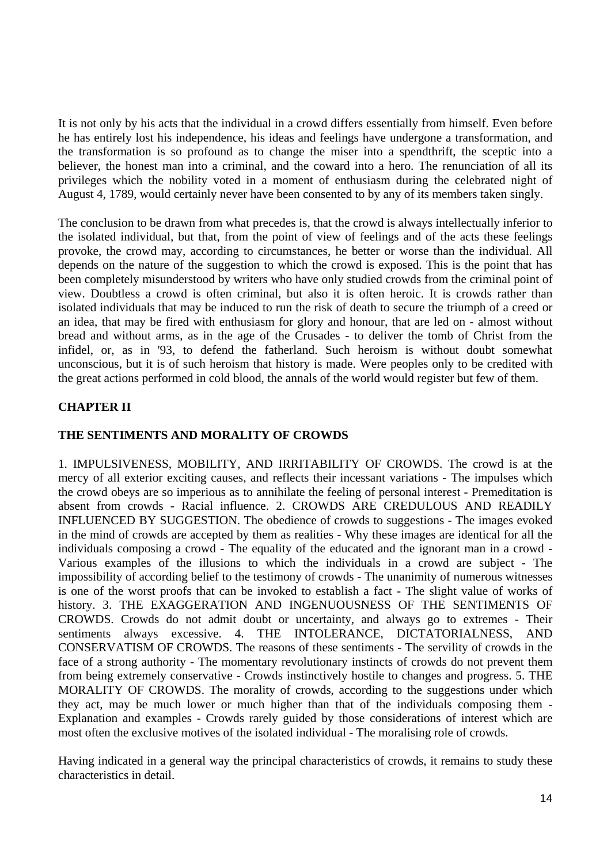It is not only by his acts that the individual in a crowd differs essentially from himself. Even before he has entirely lost his independence, his ideas and feelings have undergone a transformation, and the transformation is so profound as to change the miser into a spendthrift, the sceptic into a believer, the honest man into a criminal, and the coward into a hero. The renunciation of all its privileges which the nobility voted in a moment of enthusiasm during the celebrated night of August 4, 1789, would certainly never have been consented to by any of its members taken singly.

The conclusion to be drawn from what precedes is, that the crowd is always intellectually inferior to the isolated individual, but that, from the point of view of feelings and of the acts these feelings provoke, the crowd may, according to circumstances, he better or worse than the individual. All depends on the nature of the suggestion to which the crowd is exposed. This is the point that has been completely misunderstood by writers who have only studied crowds from the criminal point of view. Doubtless a crowd is often criminal, but also it is often heroic. It is crowds rather than isolated individuals that may be induced to run the risk of death to secure the triumph of a creed or an idea, that may be fired with enthusiasm for glory and honour, that are led on - almost without bread and without arms, as in the age of the Crusades - to deliver the tomb of Christ from the infidel, or, as in '93, to defend the fatherland. Such heroism is without doubt somewhat unconscious, but it is of such heroism that history is made. Were peoples only to be credited with the great actions performed in cold blood, the annals of the world would register but few of them.

# **CHAPTER II**

### **THE SENTIMENTS AND MORALITY OF CROWDS**

1. IMPULSIVENESS, MOBILITY, AND IRRITABILITY OF CROWDS. The crowd is at the mercy of all exterior exciting causes, and reflects their incessant variations - The impulses which the crowd obeys are so imperious as to annihilate the feeling of personal interest - Premeditation is absent from crowds - Racial influence. 2. CROWDS ARE CREDULOUS AND READILY INFLUENCED BY SUGGESTION. The obedience of crowds to suggestions - The images evoked in the mind of crowds are accepted by them as realities - Why these images are identical for all the individuals composing a crowd - The equality of the educated and the ignorant man in a crowd - Various examples of the illusions to which the individuals in a crowd are subject - The impossibility of according belief to the testimony of crowds - The unanimity of numerous witnesses is one of the worst proofs that can be invoked to establish a fact - The slight value of works of history. 3. THE EXAGGERATION AND INGENUOUSNESS OF THE SENTIMENTS OF CROWDS. Crowds do not admit doubt or uncertainty, and always go to extremes - Their sentiments always excessive. 4. THE INTOLERANCE, DICTATORIALNESS, AND CONSERVATISM OF CROWDS. The reasons of these sentiments - The servility of crowds in the face of a strong authority - The momentary revolutionary instincts of crowds do not prevent them from being extremely conservative - Crowds instinctively hostile to changes and progress. 5. THE MORALITY OF CROWDS. The morality of crowds, according to the suggestions under which they act, may be much lower or much higher than that of the individuals composing them - Explanation and examples - Crowds rarely guided by those considerations of interest which are most often the exclusive motives of the isolated individual - The moralising role of crowds.

Having indicated in a general way the principal characteristics of crowds, it remains to study these characteristics in detail.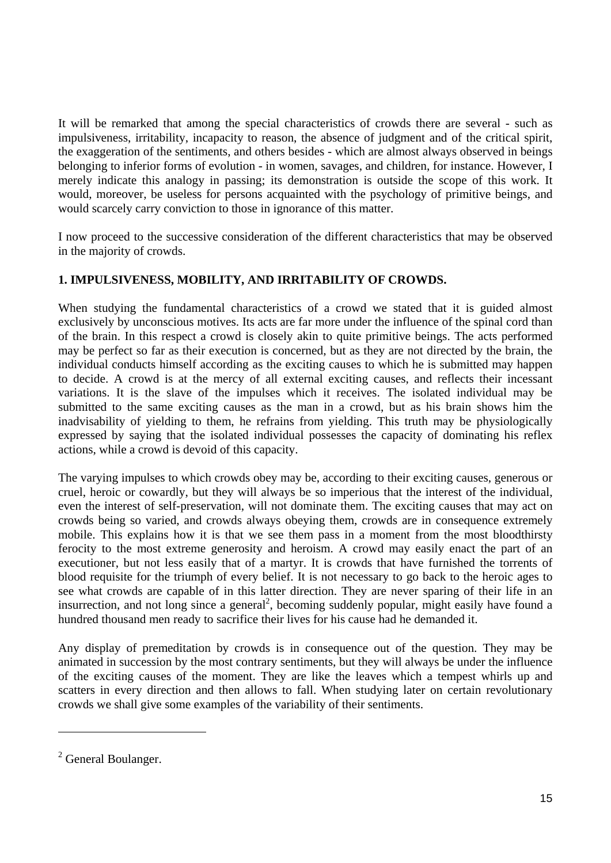It will be remarked that among the special characteristics of crowds there are several - such as impulsiveness, irritability, incapacity to reason, the absence of judgment and of the critical spirit, the exaggeration of the sentiments, and others besides - which are almost always observed in beings belonging to inferior forms of evolution - in women, savages, and children, for instance. However, I merely indicate this analogy in passing; its demonstration is outside the scope of this work. It would, moreover, be useless for persons acquainted with the psychology of primitive beings, and would scarcely carry conviction to those in ignorance of this matter.

I now proceed to the successive consideration of the different characteristics that may be observed in the majority of crowds.

# **1. IMPULSIVENESS, MOBILITY, AND IRRITABILITY OF CROWDS.**

When studying the fundamental characteristics of a crowd we stated that it is guided almost exclusively by unconscious motives. Its acts are far more under the influence of the spinal cord than of the brain. In this respect a crowd is closely akin to quite primitive beings. The acts performed may be perfect so far as their execution is concerned, but as they are not directed by the brain, the individual conducts himself according as the exciting causes to which he is submitted may happen to decide. A crowd is at the mercy of all external exciting causes, and reflects their incessant variations. It is the slave of the impulses which it receives. The isolated individual may be submitted to the same exciting causes as the man in a crowd, but as his brain shows him the inadvisability of yielding to them, he refrains from yielding. This truth may be physiologically expressed by saying that the isolated individual possesses the capacity of dominating his reflex actions, while a crowd is devoid of this capacity.

The varying impulses to which crowds obey may be, according to their exciting causes, generous or cruel, heroic or cowardly, but they will always be so imperious that the interest of the individual, even the interest of self-preservation, will not dominate them. The exciting causes that may act on crowds being so varied, and crowds always obeying them, crowds are in consequence extremely mobile. This explains how it is that we see them pass in a moment from the most bloodthirsty ferocity to the most extreme generosity and heroism. A crowd may easily enact the part of an executioner, but not less easily that of a martyr. It is crowds that have furnished the torrents of blood requisite for the triumph of every belief. It is not necessary to go back to the heroic ages to see what crowds are capable of in this latter direction. They are never sparing of their life in an insurrection, and not long since a general<sup>2</sup>, becoming suddenly popular, might easily have found a hundred thousand men ready to sacrifice their lives for his cause had he demanded it.

Any display of premeditation by crowds is in consequence out of the question. They may be animated in succession by the most contrary sentiments, but they will always be under the influence of the exciting causes of the moment. They are like the leaves which a tempest whirls up and scatters in every direction and then allows to fall. When studying later on certain revolutionary crowds we shall give some examples of the variability of their sentiments.

<sup>&</sup>lt;sup>2</sup> General Boulanger.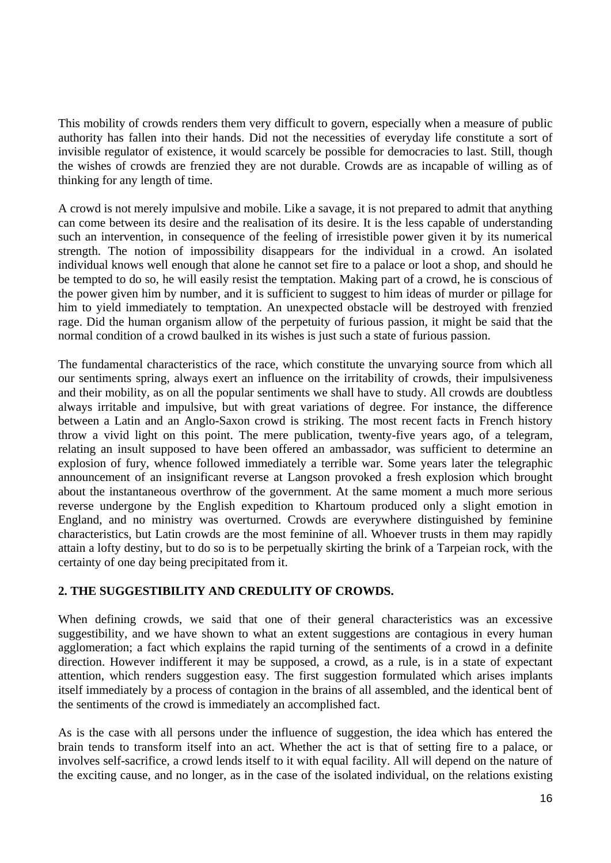This mobility of crowds renders them very difficult to govern, especially when a measure of public authority has fallen into their hands. Did not the necessities of everyday life constitute a sort of invisible regulator of existence, it would scarcely be possible for democracies to last. Still, though the wishes of crowds are frenzied they are not durable. Crowds are as incapable of willing as of thinking for any length of time.

A crowd is not merely impulsive and mobile. Like a savage, it is not prepared to admit that anything can come between its desire and the realisation of its desire. It is the less capable of understanding such an intervention, in consequence of the feeling of irresistible power given it by its numerical strength. The notion of impossibility disappears for the individual in a crowd. An isolated individual knows well enough that alone he cannot set fire to a palace or loot a shop, and should he be tempted to do so, he will easily resist the temptation. Making part of a crowd, he is conscious of the power given him by number, and it is sufficient to suggest to him ideas of murder or pillage for him to yield immediately to temptation. An unexpected obstacle will be destroyed with frenzied rage. Did the human organism allow of the perpetuity of furious passion, it might be said that the normal condition of a crowd baulked in its wishes is just such a state of furious passion.

The fundamental characteristics of the race, which constitute the unvarying source from which all our sentiments spring, always exert an influence on the irritability of crowds, their impulsiveness and their mobility, as on all the popular sentiments we shall have to study. All crowds are doubtless always irritable and impulsive, but with great variations of degree. For instance, the difference between a Latin and an Anglo-Saxon crowd is striking. The most recent facts in French history throw a vivid light on this point. The mere publication, twenty-five years ago, of a telegram, relating an insult supposed to have been offered an ambassador, was sufficient to determine an explosion of fury, whence followed immediately a terrible war. Some years later the telegraphic announcement of an insignificant reverse at Langson provoked a fresh explosion which brought about the instantaneous overthrow of the government. At the same moment a much more serious reverse undergone by the English expedition to Khartoum produced only a slight emotion in England, and no ministry was overturned. Crowds are everywhere distinguished by feminine characteristics, but Latin crowds are the most feminine of all. Whoever trusts in them may rapidly attain a lofty destiny, but to do so is to be perpetually skirting the brink of a Tarpeian rock, with the certainty of one day being precipitated from it.

### **2. THE SUGGESTIBILITY AND CREDULITY OF CROWDS.**

When defining crowds, we said that one of their general characteristics was an excessive suggestibility, and we have shown to what an extent suggestions are contagious in every human agglomeration; a fact which explains the rapid turning of the sentiments of a crowd in a definite direction. However indifferent it may be supposed, a crowd, as a rule, is in a state of expectant attention, which renders suggestion easy. The first suggestion formulated which arises implants itself immediately by a process of contagion in the brains of all assembled, and the identical bent of the sentiments of the crowd is immediately an accomplished fact.

As is the case with all persons under the influence of suggestion, the idea which has entered the brain tends to transform itself into an act. Whether the act is that of setting fire to a palace, or involves self-sacrifice, a crowd lends itself to it with equal facility. All will depend on the nature of the exciting cause, and no longer, as in the case of the isolated individual, on the relations existing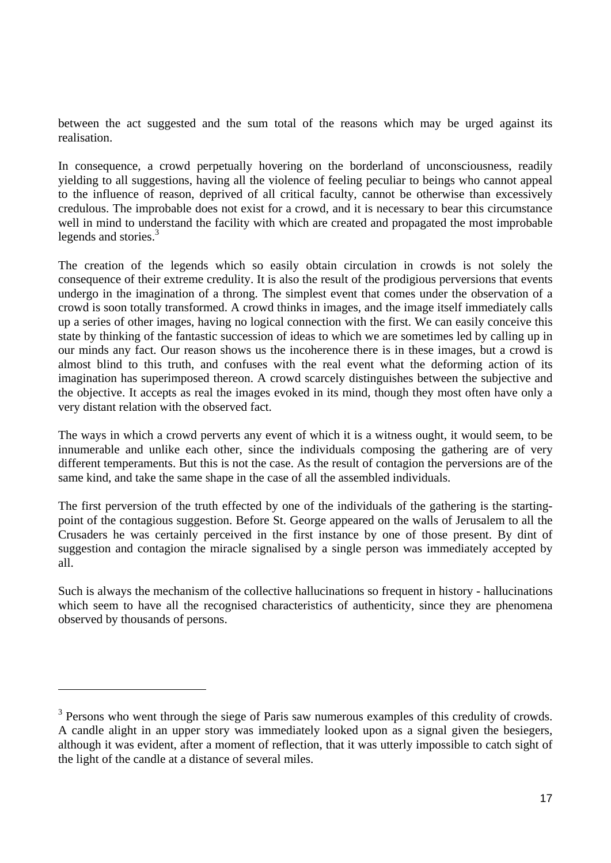between the act suggested and the sum total of the reasons which may be urged against its realisation.

In consequence, a crowd perpetually hovering on the borderland of unconsciousness, readily yielding to all suggestions, having all the violence of feeling peculiar to beings who cannot appeal to the influence of reason, deprived of all critical faculty, cannot be otherwise than excessively credulous. The improbable does not exist for a crowd, and it is necessary to bear this circumstance well in mind to understand the facility with which are created and propagated the most improbable legends and stories.<sup>3</sup>

The creation of the legends which so easily obtain circulation in crowds is not solely the consequence of their extreme credulity. It is also the result of the prodigious perversions that events undergo in the imagination of a throng. The simplest event that comes under the observation of a crowd is soon totally transformed. A crowd thinks in images, and the image itself immediately calls up a series of other images, having no logical connection with the first. We can easily conceive this state by thinking of the fantastic succession of ideas to which we are sometimes led by calling up in our minds any fact. Our reason shows us the incoherence there is in these images, but a crowd is almost blind to this truth, and confuses with the real event what the deforming action of its imagination has superimposed thereon. A crowd scarcely distinguishes between the subjective and the objective. It accepts as real the images evoked in its mind, though they most often have only a very distant relation with the observed fact.

The ways in which a crowd perverts any event of which it is a witness ought, it would seem, to be innumerable and unlike each other, since the individuals composing the gathering are of very different temperaments. But this is not the case. As the result of contagion the perversions are of the same kind, and take the same shape in the case of all the assembled individuals.

The first perversion of the truth effected by one of the individuals of the gathering is the startingpoint of the contagious suggestion. Before St. George appeared on the walls of Jerusalem to all the Crusaders he was certainly perceived in the first instance by one of those present. By dint of suggestion and contagion the miracle signalised by a single person was immediately accepted by all.

Such is always the mechanism of the collective hallucinations so frequent in history - hallucinations which seem to have all the recognised characteristics of authenticity, since they are phenomena observed by thousands of persons.

 $\overline{a}$ 

 $3$  Persons who went through the siege of Paris saw numerous examples of this credulity of crowds. A candle alight in an upper story was immediately looked upon as a signal given the besiegers, although it was evident, after a moment of reflection, that it was utterly impossible to catch sight of the light of the candle at a distance of several miles.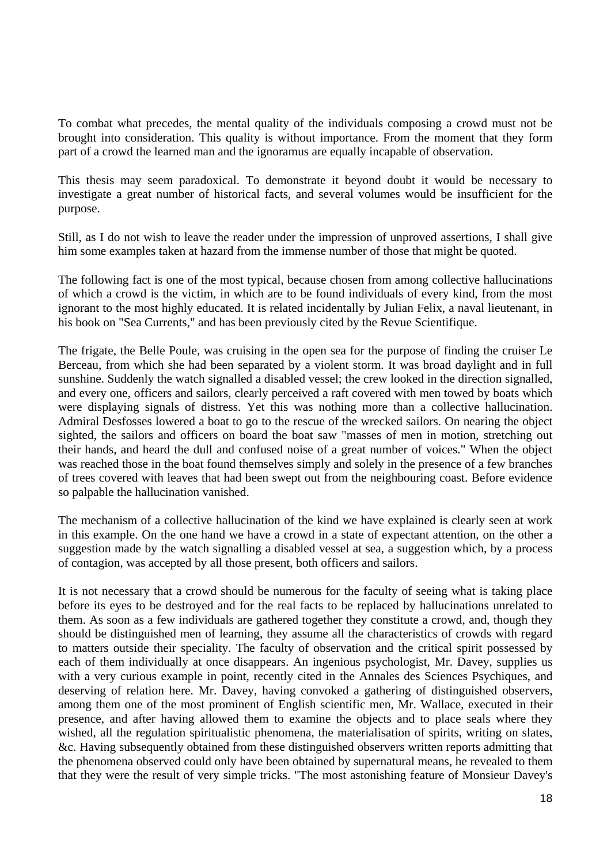To combat what precedes, the mental quality of the individuals composing a crowd must not be brought into consideration. This quality is without importance. From the moment that they form part of a crowd the learned man and the ignoramus are equally incapable of observation.

This thesis may seem paradoxical. To demonstrate it beyond doubt it would be necessary to investigate a great number of historical facts, and several volumes would be insufficient for the purpose.

Still, as I do not wish to leave the reader under the impression of unproved assertions, I shall give him some examples taken at hazard from the immense number of those that might be quoted.

The following fact is one of the most typical, because chosen from among collective hallucinations of which a crowd is the victim, in which are to be found individuals of every kind, from the most ignorant to the most highly educated. It is related incidentally by Julian Felix, a naval lieutenant, in his book on "Sea Currents," and has been previously cited by the Revue Scientifique.

The frigate, the Belle Poule, was cruising in the open sea for the purpose of finding the cruiser Le Berceau, from which she had been separated by a violent storm. It was broad daylight and in full sunshine. Suddenly the watch signalled a disabled vessel; the crew looked in the direction signalled, and every one, officers and sailors, clearly perceived a raft covered with men towed by boats which were displaying signals of distress. Yet this was nothing more than a collective hallucination. Admiral Desfosses lowered a boat to go to the rescue of the wrecked sailors. On nearing the object sighted, the sailors and officers on board the boat saw "masses of men in motion, stretching out their hands, and heard the dull and confused noise of a great number of voices." When the object was reached those in the boat found themselves simply and solely in the presence of a few branches of trees covered with leaves that had been swept out from the neighbouring coast. Before evidence so palpable the hallucination vanished.

The mechanism of a collective hallucination of the kind we have explained is clearly seen at work in this example. On the one hand we have a crowd in a state of expectant attention, on the other a suggestion made by the watch signalling a disabled vessel at sea, a suggestion which, by a process of contagion, was accepted by all those present, both officers and sailors.

It is not necessary that a crowd should be numerous for the faculty of seeing what is taking place before its eyes to be destroyed and for the real facts to be replaced by hallucinations unrelated to them. As soon as a few individuals are gathered together they constitute a crowd, and, though they should be distinguished men of learning, they assume all the characteristics of crowds with regard to matters outside their speciality. The faculty of observation and the critical spirit possessed by each of them individually at once disappears. An ingenious psychologist, Mr. Davey, supplies us with a very curious example in point, recently cited in the Annales des Sciences Psychiques, and deserving of relation here. Mr. Davey, having convoked a gathering of distinguished observers, among them one of the most prominent of English scientific men, Mr. Wallace, executed in their presence, and after having allowed them to examine the objects and to place seals where they wished, all the regulation spiritualistic phenomena, the materialisation of spirits, writing on slates, &c. Having subsequently obtained from these distinguished observers written reports admitting that the phenomena observed could only have been obtained by supernatural means, he revealed to them that they were the result of very simple tricks. "The most astonishing feature of Monsieur Davey's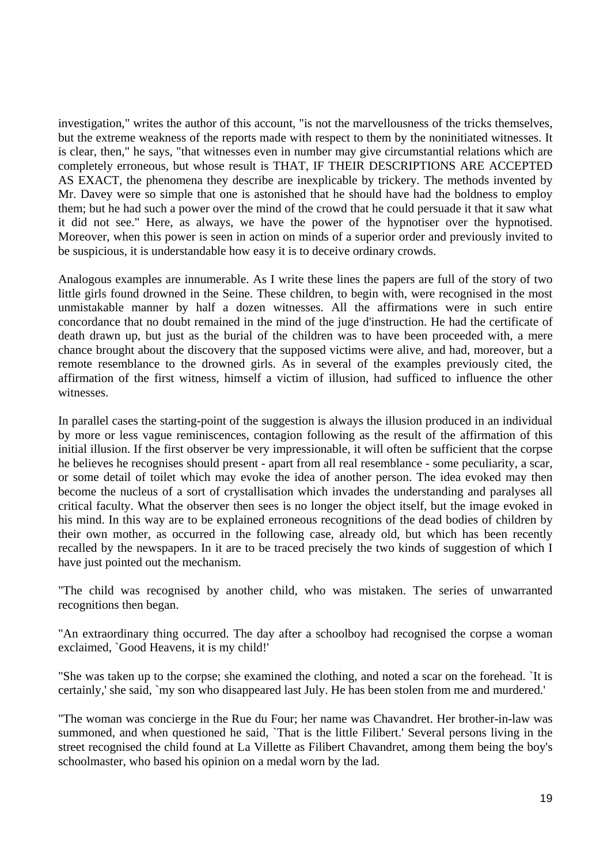investigation," writes the author of this account, "is not the marvellousness of the tricks themselves, but the extreme weakness of the reports made with respect to them by the noninitiated witnesses. It is clear, then," he says, "that witnesses even in number may give circumstantial relations which are completely erroneous, but whose result is THAT, IF THEIR DESCRIPTIONS ARE ACCEPTED AS EXACT, the phenomena they describe are inexplicable by trickery. The methods invented by Mr. Davey were so simple that one is astonished that he should have had the boldness to employ them; but he had such a power over the mind of the crowd that he could persuade it that it saw what it did not see." Here, as always, we have the power of the hypnotiser over the hypnotised. Moreover, when this power is seen in action on minds of a superior order and previously invited to be suspicious, it is understandable how easy it is to deceive ordinary crowds.

Analogous examples are innumerable. As I write these lines the papers are full of the story of two little girls found drowned in the Seine. These children, to begin with, were recognised in the most unmistakable manner by half a dozen witnesses. All the affirmations were in such entire concordance that no doubt remained in the mind of the juge d'instruction. He had the certificate of death drawn up, but just as the burial of the children was to have been proceeded with, a mere chance brought about the discovery that the supposed victims were alive, and had, moreover, but a remote resemblance to the drowned girls. As in several of the examples previously cited, the affirmation of the first witness, himself a victim of illusion, had sufficed to influence the other witnesses.

In parallel cases the starting-point of the suggestion is always the illusion produced in an individual by more or less vague reminiscences, contagion following as the result of the affirmation of this initial illusion. If the first observer be very impressionable, it will often be sufficient that the corpse he believes he recognises should present - apart from all real resemblance - some peculiarity, a scar, or some detail of toilet which may evoke the idea of another person. The idea evoked may then become the nucleus of a sort of crystallisation which invades the understanding and paralyses all critical faculty. What the observer then sees is no longer the object itself, but the image evoked in his mind. In this way are to be explained erroneous recognitions of the dead bodies of children by their own mother, as occurred in the following case, already old, but which has been recently recalled by the newspapers. In it are to be traced precisely the two kinds of suggestion of which I have just pointed out the mechanism.

"The child was recognised by another child, who was mistaken. The series of unwarranted recognitions then began.

"An extraordinary thing occurred. The day after a schoolboy had recognised the corpse a woman exclaimed, `Good Heavens, it is my child!'

"She was taken up to the corpse; she examined the clothing, and noted a scar on the forehead. `It is certainly,' she said, `my son who disappeared last July. He has been stolen from me and murdered.'

"The woman was concierge in the Rue du Four; her name was Chavandret. Her brother-in-law was summoned, and when questioned he said, `That is the little Filibert.' Several persons living in the street recognised the child found at La Villette as Filibert Chavandret, among them being the boy's schoolmaster, who based his opinion on a medal worn by the lad.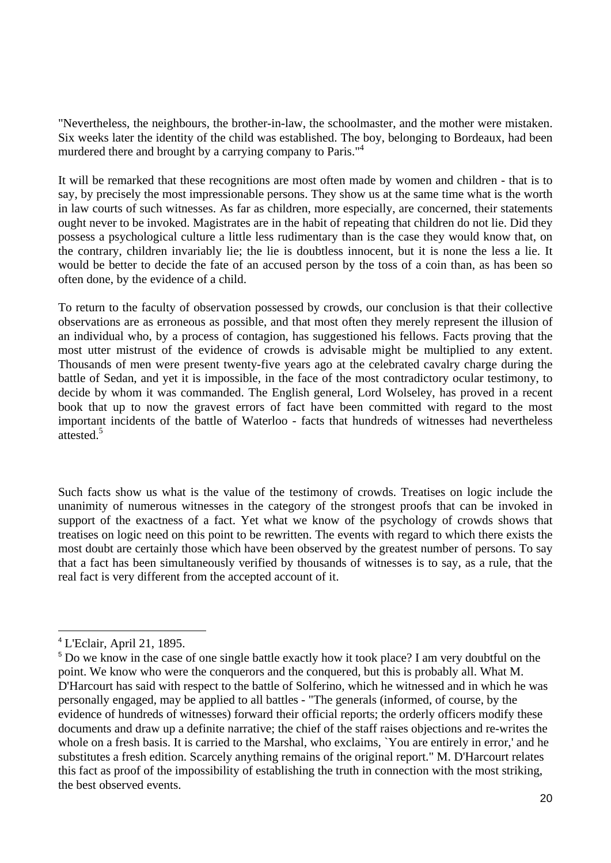"Nevertheless, the neighbours, the brother-in-law, the schoolmaster, and the mother were mistaken. Six weeks later the identity of the child was established. The boy, belonging to Bordeaux, had been murdered there and brought by a carrying company to Paris."<sup>4</sup>

It will be remarked that these recognitions are most often made by women and children - that is to say, by precisely the most impressionable persons. They show us at the same time what is the worth in law courts of such witnesses. As far as children, more especially, are concerned, their statements ought never to be invoked. Magistrates are in the habit of repeating that children do not lie. Did they possess a psychological culture a little less rudimentary than is the case they would know that, on the contrary, children invariably lie; the lie is doubtless innocent, but it is none the less a lie. It would be better to decide the fate of an accused person by the toss of a coin than, as has been so often done, by the evidence of a child.

To return to the faculty of observation possessed by crowds, our conclusion is that their collective observations are as erroneous as possible, and that most often they merely represent the illusion of an individual who, by a process of contagion, has suggestioned his fellows. Facts proving that the most utter mistrust of the evidence of crowds is advisable might be multiplied to any extent. Thousands of men were present twenty-five years ago at the celebrated cavalry charge during the battle of Sedan, and yet it is impossible, in the face of the most contradictory ocular testimony, to decide by whom it was commanded. The English general, Lord Wolseley, has proved in a recent book that up to now the gravest errors of fact have been committed with regard to the most important incidents of the battle of Waterloo - facts that hundreds of witnesses had nevertheless attested.<sup>5</sup>

Such facts show us what is the value of the testimony of crowds. Treatises on logic include the unanimity of numerous witnesses in the category of the strongest proofs that can be invoked in support of the exactness of a fact. Yet what we know of the psychology of crowds shows that treatises on logic need on this point to be rewritten. The events with regard to which there exists the most doubt are certainly those which have been observed by the greatest number of persons. To say that a fact has been simultaneously verified by thousands of witnesses is to say, as a rule, that the real fact is very different from the accepted account of it.

<sup>4</sup> L'Eclair, April 21, 1895.

<sup>&</sup>lt;sup>5</sup> Do we know in the case of one single battle exactly how it took place? I am very doubtful on the point. We know who were the conquerors and the conquered, but this is probably all. What M. D'Harcourt has said with respect to the battle of Solferino, which he witnessed and in which he was personally engaged, may be applied to all battles - "The generals (informed, of course, by the evidence of hundreds of witnesses) forward their official reports; the orderly officers modify these documents and draw up a definite narrative; the chief of the staff raises objections and re-writes the whole on a fresh basis. It is carried to the Marshal, who exclaims, `You are entirely in error,' and he substitutes a fresh edition. Scarcely anything remains of the original report." M. D'Harcourt relates this fact as proof of the impossibility of establishing the truth in connection with the most striking, the best observed events.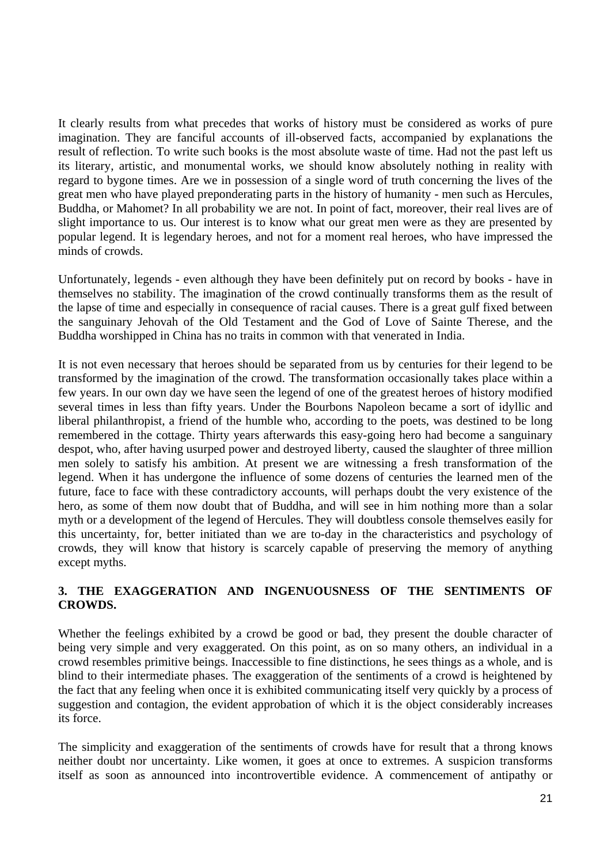It clearly results from what precedes that works of history must be considered as works of pure imagination. They are fanciful accounts of ill-observed facts, accompanied by explanations the result of reflection. To write such books is the most absolute waste of time. Had not the past left us its literary, artistic, and monumental works, we should know absolutely nothing in reality with regard to bygone times. Are we in possession of a single word of truth concerning the lives of the great men who have played preponderating parts in the history of humanity - men such as Hercules, Buddha, or Mahomet? In all probability we are not. In point of fact, moreover, their real lives are of slight importance to us. Our interest is to know what our great men were as they are presented by popular legend. It is legendary heroes, and not for a moment real heroes, who have impressed the minds of crowds.

Unfortunately, legends - even although they have been definitely put on record by books - have in themselves no stability. The imagination of the crowd continually transforms them as the result of the lapse of time and especially in consequence of racial causes. There is a great gulf fixed between the sanguinary Jehovah of the Old Testament and the God of Love of Sainte Therese, and the Buddha worshipped in China has no traits in common with that venerated in India.

It is not even necessary that heroes should be separated from us by centuries for their legend to be transformed by the imagination of the crowd. The transformation occasionally takes place within a few years. In our own day we have seen the legend of one of the greatest heroes of history modified several times in less than fifty years. Under the Bourbons Napoleon became a sort of idyllic and liberal philanthropist, a friend of the humble who, according to the poets, was destined to be long remembered in the cottage. Thirty years afterwards this easy-going hero had become a sanguinary despot, who, after having usurped power and destroyed liberty, caused the slaughter of three million men solely to satisfy his ambition. At present we are witnessing a fresh transformation of the legend. When it has undergone the influence of some dozens of centuries the learned men of the future, face to face with these contradictory accounts, will perhaps doubt the very existence of the hero, as some of them now doubt that of Buddha, and will see in him nothing more than a solar myth or a development of the legend of Hercules. They will doubtless console themselves easily for this uncertainty, for, better initiated than we are to-day in the characteristics and psychology of crowds, they will know that history is scarcely capable of preserving the memory of anything except myths.

# **3. THE EXAGGERATION AND INGENUOUSNESS OF THE SENTIMENTS OF CROWDS.**

Whether the feelings exhibited by a crowd be good or bad, they present the double character of being very simple and very exaggerated. On this point, as on so many others, an individual in a crowd resembles primitive beings. Inaccessible to fine distinctions, he sees things as a whole, and is blind to their intermediate phases. The exaggeration of the sentiments of a crowd is heightened by the fact that any feeling when once it is exhibited communicating itself very quickly by a process of suggestion and contagion, the evident approbation of which it is the object considerably increases its force.

The simplicity and exaggeration of the sentiments of crowds have for result that a throng knows neither doubt nor uncertainty. Like women, it goes at once to extremes. A suspicion transforms itself as soon as announced into incontrovertible evidence. A commencement of antipathy or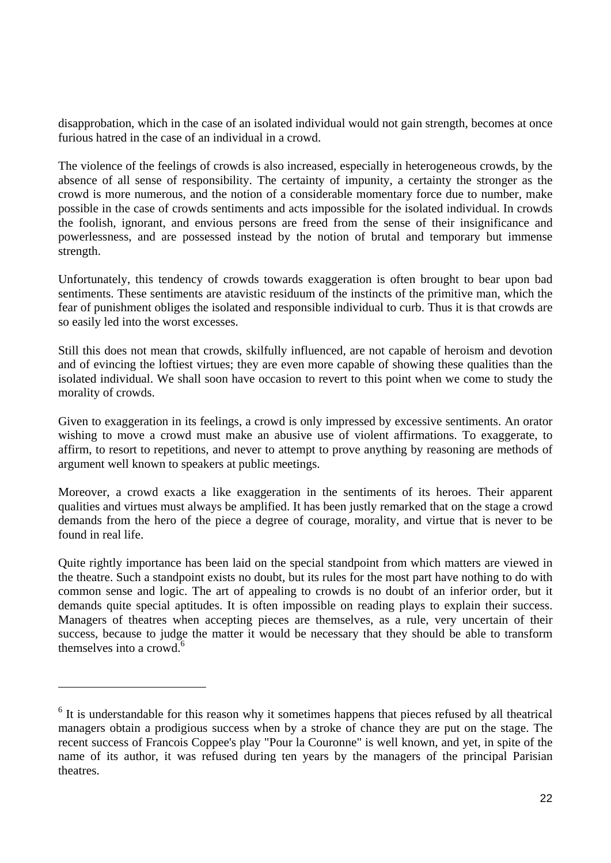disapprobation, which in the case of an isolated individual would not gain strength, becomes at once furious hatred in the case of an individual in a crowd.

The violence of the feelings of crowds is also increased, especially in heterogeneous crowds, by the absence of all sense of responsibility. The certainty of impunity, a certainty the stronger as the crowd is more numerous, and the notion of a considerable momentary force due to number, make possible in the case of crowds sentiments and acts impossible for the isolated individual. In crowds the foolish, ignorant, and envious persons are freed from the sense of their insignificance and powerlessness, and are possessed instead by the notion of brutal and temporary but immense strength.

Unfortunately, this tendency of crowds towards exaggeration is often brought to bear upon bad sentiments. These sentiments are atavistic residuum of the instincts of the primitive man, which the fear of punishment obliges the isolated and responsible individual to curb. Thus it is that crowds are so easily led into the worst excesses.

Still this does not mean that crowds, skilfully influenced, are not capable of heroism and devotion and of evincing the loftiest virtues; they are even more capable of showing these qualities than the isolated individual. We shall soon have occasion to revert to this point when we come to study the morality of crowds.

Given to exaggeration in its feelings, a crowd is only impressed by excessive sentiments. An orator wishing to move a crowd must make an abusive use of violent affirmations. To exaggerate, to affirm, to resort to repetitions, and never to attempt to prove anything by reasoning are methods of argument well known to speakers at public meetings.

Moreover, a crowd exacts a like exaggeration in the sentiments of its heroes. Their apparent qualities and virtues must always be amplified. It has been justly remarked that on the stage a crowd demands from the hero of the piece a degree of courage, morality, and virtue that is never to be found in real life.

Quite rightly importance has been laid on the special standpoint from which matters are viewed in the theatre. Such a standpoint exists no doubt, but its rules for the most part have nothing to do with common sense and logic. The art of appealing to crowds is no doubt of an inferior order, but it demands quite special aptitudes. It is often impossible on reading plays to explain their success. Managers of theatres when accepting pieces are themselves, as a rule, very uncertain of their success, because to judge the matter it would be necessary that they should be able to transform themselves into a crowd.<sup>6</sup>

<sup>&</sup>lt;sup>6</sup> It is understandable for this reason why it sometimes happens that pieces refused by all theatrical managers obtain a prodigious success when by a stroke of chance they are put on the stage. The recent success of Francois Coppee's play "Pour la Couronne" is well known, and yet, in spite of the name of its author, it was refused during ten years by the managers of the principal Parisian theatres.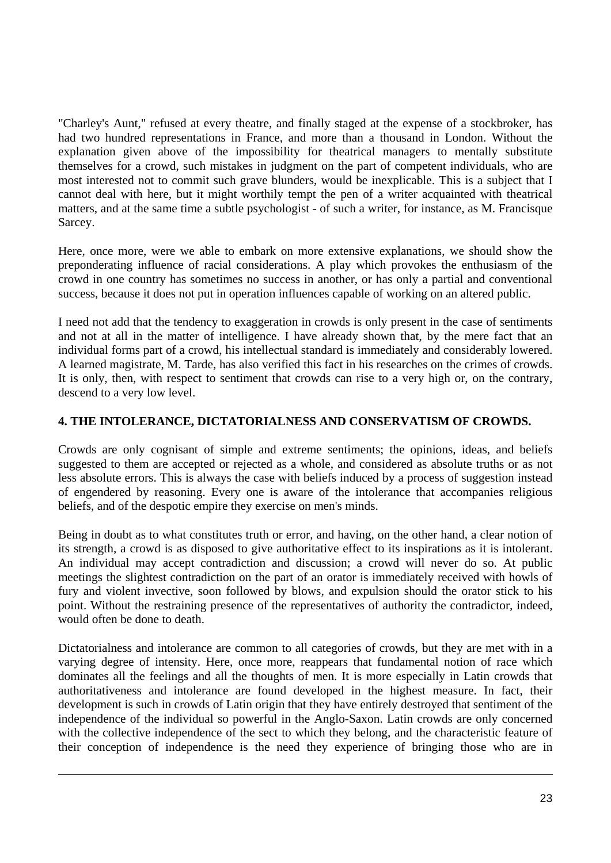"Charley's Aunt," refused at every theatre, and finally staged at the expense of a stockbroker, has had two hundred representations in France, and more than a thousand in London. Without the explanation given above of the impossibility for theatrical managers to mentally substitute themselves for a crowd, such mistakes in judgment on the part of competent individuals, who are most interested not to commit such grave blunders, would be inexplicable. This is a subject that I cannot deal with here, but it might worthily tempt the pen of a writer acquainted with theatrical matters, and at the same time a subtle psychologist - of such a writer, for instance, as M. Francisque Sarcey.

Here, once more, were we able to embark on more extensive explanations, we should show the preponderating influence of racial considerations. A play which provokes the enthusiasm of the crowd in one country has sometimes no success in another, or has only a partial and conventional success, because it does not put in operation influences capable of working on an altered public.

I need not add that the tendency to exaggeration in crowds is only present in the case of sentiments and not at all in the matter of intelligence. I have already shown that, by the mere fact that an individual forms part of a crowd, his intellectual standard is immediately and considerably lowered. A learned magistrate, M. Tarde, has also verified this fact in his researches on the crimes of crowds. It is only, then, with respect to sentiment that crowds can rise to a very high or, on the contrary, descend to a very low level.

# **4. THE INTOLERANCE, DICTATORIALNESS AND CONSERVATISM OF CROWDS.**

Crowds are only cognisant of simple and extreme sentiments; the opinions, ideas, and beliefs suggested to them are accepted or rejected as a whole, and considered as absolute truths or as not less absolute errors. This is always the case with beliefs induced by a process of suggestion instead of engendered by reasoning. Every one is aware of the intolerance that accompanies religious beliefs, and of the despotic empire they exercise on men's minds.

Being in doubt as to what constitutes truth or error, and having, on the other hand, a clear notion of its strength, a crowd is as disposed to give authoritative effect to its inspirations as it is intolerant. An individual may accept contradiction and discussion; a crowd will never do so. At public meetings the slightest contradiction on the part of an orator is immediately received with howls of fury and violent invective, soon followed by blows, and expulsion should the orator stick to his point. Without the restraining presence of the representatives of authority the contradictor, indeed, would often be done to death.

Dictatorialness and intolerance are common to all categories of crowds, but they are met with in a varying degree of intensity. Here, once more, reappears that fundamental notion of race which dominates all the feelings and all the thoughts of men. It is more especially in Latin crowds that authoritativeness and intolerance are found developed in the highest measure. In fact, their development is such in crowds of Latin origin that they have entirely destroyed that sentiment of the independence of the individual so powerful in the Anglo-Saxon. Latin crowds are only concerned with the collective independence of the sect to which they belong, and the characteristic feature of their conception of independence is the need they experience of bringing those who are in

 $\overline{a}$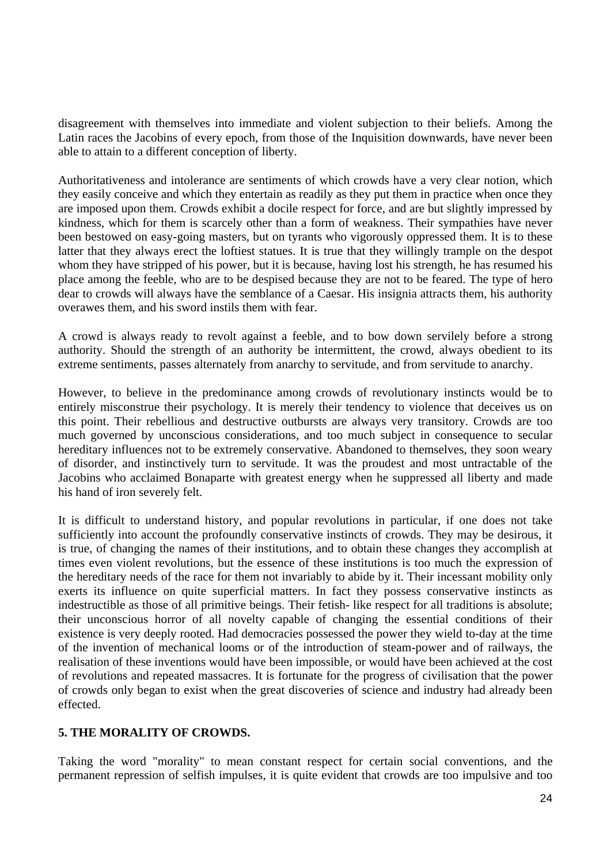disagreement with themselves into immediate and violent subjection to their beliefs. Among the Latin races the Jacobins of every epoch, from those of the Inquisition downwards, have never been able to attain to a different conception of liberty.

Authoritativeness and intolerance are sentiments of which crowds have a very clear notion, which they easily conceive and which they entertain as readily as they put them in practice when once they are imposed upon them. Crowds exhibit a docile respect for force, and are but slightly impressed by kindness, which for them is scarcely other than a form of weakness. Their sympathies have never been bestowed on easy-going masters, but on tyrants who vigorously oppressed them. It is to these latter that they always erect the loftiest statues. It is true that they willingly trample on the despot whom they have stripped of his power, but it is because, having lost his strength, he has resumed his place among the feeble, who are to be despised because they are not to be feared. The type of hero dear to crowds will always have the semblance of a Caesar. His insignia attracts them, his authority overawes them, and his sword instils them with fear.

A crowd is always ready to revolt against a feeble, and to bow down servilely before a strong authority. Should the strength of an authority be intermittent, the crowd, always obedient to its extreme sentiments, passes alternately from anarchy to servitude, and from servitude to anarchy.

However, to believe in the predominance among crowds of revolutionary instincts would be to entirely misconstrue their psychology. It is merely their tendency to violence that deceives us on this point. Their rebellious and destructive outbursts are always very transitory. Crowds are too much governed by unconscious considerations, and too much subject in consequence to secular hereditary influences not to be extremely conservative. Abandoned to themselves, they soon weary of disorder, and instinctively turn to servitude. It was the proudest and most untractable of the Jacobins who acclaimed Bonaparte with greatest energy when he suppressed all liberty and made his hand of iron severely felt.

It is difficult to understand history, and popular revolutions in particular, if one does not take sufficiently into account the profoundly conservative instincts of crowds. They may be desirous, it is true, of changing the names of their institutions, and to obtain these changes they accomplish at times even violent revolutions, but the essence of these institutions is too much the expression of the hereditary needs of the race for them not invariably to abide by it. Their incessant mobility only exerts its influence on quite superficial matters. In fact they possess conservative instincts as indestructible as those of all primitive beings. Their fetish- like respect for all traditions is absolute; their unconscious horror of all novelty capable of changing the essential conditions of their existence is very deeply rooted. Had democracies possessed the power they wield to-day at the time of the invention of mechanical looms or of the introduction of steam-power and of railways, the realisation of these inventions would have been impossible, or would have been achieved at the cost of revolutions and repeated massacres. It is fortunate for the progress of civilisation that the power of crowds only began to exist when the great discoveries of science and industry had already been effected.

### **5. THE MORALITY OF CROWDS.**

Taking the word "morality" to mean constant respect for certain social conventions, and the permanent repression of selfish impulses, it is quite evident that crowds are too impulsive and too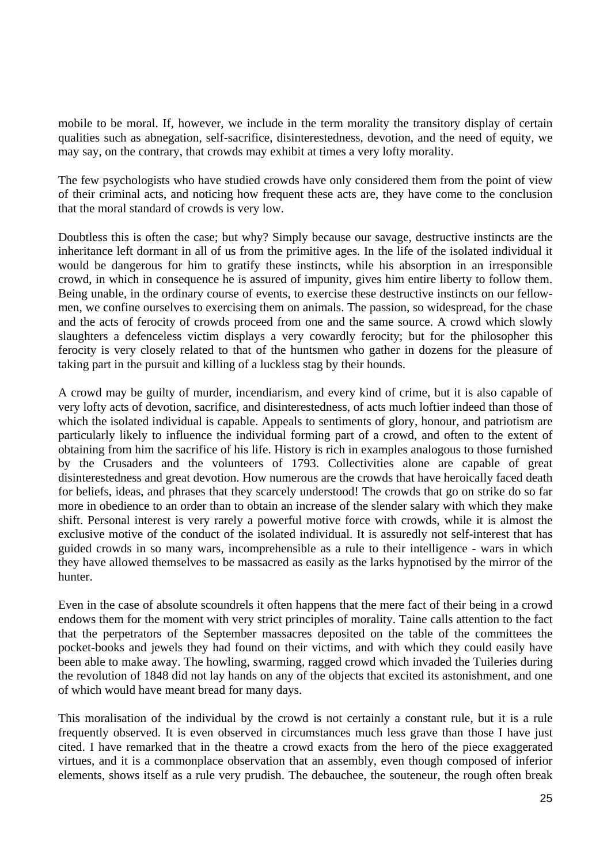mobile to be moral. If, however, we include in the term morality the transitory display of certain qualities such as abnegation, self-sacrifice, disinterestedness, devotion, and the need of equity, we may say, on the contrary, that crowds may exhibit at times a very lofty morality.

The few psychologists who have studied crowds have only considered them from the point of view of their criminal acts, and noticing how frequent these acts are, they have come to the conclusion that the moral standard of crowds is very low.

Doubtless this is often the case; but why? Simply because our savage, destructive instincts are the inheritance left dormant in all of us from the primitive ages. In the life of the isolated individual it would be dangerous for him to gratify these instincts, while his absorption in an irresponsible crowd, in which in consequence he is assured of impunity, gives him entire liberty to follow them. Being unable, in the ordinary course of events, to exercise these destructive instincts on our fellowmen, we confine ourselves to exercising them on animals. The passion, so widespread, for the chase and the acts of ferocity of crowds proceed from one and the same source. A crowd which slowly slaughters a defenceless victim displays a very cowardly ferocity; but for the philosopher this ferocity is very closely related to that of the huntsmen who gather in dozens for the pleasure of taking part in the pursuit and killing of a luckless stag by their hounds.

A crowd may be guilty of murder, incendiarism, and every kind of crime, but it is also capable of very lofty acts of devotion, sacrifice, and disinterestedness, of acts much loftier indeed than those of which the isolated individual is capable. Appeals to sentiments of glory, honour, and patriotism are particularly likely to influence the individual forming part of a crowd, and often to the extent of obtaining from him the sacrifice of his life. History is rich in examples analogous to those furnished by the Crusaders and the volunteers of 1793. Collectivities alone are capable of great disinterestedness and great devotion. How numerous are the crowds that have heroically faced death for beliefs, ideas, and phrases that they scarcely understood! The crowds that go on strike do so far more in obedience to an order than to obtain an increase of the slender salary with which they make shift. Personal interest is very rarely a powerful motive force with crowds, while it is almost the exclusive motive of the conduct of the isolated individual. It is assuredly not self-interest that has guided crowds in so many wars, incomprehensible as a rule to their intelligence - wars in which they have allowed themselves to be massacred as easily as the larks hypnotised by the mirror of the hunter.

Even in the case of absolute scoundrels it often happens that the mere fact of their being in a crowd endows them for the moment with very strict principles of morality. Taine calls attention to the fact that the perpetrators of the September massacres deposited on the table of the committees the pocket-books and jewels they had found on their victims, and with which they could easily have been able to make away. The howling, swarming, ragged crowd which invaded the Tuileries during the revolution of 1848 did not lay hands on any of the objects that excited its astonishment, and one of which would have meant bread for many days.

This moralisation of the individual by the crowd is not certainly a constant rule, but it is a rule frequently observed. It is even observed in circumstances much less grave than those I have just cited. I have remarked that in the theatre a crowd exacts from the hero of the piece exaggerated virtues, and it is a commonplace observation that an assembly, even though composed of inferior elements, shows itself as a rule very prudish. The debauchee, the souteneur, the rough often break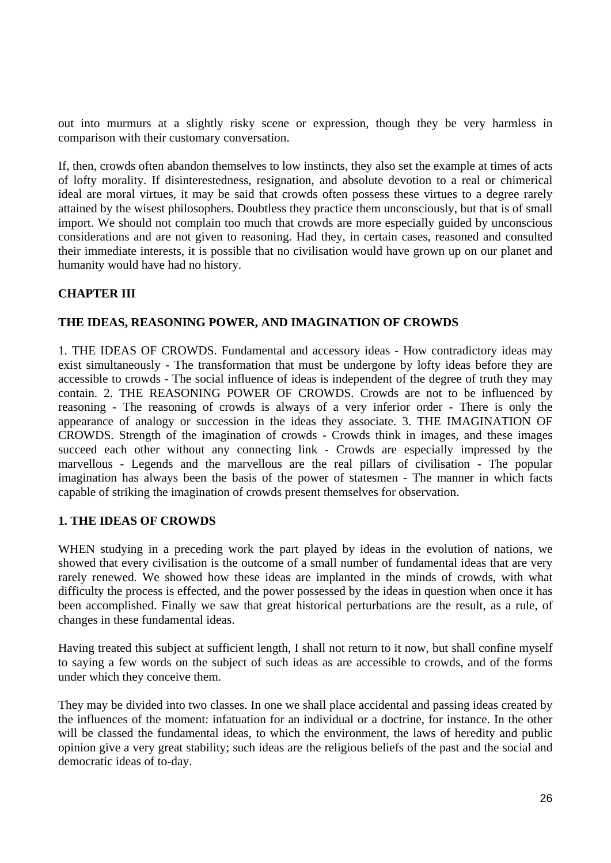out into murmurs at a slightly risky scene or expression, though they be very harmless in comparison with their customary conversation.

If, then, crowds often abandon themselves to low instincts, they also set the example at times of acts of lofty morality. If disinterestedness, resignation, and absolute devotion to a real or chimerical ideal are moral virtues, it may be said that crowds often possess these virtues to a degree rarely attained by the wisest philosophers. Doubtless they practice them unconsciously, but that is of small import. We should not complain too much that crowds are more especially guided by unconscious considerations and are not given to reasoning. Had they, in certain cases, reasoned and consulted their immediate interests, it is possible that no civilisation would have grown up on our planet and humanity would have had no history.

### **CHAPTER III**

#### **THE IDEAS, REASONING POWER, AND IMAGINATION OF CROWDS**

1. THE IDEAS OF CROWDS. Fundamental and accessory ideas - How contradictory ideas may exist simultaneously - The transformation that must be undergone by lofty ideas before they are accessible to crowds - The social influence of ideas is independent of the degree of truth they may contain. 2. THE REASONING POWER OF CROWDS. Crowds are not to be influenced by reasoning - The reasoning of crowds is always of a very inferior order - There is only the appearance of analogy or succession in the ideas they associate. 3. THE IMAGINATION OF CROWDS. Strength of the imagination of crowds - Crowds think in images, and these images succeed each other without any connecting link - Crowds are especially impressed by the marvellous - Legends and the marvellous are the real pillars of civilisation - The popular imagination has always been the basis of the power of statesmen - The manner in which facts capable of striking the imagination of crowds present themselves for observation.

#### **1. THE IDEAS OF CROWDS**

WHEN studying in a preceding work the part played by ideas in the evolution of nations, we showed that every civilisation is the outcome of a small number of fundamental ideas that are very rarely renewed. We showed how these ideas are implanted in the minds of crowds, with what difficulty the process is effected, and the power possessed by the ideas in question when once it has been accomplished. Finally we saw that great historical perturbations are the result, as a rule, of changes in these fundamental ideas.

Having treated this subject at sufficient length, I shall not return to it now, but shall confine myself to saying a few words on the subject of such ideas as are accessible to crowds, and of the forms under which they conceive them.

They may be divided into two classes. In one we shall place accidental and passing ideas created by the influences of the moment: infatuation for an individual or a doctrine, for instance. In the other will be classed the fundamental ideas, to which the environment, the laws of heredity and public opinion give a very great stability; such ideas are the religious beliefs of the past and the social and democratic ideas of to-day.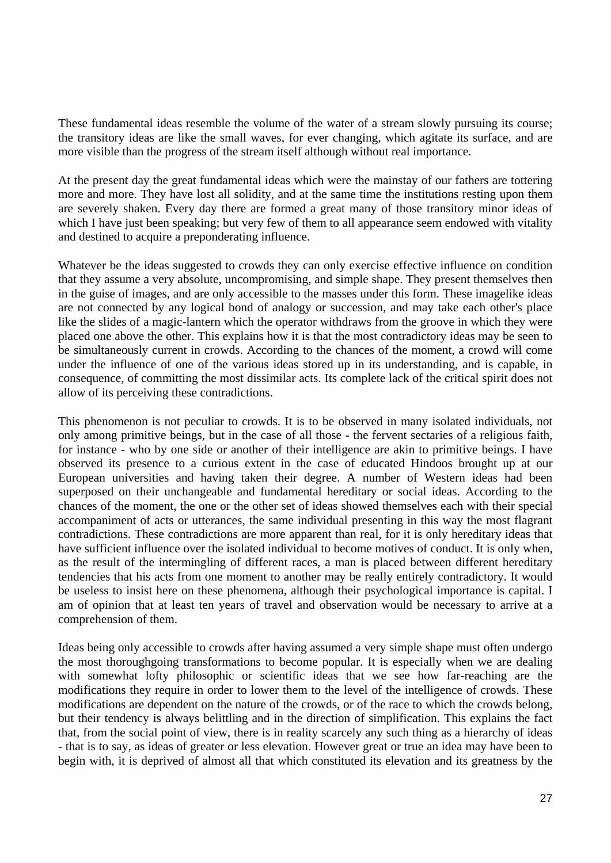These fundamental ideas resemble the volume of the water of a stream slowly pursuing its course; the transitory ideas are like the small waves, for ever changing, which agitate its surface, and are more visible than the progress of the stream itself although without real importance.

At the present day the great fundamental ideas which were the mainstay of our fathers are tottering more and more. They have lost all solidity, and at the same time the institutions resting upon them are severely shaken. Every day there are formed a great many of those transitory minor ideas of which I have just been speaking; but very few of them to all appearance seem endowed with vitality and destined to acquire a preponderating influence.

Whatever be the ideas suggested to crowds they can only exercise effective influence on condition that they assume a very absolute, uncompromising, and simple shape. They present themselves then in the guise of images, and are only accessible to the masses under this form. These imagelike ideas are not connected by any logical bond of analogy or succession, and may take each other's place like the slides of a magic-lantern which the operator withdraws from the groove in which they were placed one above the other. This explains how it is that the most contradictory ideas may be seen to be simultaneously current in crowds. According to the chances of the moment, a crowd will come under the influence of one of the various ideas stored up in its understanding, and is capable, in consequence, of committing the most dissimilar acts. Its complete lack of the critical spirit does not allow of its perceiving these contradictions.

This phenomenon is not peculiar to crowds. It is to be observed in many isolated individuals, not only among primitive beings, but in the case of all those - the fervent sectaries of a religious faith, for instance - who by one side or another of their intelligence are akin to primitive beings. I have observed its presence to a curious extent in the case of educated Hindoos brought up at our European universities and having taken their degree. A number of Western ideas had been superposed on their unchangeable and fundamental hereditary or social ideas. According to the chances of the moment, the one or the other set of ideas showed themselves each with their special accompaniment of acts or utterances, the same individual presenting in this way the most flagrant contradictions. These contradictions are more apparent than real, for it is only hereditary ideas that have sufficient influence over the isolated individual to become motives of conduct. It is only when, as the result of the intermingling of different races, a man is placed between different hereditary tendencies that his acts from one moment to another may be really entirely contradictory. It would be useless to insist here on these phenomena, although their psychological importance is capital. I am of opinion that at least ten years of travel and observation would be necessary to arrive at a comprehension of them.

Ideas being only accessible to crowds after having assumed a very simple shape must often undergo the most thoroughgoing transformations to become popular. It is especially when we are dealing with somewhat lofty philosophic or scientific ideas that we see how far-reaching are the modifications they require in order to lower them to the level of the intelligence of crowds. These modifications are dependent on the nature of the crowds, or of the race to which the crowds belong, but their tendency is always belittling and in the direction of simplification. This explains the fact that, from the social point of view, there is in reality scarcely any such thing as a hierarchy of ideas - that is to say, as ideas of greater or less elevation. However great or true an idea may have been to begin with, it is deprived of almost all that which constituted its elevation and its greatness by the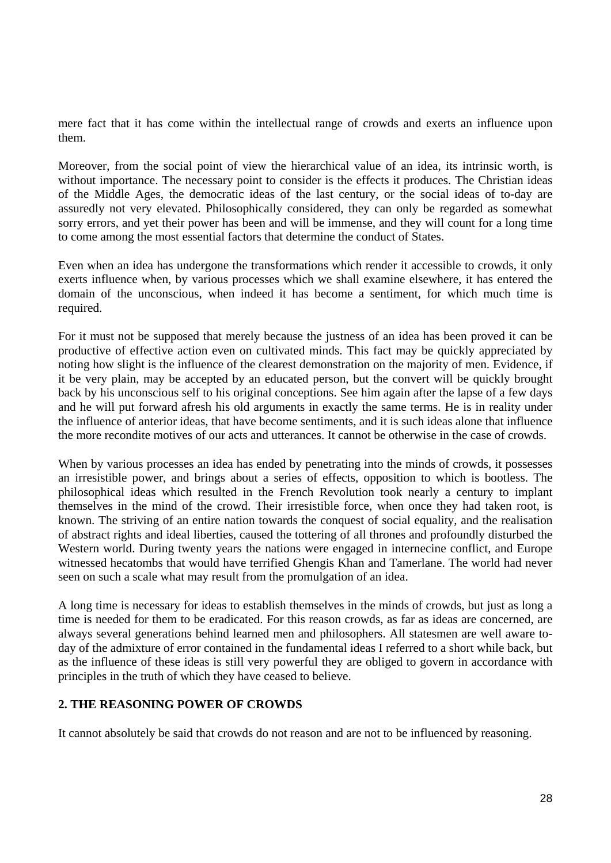mere fact that it has come within the intellectual range of crowds and exerts an influence upon them.

Moreover, from the social point of view the hierarchical value of an idea, its intrinsic worth, is without importance. The necessary point to consider is the effects it produces. The Christian ideas of the Middle Ages, the democratic ideas of the last century, or the social ideas of to-day are assuredly not very elevated. Philosophically considered, they can only be regarded as somewhat sorry errors, and yet their power has been and will be immense, and they will count for a long time to come among the most essential factors that determine the conduct of States.

Even when an idea has undergone the transformations which render it accessible to crowds, it only exerts influence when, by various processes which we shall examine elsewhere, it has entered the domain of the unconscious, when indeed it has become a sentiment, for which much time is required.

For it must not be supposed that merely because the justness of an idea has been proved it can be productive of effective action even on cultivated minds. This fact may be quickly appreciated by noting how slight is the influence of the clearest demonstration on the majority of men. Evidence, if it be very plain, may be accepted by an educated person, but the convert will be quickly brought back by his unconscious self to his original conceptions. See him again after the lapse of a few days and he will put forward afresh his old arguments in exactly the same terms. He is in reality under the influence of anterior ideas, that have become sentiments, and it is such ideas alone that influence the more recondite motives of our acts and utterances. It cannot be otherwise in the case of crowds.

When by various processes an idea has ended by penetrating into the minds of crowds, it possesses an irresistible power, and brings about a series of effects, opposition to which is bootless. The philosophical ideas which resulted in the French Revolution took nearly a century to implant themselves in the mind of the crowd. Their irresistible force, when once they had taken root, is known. The striving of an entire nation towards the conquest of social equality, and the realisation of abstract rights and ideal liberties, caused the tottering of all thrones and profoundly disturbed the Western world. During twenty years the nations were engaged in internecine conflict, and Europe witnessed hecatombs that would have terrified Ghengis Khan and Tamerlane. The world had never seen on such a scale what may result from the promulgation of an idea.

A long time is necessary for ideas to establish themselves in the minds of crowds, but just as long a time is needed for them to be eradicated. For this reason crowds, as far as ideas are concerned, are always several generations behind learned men and philosophers. All statesmen are well aware today of the admixture of error contained in the fundamental ideas I referred to a short while back, but as the influence of these ideas is still very powerful they are obliged to govern in accordance with principles in the truth of which they have ceased to believe.

### **2. THE REASONING POWER OF CROWDS**

It cannot absolutely be said that crowds do not reason and are not to be influenced by reasoning.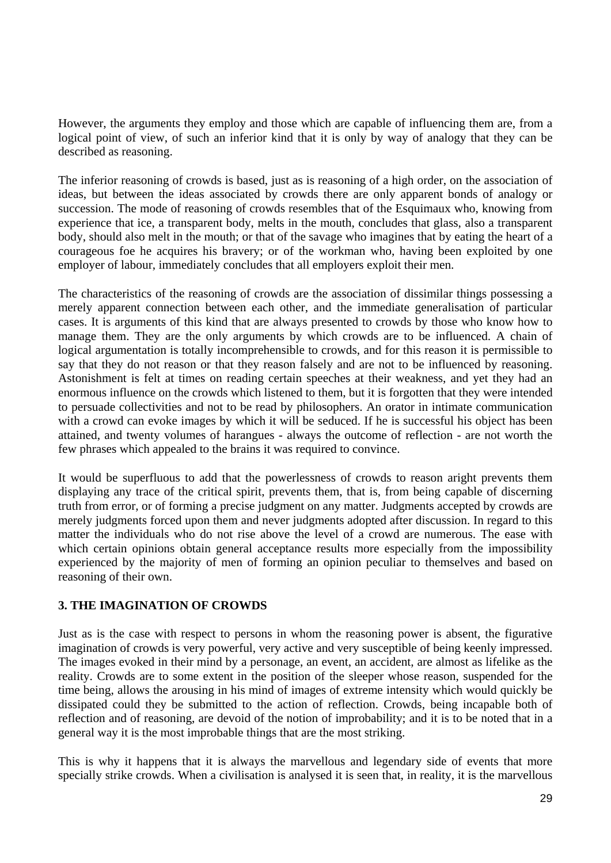However, the arguments they employ and those which are capable of influencing them are, from a logical point of view, of such an inferior kind that it is only by way of analogy that they can be described as reasoning.

The inferior reasoning of crowds is based, just as is reasoning of a high order, on the association of ideas, but between the ideas associated by crowds there are only apparent bonds of analogy or succession. The mode of reasoning of crowds resembles that of the Esquimaux who, knowing from experience that ice, a transparent body, melts in the mouth, concludes that glass, also a transparent body, should also melt in the mouth; or that of the savage who imagines that by eating the heart of a courageous foe he acquires his bravery; or of the workman who, having been exploited by one employer of labour, immediately concludes that all employers exploit their men.

The characteristics of the reasoning of crowds are the association of dissimilar things possessing a merely apparent connection between each other, and the immediate generalisation of particular cases. It is arguments of this kind that are always presented to crowds by those who know how to manage them. They are the only arguments by which crowds are to be influenced. A chain of logical argumentation is totally incomprehensible to crowds, and for this reason it is permissible to say that they do not reason or that they reason falsely and are not to be influenced by reasoning. Astonishment is felt at times on reading certain speeches at their weakness, and yet they had an enormous influence on the crowds which listened to them, but it is forgotten that they were intended to persuade collectivities and not to be read by philosophers. An orator in intimate communication with a crowd can evoke images by which it will be seduced. If he is successful his object has been attained, and twenty volumes of harangues - always the outcome of reflection - are not worth the few phrases which appealed to the brains it was required to convince.

It would be superfluous to add that the powerlessness of crowds to reason aright prevents them displaying any trace of the critical spirit, prevents them, that is, from being capable of discerning truth from error, or of forming a precise judgment on any matter. Judgments accepted by crowds are merely judgments forced upon them and never judgments adopted after discussion. In regard to this matter the individuals who do not rise above the level of a crowd are numerous. The ease with which certain opinions obtain general acceptance results more especially from the impossibility experienced by the majority of men of forming an opinion peculiar to themselves and based on reasoning of their own.

#### **3. THE IMAGINATION OF CROWDS**

Just as is the case with respect to persons in whom the reasoning power is absent, the figurative imagination of crowds is very powerful, very active and very susceptible of being keenly impressed. The images evoked in their mind by a personage, an event, an accident, are almost as lifelike as the reality. Crowds are to some extent in the position of the sleeper whose reason, suspended for the time being, allows the arousing in his mind of images of extreme intensity which would quickly be dissipated could they be submitted to the action of reflection. Crowds, being incapable both of reflection and of reasoning, are devoid of the notion of improbability; and it is to be noted that in a general way it is the most improbable things that are the most striking.

This is why it happens that it is always the marvellous and legendary side of events that more specially strike crowds. When a civilisation is analysed it is seen that, in reality, it is the marvellous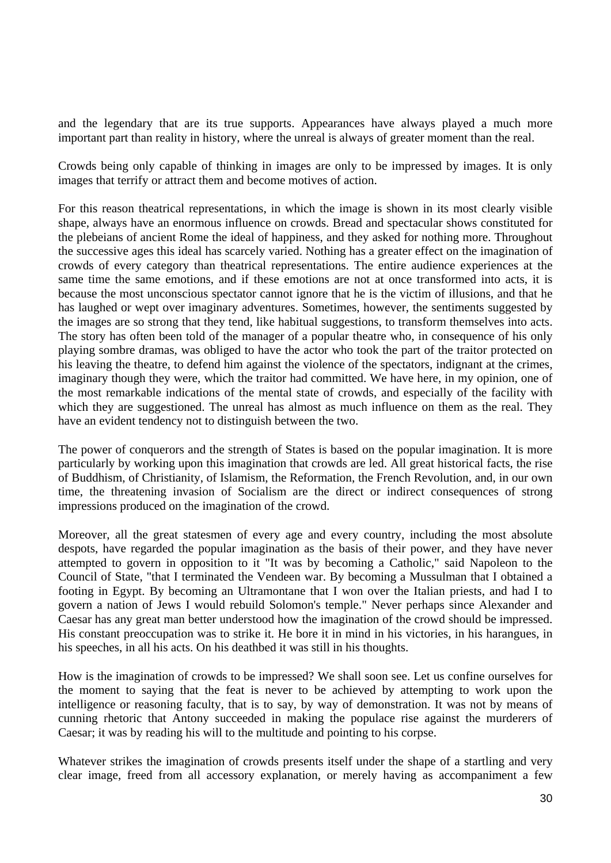and the legendary that are its true supports. Appearances have always played a much more important part than reality in history, where the unreal is always of greater moment than the real.

Crowds being only capable of thinking in images are only to be impressed by images. It is only images that terrify or attract them and become motives of action.

For this reason theatrical representations, in which the image is shown in its most clearly visible shape, always have an enormous influence on crowds. Bread and spectacular shows constituted for the plebeians of ancient Rome the ideal of happiness, and they asked for nothing more. Throughout the successive ages this ideal has scarcely varied. Nothing has a greater effect on the imagination of crowds of every category than theatrical representations. The entire audience experiences at the same time the same emotions, and if these emotions are not at once transformed into acts, it is because the most unconscious spectator cannot ignore that he is the victim of illusions, and that he has laughed or wept over imaginary adventures. Sometimes, however, the sentiments suggested by the images are so strong that they tend, like habitual suggestions, to transform themselves into acts. The story has often been told of the manager of a popular theatre who, in consequence of his only playing sombre dramas, was obliged to have the actor who took the part of the traitor protected on his leaving the theatre, to defend him against the violence of the spectators, indignant at the crimes, imaginary though they were, which the traitor had committed. We have here, in my opinion, one of the most remarkable indications of the mental state of crowds, and especially of the facility with which they are suggestioned. The unreal has almost as much influence on them as the real. They have an evident tendency not to distinguish between the two.

The power of conquerors and the strength of States is based on the popular imagination. It is more particularly by working upon this imagination that crowds are led. All great historical facts, the rise of Buddhism, of Christianity, of Islamism, the Reformation, the French Revolution, and, in our own time, the threatening invasion of Socialism are the direct or indirect consequences of strong impressions produced on the imagination of the crowd.

Moreover, all the great statesmen of every age and every country, including the most absolute despots, have regarded the popular imagination as the basis of their power, and they have never attempted to govern in opposition to it "It was by becoming a Catholic," said Napoleon to the Council of State, "that I terminated the Vendeen war. By becoming a Mussulman that I obtained a footing in Egypt. By becoming an Ultramontane that I won over the Italian priests, and had I to govern a nation of Jews I would rebuild Solomon's temple." Never perhaps since Alexander and Caesar has any great man better understood how the imagination of the crowd should be impressed. His constant preoccupation was to strike it. He bore it in mind in his victories, in his harangues, in his speeches, in all his acts. On his deathbed it was still in his thoughts.

How is the imagination of crowds to be impressed? We shall soon see. Let us confine ourselves for the moment to saying that the feat is never to be achieved by attempting to work upon the intelligence or reasoning faculty, that is to say, by way of demonstration. It was not by means of cunning rhetoric that Antony succeeded in making the populace rise against the murderers of Caesar; it was by reading his will to the multitude and pointing to his corpse.

Whatever strikes the imagination of crowds presents itself under the shape of a startling and very clear image, freed from all accessory explanation, or merely having as accompaniment a few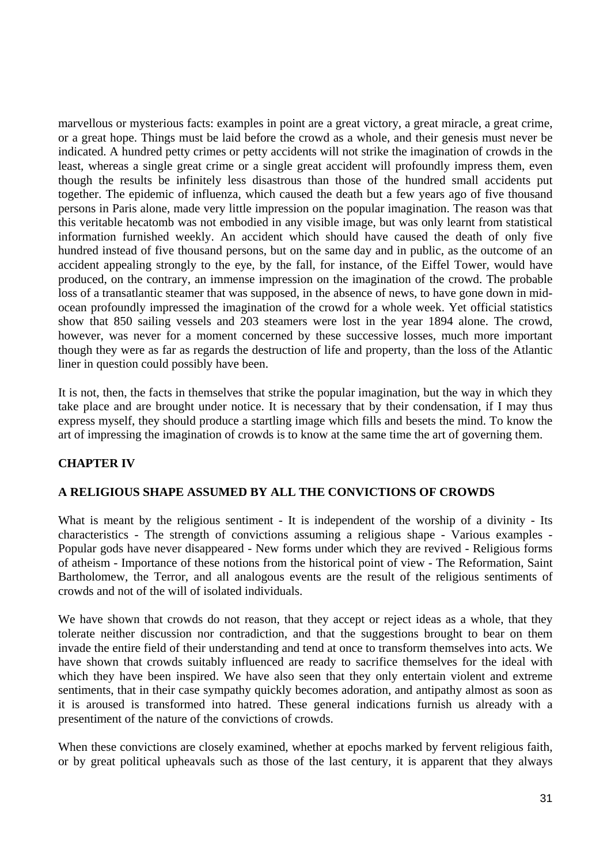marvellous or mysterious facts: examples in point are a great victory, a great miracle, a great crime, or a great hope. Things must be laid before the crowd as a whole, and their genesis must never be indicated. A hundred petty crimes or petty accidents will not strike the imagination of crowds in the least, whereas a single great crime or a single great accident will profoundly impress them, even though the results be infinitely less disastrous than those of the hundred small accidents put together. The epidemic of influenza, which caused the death but a few years ago of five thousand persons in Paris alone, made very little impression on the popular imagination. The reason was that this veritable hecatomb was not embodied in any visible image, but was only learnt from statistical information furnished weekly. An accident which should have caused the death of only five hundred instead of five thousand persons, but on the same day and in public, as the outcome of an accident appealing strongly to the eye, by the fall, for instance, of the Eiffel Tower, would have produced, on the contrary, an immense impression on the imagination of the crowd. The probable loss of a transatlantic steamer that was supposed, in the absence of news, to have gone down in midocean profoundly impressed the imagination of the crowd for a whole week. Yet official statistics show that 850 sailing vessels and 203 steamers were lost in the year 1894 alone. The crowd, however, was never for a moment concerned by these successive losses, much more important though they were as far as regards the destruction of life and property, than the loss of the Atlantic liner in question could possibly have been.

It is not, then, the facts in themselves that strike the popular imagination, but the way in which they take place and are brought under notice. It is necessary that by their condensation, if I may thus express myself, they should produce a startling image which fills and besets the mind. To know the art of impressing the imagination of crowds is to know at the same time the art of governing them.

# **CHAPTER IV**

### **A RELIGIOUS SHAPE ASSUMED BY ALL THE CONVICTIONS OF CROWDS**

What is meant by the religious sentiment - It is independent of the worship of a divinity - Its characteristics - The strength of convictions assuming a religious shape - Various examples - Popular gods have never disappeared - New forms under which they are revived - Religious forms of atheism - Importance of these notions from the historical point of view - The Reformation, Saint Bartholomew, the Terror, and all analogous events are the result of the religious sentiments of crowds and not of the will of isolated individuals.

We have shown that crowds do not reason, that they accept or reject ideas as a whole, that they tolerate neither discussion nor contradiction, and that the suggestions brought to bear on them invade the entire field of their understanding and tend at once to transform themselves into acts. We have shown that crowds suitably influenced are ready to sacrifice themselves for the ideal with which they have been inspired. We have also seen that they only entertain violent and extreme sentiments, that in their case sympathy quickly becomes adoration, and antipathy almost as soon as it is aroused is transformed into hatred. These general indications furnish us already with a presentiment of the nature of the convictions of crowds.

When these convictions are closely examined, whether at epochs marked by fervent religious faith, or by great political upheavals such as those of the last century, it is apparent that they always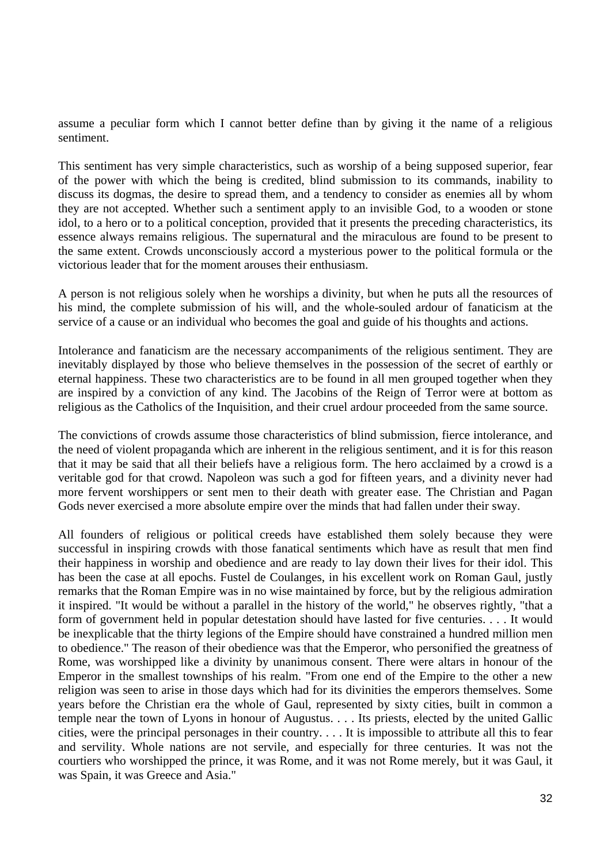assume a peculiar form which I cannot better define than by giving it the name of a religious sentiment.

This sentiment has very simple characteristics, such as worship of a being supposed superior, fear of the power with which the being is credited, blind submission to its commands, inability to discuss its dogmas, the desire to spread them, and a tendency to consider as enemies all by whom they are not accepted. Whether such a sentiment apply to an invisible God, to a wooden or stone idol, to a hero or to a political conception, provided that it presents the preceding characteristics, its essence always remains religious. The supernatural and the miraculous are found to be present to the same extent. Crowds unconsciously accord a mysterious power to the political formula or the victorious leader that for the moment arouses their enthusiasm.

A person is not religious solely when he worships a divinity, but when he puts all the resources of his mind, the complete submission of his will, and the whole-souled ardour of fanaticism at the service of a cause or an individual who becomes the goal and guide of his thoughts and actions.

Intolerance and fanaticism are the necessary accompaniments of the religious sentiment. They are inevitably displayed by those who believe themselves in the possession of the secret of earthly or eternal happiness. These two characteristics are to be found in all men grouped together when they are inspired by a conviction of any kind. The Jacobins of the Reign of Terror were at bottom as religious as the Catholics of the Inquisition, and their cruel ardour proceeded from the same source.

The convictions of crowds assume those characteristics of blind submission, fierce intolerance, and the need of violent propaganda which are inherent in the religious sentiment, and it is for this reason that it may be said that all their beliefs have a religious form. The hero acclaimed by a crowd is a veritable god for that crowd. Napoleon was such a god for fifteen years, and a divinity never had more fervent worshippers or sent men to their death with greater ease. The Christian and Pagan Gods never exercised a more absolute empire over the minds that had fallen under their sway.

All founders of religious or political creeds have established them solely because they were successful in inspiring crowds with those fanatical sentiments which have as result that men find their happiness in worship and obedience and are ready to lay down their lives for their idol. This has been the case at all epochs. Fustel de Coulanges, in his excellent work on Roman Gaul, justly remarks that the Roman Empire was in no wise maintained by force, but by the religious admiration it inspired. "It would be without a parallel in the history of the world," he observes rightly, "that a form of government held in popular detestation should have lasted for five centuries. . . . It would be inexplicable that the thirty legions of the Empire should have constrained a hundred million men to obedience." The reason of their obedience was that the Emperor, who personified the greatness of Rome, was worshipped like a divinity by unanimous consent. There were altars in honour of the Emperor in the smallest townships of his realm. "From one end of the Empire to the other a new religion was seen to arise in those days which had for its divinities the emperors themselves. Some years before the Christian era the whole of Gaul, represented by sixty cities, built in common a temple near the town of Lyons in honour of Augustus. . . . Its priests, elected by the united Gallic cities, were the principal personages in their country. . . . It is impossible to attribute all this to fear and servility. Whole nations are not servile, and especially for three centuries. It was not the courtiers who worshipped the prince, it was Rome, and it was not Rome merely, but it was Gaul, it was Spain, it was Greece and Asia."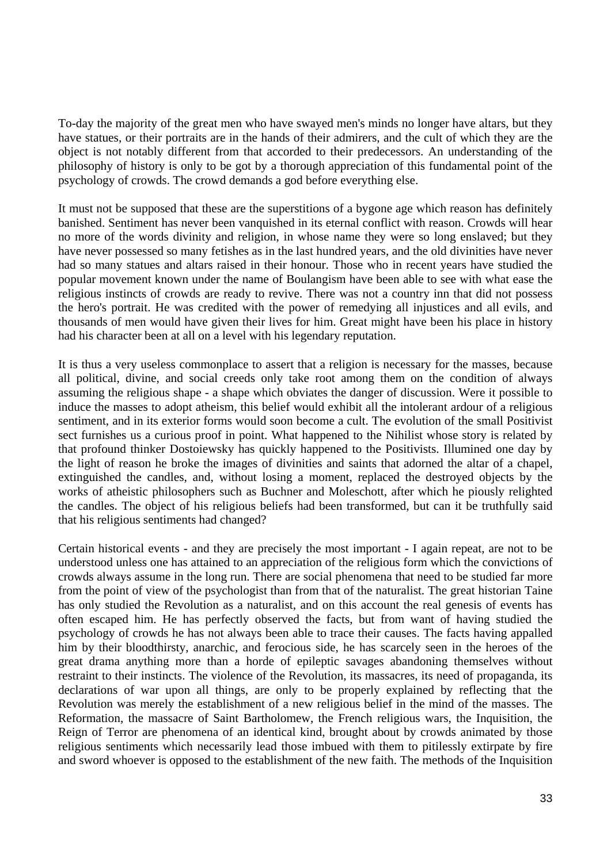To-day the majority of the great men who have swayed men's minds no longer have altars, but they have statues, or their portraits are in the hands of their admirers, and the cult of which they are the object is not notably different from that accorded to their predecessors. An understanding of the philosophy of history is only to be got by a thorough appreciation of this fundamental point of the psychology of crowds. The crowd demands a god before everything else.

It must not be supposed that these are the superstitions of a bygone age which reason has definitely banished. Sentiment has never been vanquished in its eternal conflict with reason. Crowds will hear no more of the words divinity and religion, in whose name they were so long enslaved; but they have never possessed so many fetishes as in the last hundred years, and the old divinities have never had so many statues and altars raised in their honour. Those who in recent years have studied the popular movement known under the name of Boulangism have been able to see with what ease the religious instincts of crowds are ready to revive. There was not a country inn that did not possess the hero's portrait. He was credited with the power of remedying all injustices and all evils, and thousands of men would have given their lives for him. Great might have been his place in history had his character been at all on a level with his legendary reputation.

It is thus a very useless commonplace to assert that a religion is necessary for the masses, because all political, divine, and social creeds only take root among them on the condition of always assuming the religious shape - a shape which obviates the danger of discussion. Were it possible to induce the masses to adopt atheism, this belief would exhibit all the intolerant ardour of a religious sentiment, and in its exterior forms would soon become a cult. The evolution of the small Positivist sect furnishes us a curious proof in point. What happened to the Nihilist whose story is related by that profound thinker Dostoiewsky has quickly happened to the Positivists. Illumined one day by the light of reason he broke the images of divinities and saints that adorned the altar of a chapel, extinguished the candles, and, without losing a moment, replaced the destroyed objects by the works of atheistic philosophers such as Buchner and Moleschott, after which he piously relighted the candles. The object of his religious beliefs had been transformed, but can it be truthfully said that his religious sentiments had changed?

Certain historical events - and they are precisely the most important - I again repeat, are not to be understood unless one has attained to an appreciation of the religious form which the convictions of crowds always assume in the long run. There are social phenomena that need to be studied far more from the point of view of the psychologist than from that of the naturalist. The great historian Taine has only studied the Revolution as a naturalist, and on this account the real genesis of events has often escaped him. He has perfectly observed the facts, but from want of having studied the psychology of crowds he has not always been able to trace their causes. The facts having appalled him by their bloodthirsty, anarchic, and ferocious side, he has scarcely seen in the heroes of the great drama anything more than a horde of epileptic savages abandoning themselves without restraint to their instincts. The violence of the Revolution, its massacres, its need of propaganda, its declarations of war upon all things, are only to be properly explained by reflecting that the Revolution was merely the establishment of a new religious belief in the mind of the masses. The Reformation, the massacre of Saint Bartholomew, the French religious wars, the Inquisition, the Reign of Terror are phenomena of an identical kind, brought about by crowds animated by those religious sentiments which necessarily lead those imbued with them to pitilessly extirpate by fire and sword whoever is opposed to the establishment of the new faith. The methods of the Inquisition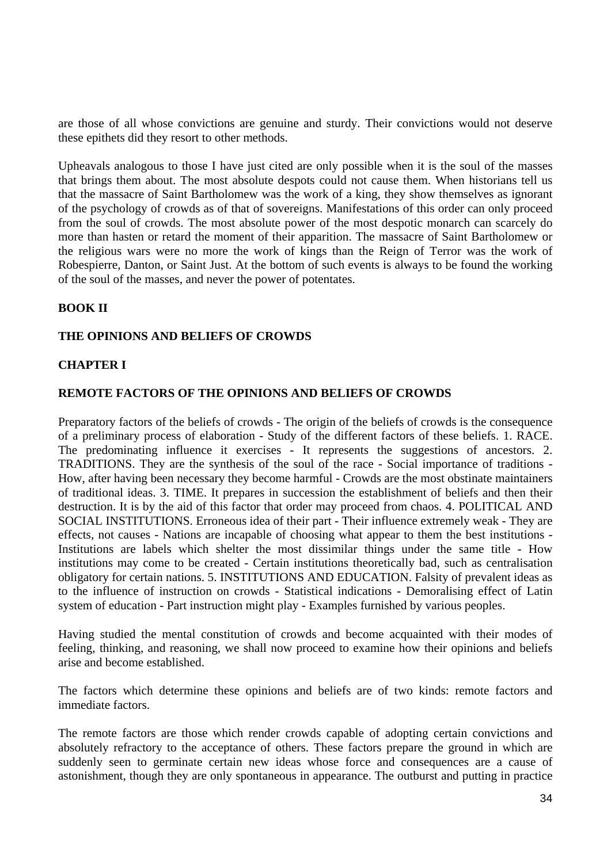are those of all whose convictions are genuine and sturdy. Their convictions would not deserve these epithets did they resort to other methods.

Upheavals analogous to those I have just cited are only possible when it is the soul of the masses that brings them about. The most absolute despots could not cause them. When historians tell us that the massacre of Saint Bartholomew was the work of a king, they show themselves as ignorant of the psychology of crowds as of that of sovereigns. Manifestations of this order can only proceed from the soul of crowds. The most absolute power of the most despotic monarch can scarcely do more than hasten or retard the moment of their apparition. The massacre of Saint Bartholomew or the religious wars were no more the work of kings than the Reign of Terror was the work of Robespierre, Danton, or Saint Just. At the bottom of such events is always to be found the working of the soul of the masses, and never the power of potentates.

### **BOOK II**

### **THE OPINIONS AND BELIEFS OF CROWDS**

#### **CHAPTER I**

#### **REMOTE FACTORS OF THE OPINIONS AND BELIEFS OF CROWDS**

Preparatory factors of the beliefs of crowds - The origin of the beliefs of crowds is the consequence of a preliminary process of elaboration - Study of the different factors of these beliefs. 1. RACE. The predominating influence it exercises - It represents the suggestions of ancestors. 2. TRADITIONS. They are the synthesis of the soul of the race - Social importance of traditions - How, after having been necessary they become harmful - Crowds are the most obstinate maintainers of traditional ideas. 3. TIME. It prepares in succession the establishment of beliefs and then their destruction. It is by the aid of this factor that order may proceed from chaos. 4. POLITICAL AND SOCIAL INSTITUTIONS. Erroneous idea of their part - Their influence extremely weak - They are effects, not causes - Nations are incapable of choosing what appear to them the best institutions - Institutions are labels which shelter the most dissimilar things under the same title - How institutions may come to be created - Certain institutions theoretically bad, such as centralisation obligatory for certain nations. 5. INSTITUTIONS AND EDUCATION. Falsity of prevalent ideas as to the influence of instruction on crowds - Statistical indications - Demoralising effect of Latin system of education - Part instruction might play - Examples furnished by various peoples.

Having studied the mental constitution of crowds and become acquainted with their modes of feeling, thinking, and reasoning, we shall now proceed to examine how their opinions and beliefs arise and become established.

The factors which determine these opinions and beliefs are of two kinds: remote factors and immediate factors.

The remote factors are those which render crowds capable of adopting certain convictions and absolutely refractory to the acceptance of others. These factors prepare the ground in which are suddenly seen to germinate certain new ideas whose force and consequences are a cause of astonishment, though they are only spontaneous in appearance. The outburst and putting in practice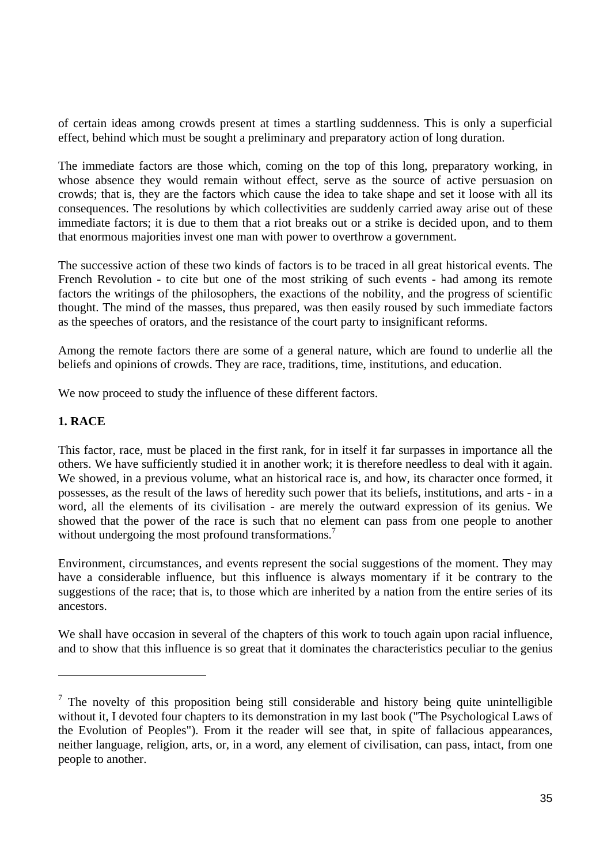of certain ideas among crowds present at times a startling suddenness. This is only a superficial effect, behind which must be sought a preliminary and preparatory action of long duration.

The immediate factors are those which, coming on the top of this long, preparatory working, in whose absence they would remain without effect, serve as the source of active persuasion on crowds; that is, they are the factors which cause the idea to take shape and set it loose with all its consequences. The resolutions by which collectivities are suddenly carried away arise out of these immediate factors; it is due to them that a riot breaks out or a strike is decided upon, and to them that enormous majorities invest one man with power to overthrow a government.

The successive action of these two kinds of factors is to be traced in all great historical events. The French Revolution - to cite but one of the most striking of such events - had among its remote factors the writings of the philosophers, the exactions of the nobility, and the progress of scientific thought. The mind of the masses, thus prepared, was then easily roused by such immediate factors as the speeches of orators, and the resistance of the court party to insignificant reforms.

Among the remote factors there are some of a general nature, which are found to underlie all the beliefs and opinions of crowds. They are race, traditions, time, institutions, and education.

We now proceed to study the influence of these different factors.

# **1. RACE**

This factor, race, must be placed in the first rank, for in itself it far surpasses in importance all the others. We have sufficiently studied it in another work; it is therefore needless to deal with it again. We showed, in a previous volume, what an historical race is, and how, its character once formed, it possesses, as the result of the laws of heredity such power that its beliefs, institutions, and arts - in a word, all the elements of its civilisation - are merely the outward expression of its genius. We showed that the power of the race is such that no element can pass from one people to another without undergoing the most profound transformations.<sup>7</sup>

Environment, circumstances, and events represent the social suggestions of the moment. They may have a considerable influence, but this influence is always momentary if it be contrary to the suggestions of the race; that is, to those which are inherited by a nation from the entire series of its ancestors.

We shall have occasion in several of the chapters of this work to touch again upon racial influence, and to show that this influence is so great that it dominates the characteristics peculiar to the genius

 $<sup>7</sup>$  The novelty of this proposition being still considerable and history being quite unintelligible</sup> without it, I devoted four chapters to its demonstration in my last book ("The Psychological Laws of the Evolution of Peoples"). From it the reader will see that, in spite of fallacious appearances, neither language, religion, arts, or, in a word, any element of civilisation, can pass, intact, from one people to another.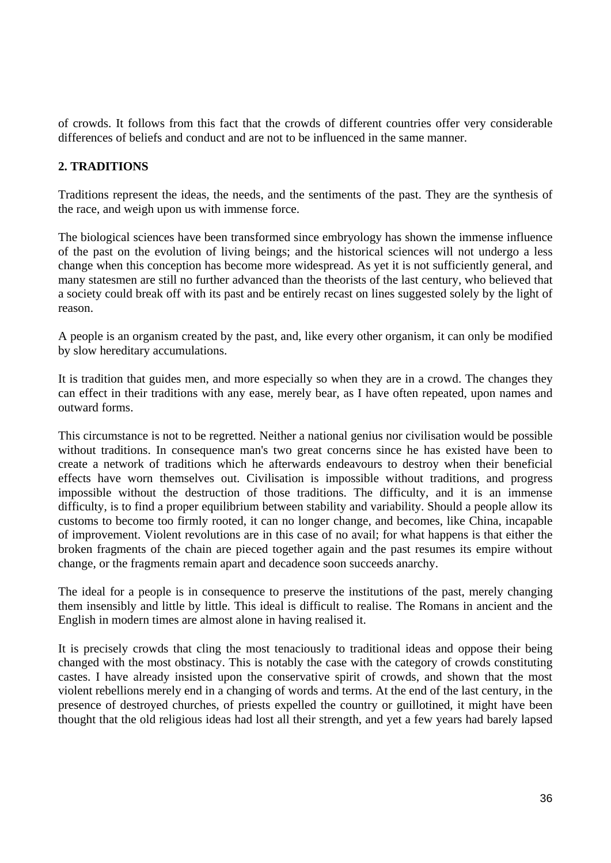of crowds. It follows from this fact that the crowds of different countries offer very considerable differences of beliefs and conduct and are not to be influenced in the same manner.

### **2. TRADITIONS**

Traditions represent the ideas, the needs, and the sentiments of the past. They are the synthesis of the race, and weigh upon us with immense force.

The biological sciences have been transformed since embryology has shown the immense influence of the past on the evolution of living beings; and the historical sciences will not undergo a less change when this conception has become more widespread. As yet it is not sufficiently general, and many statesmen are still no further advanced than the theorists of the last century, who believed that a society could break off with its past and be entirely recast on lines suggested solely by the light of reason.

A people is an organism created by the past, and, like every other organism, it can only be modified by slow hereditary accumulations.

It is tradition that guides men, and more especially so when they are in a crowd. The changes they can effect in their traditions with any ease, merely bear, as I have often repeated, upon names and outward forms.

This circumstance is not to be regretted. Neither a national genius nor civilisation would be possible without traditions. In consequence man's two great concerns since he has existed have been to create a network of traditions which he afterwards endeavours to destroy when their beneficial effects have worn themselves out. Civilisation is impossible without traditions, and progress impossible without the destruction of those traditions. The difficulty, and it is an immense difficulty, is to find a proper equilibrium between stability and variability. Should a people allow its customs to become too firmly rooted, it can no longer change, and becomes, like China, incapable of improvement. Violent revolutions are in this case of no avail; for what happens is that either the broken fragments of the chain are pieced together again and the past resumes its empire without change, or the fragments remain apart and decadence soon succeeds anarchy.

The ideal for a people is in consequence to preserve the institutions of the past, merely changing them insensibly and little by little. This ideal is difficult to realise. The Romans in ancient and the English in modern times are almost alone in having realised it.

It is precisely crowds that cling the most tenaciously to traditional ideas and oppose their being changed with the most obstinacy. This is notably the case with the category of crowds constituting castes. I have already insisted upon the conservative spirit of crowds, and shown that the most violent rebellions merely end in a changing of words and terms. At the end of the last century, in the presence of destroyed churches, of priests expelled the country or guillotined, it might have been thought that the old religious ideas had lost all their strength, and yet a few years had barely lapsed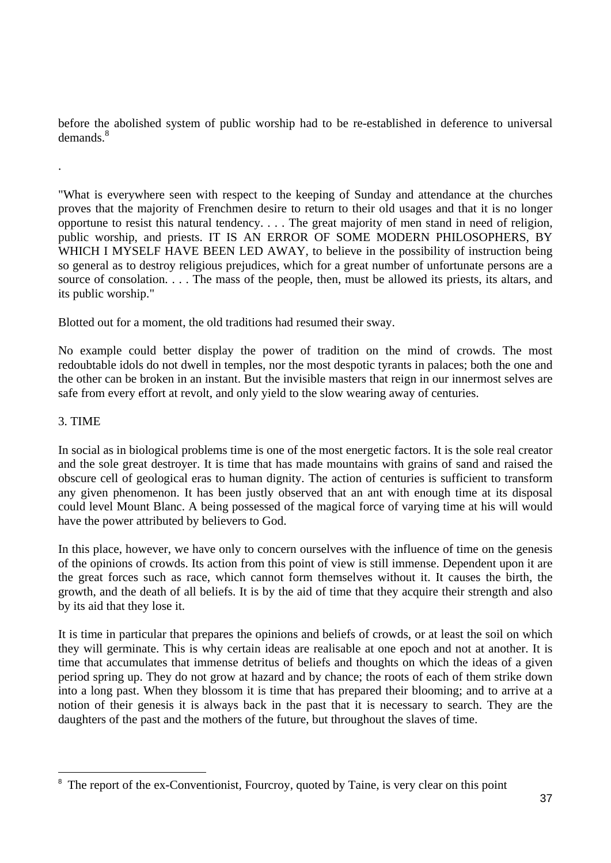before the abolished system of public worship had to be re-established in deference to universal demands<sup>8</sup>

"What is everywhere seen with respect to the keeping of Sunday and attendance at the churches proves that the majority of Frenchmen desire to return to their old usages and that it is no longer opportune to resist this natural tendency. . . . The great majority of men stand in need of religion, public worship, and priests. IT IS AN ERROR OF SOME MODERN PHILOSOPHERS, BY WHICH I MYSELF HAVE BEEN LED AWAY, to believe in the possibility of instruction being so general as to destroy religious prejudices, which for a great number of unfortunate persons are a source of consolation. . . . The mass of the people, then, must be allowed its priests, its altars, and its public worship."

Blotted out for a moment, the old traditions had resumed their sway.

No example could better display the power of tradition on the mind of crowds. The most redoubtable idols do not dwell in temples, nor the most despotic tyrants in palaces; both the one and the other can be broken in an instant. But the invisible masters that reign in our innermost selves are safe from every effort at revolt, and only yield to the slow wearing away of centuries.

#### 3. TIME

.

In social as in biological problems time is one of the most energetic factors. It is the sole real creator and the sole great destroyer. It is time that has made mountains with grains of sand and raised the obscure cell of geological eras to human dignity. The action of centuries is sufficient to transform any given phenomenon. It has been justly observed that an ant with enough time at its disposal could level Mount Blanc. A being possessed of the magical force of varying time at his will would have the power attributed by believers to God.

In this place, however, we have only to concern ourselves with the influence of time on the genesis of the opinions of crowds. Its action from this point of view is still immense. Dependent upon it are the great forces such as race, which cannot form themselves without it. It causes the birth, the growth, and the death of all beliefs. It is by the aid of time that they acquire their strength and also by its aid that they lose it.

It is time in particular that prepares the opinions and beliefs of crowds, or at least the soil on which they will germinate. This is why certain ideas are realisable at one epoch and not at another. It is time that accumulates that immense detritus of beliefs and thoughts on which the ideas of a given period spring up. They do not grow at hazard and by chance; the roots of each of them strike down into a long past. When they blossom it is time that has prepared their blooming; and to arrive at a notion of their genesis it is always back in the past that it is necessary to search. They are the daughters of the past and the mothers of the future, but throughout the slaves of time.

<sup>&</sup>lt;sup>8</sup> The report of the ex-Conventionist, Fourcroy, quoted by Taine, is very clear on this point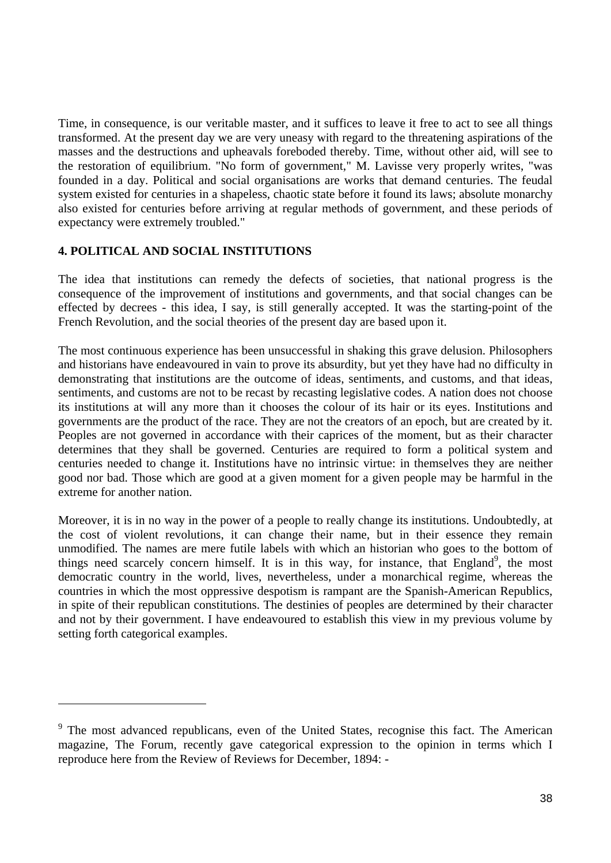Time, in consequence, is our veritable master, and it suffices to leave it free to act to see all things transformed. At the present day we are very uneasy with regard to the threatening aspirations of the masses and the destructions and upheavals foreboded thereby. Time, without other aid, will see to the restoration of equilibrium. "No form of government," M. Lavisse very properly writes, "was founded in a day. Political and social organisations are works that demand centuries. The feudal system existed for centuries in a shapeless, chaotic state before it found its laws; absolute monarchy also existed for centuries before arriving at regular methods of government, and these periods of expectancy were extremely troubled."

### **4. POLITICAL AND SOCIAL INSTITUTIONS**

 $\overline{a}$ 

The idea that institutions can remedy the defects of societies, that national progress is the consequence of the improvement of institutions and governments, and that social changes can be effected by decrees - this idea, I say, is still generally accepted. It was the starting-point of the French Revolution, and the social theories of the present day are based upon it.

The most continuous experience has been unsuccessful in shaking this grave delusion. Philosophers and historians have endeavoured in vain to prove its absurdity, but yet they have had no difficulty in demonstrating that institutions are the outcome of ideas, sentiments, and customs, and that ideas, sentiments, and customs are not to be recast by recasting legislative codes. A nation does not choose its institutions at will any more than it chooses the colour of its hair or its eyes. Institutions and governments are the product of the race. They are not the creators of an epoch, but are created by it. Peoples are not governed in accordance with their caprices of the moment, but as their character determines that they shall be governed. Centuries are required to form a political system and centuries needed to change it. Institutions have no intrinsic virtue: in themselves they are neither good nor bad. Those which are good at a given moment for a given people may be harmful in the extreme for another nation.

Moreover, it is in no way in the power of a people to really change its institutions. Undoubtedly, at the cost of violent revolutions, it can change their name, but in their essence they remain unmodified. The names are mere futile labels with which an historian who goes to the bottom of things need scarcely concern himself. It is in this way, for instance, that England<sup>9</sup>, the most democratic country in the world, lives, nevertheless, under a monarchical regime, whereas the countries in which the most oppressive despotism is rampant are the Spanish-American Republics, in spite of their republican constitutions. The destinies of peoples are determined by their character and not by their government. I have endeavoured to establish this view in my previous volume by setting forth categorical examples.

<sup>&</sup>lt;sup>9</sup> The most advanced republicans, even of the United States, recognise this fact. The American magazine, The Forum, recently gave categorical expression to the opinion in terms which I reproduce here from the Review of Reviews for December, 1894: -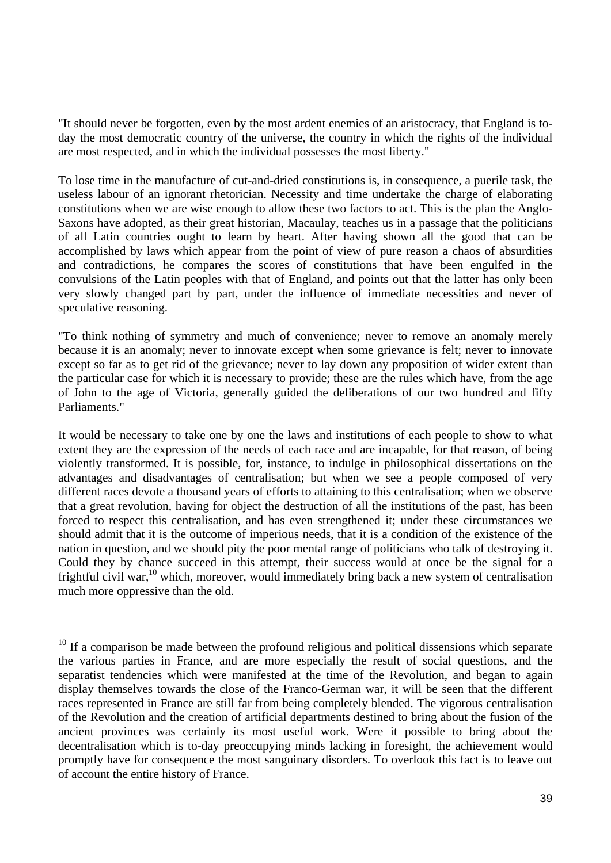"It should never be forgotten, even by the most ardent enemies of an aristocracy, that England is today the most democratic country of the universe, the country in which the rights of the individual are most respected, and in which the individual possesses the most liberty."

To lose time in the manufacture of cut-and-dried constitutions is, in consequence, a puerile task, the useless labour of an ignorant rhetorician. Necessity and time undertake the charge of elaborating constitutions when we are wise enough to allow these two factors to act. This is the plan the Anglo-Saxons have adopted, as their great historian, Macaulay, teaches us in a passage that the politicians of all Latin countries ought to learn by heart. After having shown all the good that can be accomplished by laws which appear from the point of view of pure reason a chaos of absurdities and contradictions, he compares the scores of constitutions that have been engulfed in the convulsions of the Latin peoples with that of England, and points out that the latter has only been very slowly changed part by part, under the influence of immediate necessities and never of speculative reasoning.

"To think nothing of symmetry and much of convenience; never to remove an anomaly merely because it is an anomaly; never to innovate except when some grievance is felt; never to innovate except so far as to get rid of the grievance; never to lay down any proposition of wider extent than the particular case for which it is necessary to provide; these are the rules which have, from the age of John to the age of Victoria, generally guided the deliberations of our two hundred and fifty Parliaments."

It would be necessary to take one by one the laws and institutions of each people to show to what extent they are the expression of the needs of each race and are incapable, for that reason, of being violently transformed. It is possible, for, instance, to indulge in philosophical dissertations on the advantages and disadvantages of centralisation; but when we see a people composed of very different races devote a thousand years of efforts to attaining to this centralisation; when we observe that a great revolution, having for object the destruction of all the institutions of the past, has been forced to respect this centralisation, and has even strengthened it; under these circumstances we should admit that it is the outcome of imperious needs, that it is a condition of the existence of the nation in question, and we should pity the poor mental range of politicians who talk of destroying it. Could they by chance succeed in this attempt, their success would at once be the signal for a frightful civil war,10 which, moreover, would immediately bring back a new system of centralisation much more oppressive than the old.

 $10$  If a comparison be made between the profound religious and political dissensions which separate the various parties in France, and are more especially the result of social questions, and the separatist tendencies which were manifested at the time of the Revolution, and began to again display themselves towards the close of the Franco-German war, it will be seen that the different races represented in France are still far from being completely blended. The vigorous centralisation of the Revolution and the creation of artificial departments destined to bring about the fusion of the ancient provinces was certainly its most useful work. Were it possible to bring about the decentralisation which is to-day preoccupying minds lacking in foresight, the achievement would promptly have for consequence the most sanguinary disorders. To overlook this fact is to leave out of account the entire history of France.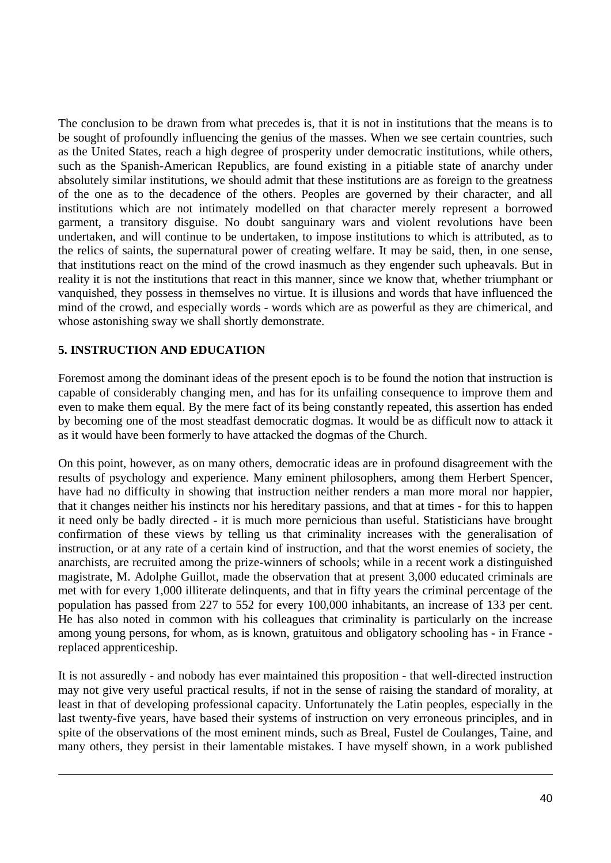The conclusion to be drawn from what precedes is, that it is not in institutions that the means is to be sought of profoundly influencing the genius of the masses. When we see certain countries, such as the United States, reach a high degree of prosperity under democratic institutions, while others, such as the Spanish-American Republics, are found existing in a pitiable state of anarchy under absolutely similar institutions, we should admit that these institutions are as foreign to the greatness of the one as to the decadence of the others. Peoples are governed by their character, and all institutions which are not intimately modelled on that character merely represent a borrowed garment, a transitory disguise. No doubt sanguinary wars and violent revolutions have been undertaken, and will continue to be undertaken, to impose institutions to which is attributed, as to the relics of saints, the supernatural power of creating welfare. It may be said, then, in one sense, that institutions react on the mind of the crowd inasmuch as they engender such upheavals. But in reality it is not the institutions that react in this manner, since we know that, whether triumphant or vanquished, they possess in themselves no virtue. It is illusions and words that have influenced the mind of the crowd, and especially words - words which are as powerful as they are chimerical, and whose astonishing sway we shall shortly demonstrate.

### **5. INSTRUCTION AND EDUCATION**

 $\overline{a}$ 

Foremost among the dominant ideas of the present epoch is to be found the notion that instruction is capable of considerably changing men, and has for its unfailing consequence to improve them and even to make them equal. By the mere fact of its being constantly repeated, this assertion has ended by becoming one of the most steadfast democratic dogmas. It would be as difficult now to attack it as it would have been formerly to have attacked the dogmas of the Church.

On this point, however, as on many others, democratic ideas are in profound disagreement with the results of psychology and experience. Many eminent philosophers, among them Herbert Spencer, have had no difficulty in showing that instruction neither renders a man more moral nor happier, that it changes neither his instincts nor his hereditary passions, and that at times - for this to happen it need only be badly directed - it is much more pernicious than useful. Statisticians have brought confirmation of these views by telling us that criminality increases with the generalisation of instruction, or at any rate of a certain kind of instruction, and that the worst enemies of society, the anarchists, are recruited among the prize-winners of schools; while in a recent work a distinguished magistrate, M. Adolphe Guillot, made the observation that at present 3,000 educated criminals are met with for every 1,000 illiterate delinquents, and that in fifty years the criminal percentage of the population has passed from 227 to 552 for every 100,000 inhabitants, an increase of 133 per cent. He has also noted in common with his colleagues that criminality is particularly on the increase among young persons, for whom, as is known, gratuitous and obligatory schooling has - in France replaced apprenticeship.

It is not assuredly - and nobody has ever maintained this proposition - that well-directed instruction may not give very useful practical results, if not in the sense of raising the standard of morality, at least in that of developing professional capacity. Unfortunately the Latin peoples, especially in the last twenty-five years, have based their systems of instruction on very erroneous principles, and in spite of the observations of the most eminent minds, such as Breal, Fustel de Coulanges, Taine, and many others, they persist in their lamentable mistakes. I have myself shown, in a work published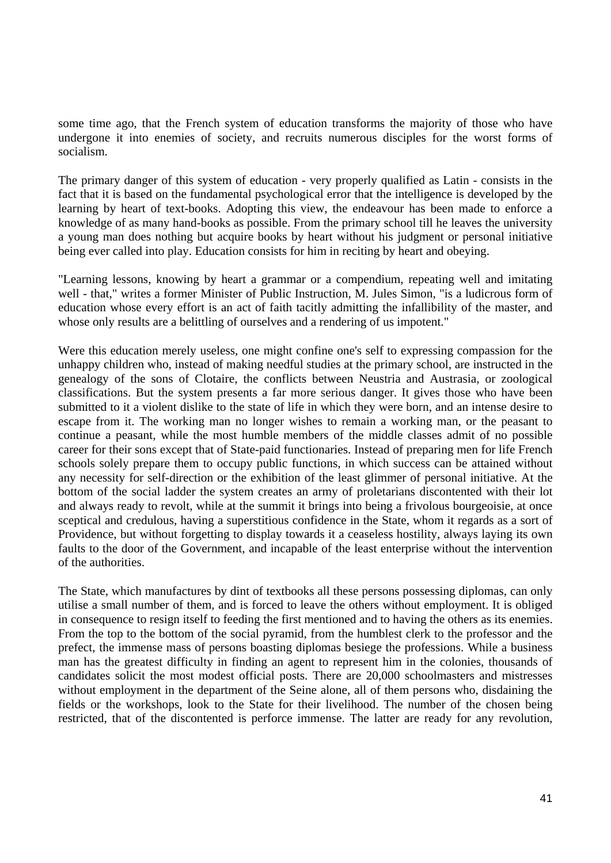some time ago, that the French system of education transforms the majority of those who have undergone it into enemies of society, and recruits numerous disciples for the worst forms of socialism.

The primary danger of this system of education - very properly qualified as Latin - consists in the fact that it is based on the fundamental psychological error that the intelligence is developed by the learning by heart of text-books. Adopting this view, the endeavour has been made to enforce a knowledge of as many hand-books as possible. From the primary school till he leaves the university a young man does nothing but acquire books by heart without his judgment or personal initiative being ever called into play. Education consists for him in reciting by heart and obeying.

"Learning lessons, knowing by heart a grammar or a compendium, repeating well and imitating well - that," writes a former Minister of Public Instruction, M. Jules Simon, "is a ludicrous form of education whose every effort is an act of faith tacitly admitting the infallibility of the master, and whose only results are a belittling of ourselves and a rendering of us impotent."

Were this education merely useless, one might confine one's self to expressing compassion for the unhappy children who, instead of making needful studies at the primary school, are instructed in the genealogy of the sons of Clotaire, the conflicts between Neustria and Austrasia, or zoological classifications. But the system presents a far more serious danger. It gives those who have been submitted to it a violent dislike to the state of life in which they were born, and an intense desire to escape from it. The working man no longer wishes to remain a working man, or the peasant to continue a peasant, while the most humble members of the middle classes admit of no possible career for their sons except that of State-paid functionaries. Instead of preparing men for life French schools solely prepare them to occupy public functions, in which success can be attained without any necessity for self-direction or the exhibition of the least glimmer of personal initiative. At the bottom of the social ladder the system creates an army of proletarians discontented with their lot and always ready to revolt, while at the summit it brings into being a frivolous bourgeoisie, at once sceptical and credulous, having a superstitious confidence in the State, whom it regards as a sort of Providence, but without forgetting to display towards it a ceaseless hostility, always laying its own faults to the door of the Government, and incapable of the least enterprise without the intervention of the authorities.

The State, which manufactures by dint of textbooks all these persons possessing diplomas, can only utilise a small number of them, and is forced to leave the others without employment. It is obliged in consequence to resign itself to feeding the first mentioned and to having the others as its enemies. From the top to the bottom of the social pyramid, from the humblest clerk to the professor and the prefect, the immense mass of persons boasting diplomas besiege the professions. While a business man has the greatest difficulty in finding an agent to represent him in the colonies, thousands of candidates solicit the most modest official posts. There are 20,000 schoolmasters and mistresses without employment in the department of the Seine alone, all of them persons who, disdaining the fields or the workshops, look to the State for their livelihood. The number of the chosen being restricted, that of the discontented is perforce immense. The latter are ready for any revolution,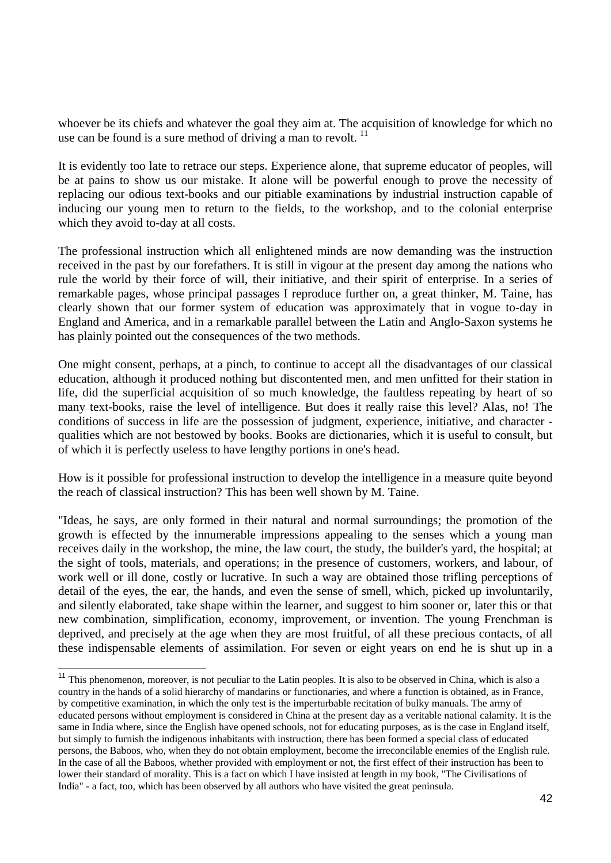whoever be its chiefs and whatever the goal they aim at. The acquisition of knowledge for which no use can be found is a sure method of driving a man to revolt.  $11$ 

It is evidently too late to retrace our steps. Experience alone, that supreme educator of peoples, will be at pains to show us our mistake. It alone will be powerful enough to prove the necessity of replacing our odious text-books and our pitiable examinations by industrial instruction capable of inducing our young men to return to the fields, to the workshop, and to the colonial enterprise which they avoid to-day at all costs.

The professional instruction which all enlightened minds are now demanding was the instruction received in the past by our forefathers. It is still in vigour at the present day among the nations who rule the world by their force of will, their initiative, and their spirit of enterprise. In a series of remarkable pages, whose principal passages I reproduce further on, a great thinker, M. Taine, has clearly shown that our former system of education was approximately that in vogue to-day in England and America, and in a remarkable parallel between the Latin and Anglo-Saxon systems he has plainly pointed out the consequences of the two methods.

One might consent, perhaps, at a pinch, to continue to accept all the disadvantages of our classical education, although it produced nothing but discontented men, and men unfitted for their station in life, did the superficial acquisition of so much knowledge, the faultless repeating by heart of so many text-books, raise the level of intelligence. But does it really raise this level? Alas, no! The conditions of success in life are the possession of judgment, experience, initiative, and character qualities which are not bestowed by books. Books are dictionaries, which it is useful to consult, but of which it is perfectly useless to have lengthy portions in one's head.

How is it possible for professional instruction to develop the intelligence in a measure quite beyond the reach of classical instruction? This has been well shown by M. Taine.

"Ideas, he says, are only formed in their natural and normal surroundings; the promotion of the growth is effected by the innumerable impressions appealing to the senses which a young man receives daily in the workshop, the mine, the law court, the study, the builder's yard, the hospital; at the sight of tools, materials, and operations; in the presence of customers, workers, and labour, of work well or ill done, costly or lucrative. In such a way are obtained those trifling perceptions of detail of the eyes, the ear, the hands, and even the sense of smell, which, picked up involuntarily, and silently elaborated, take shape within the learner, and suggest to him sooner or, later this or that new combination, simplification, economy, improvement, or invention. The young Frenchman is deprived, and precisely at the age when they are most fruitful, of all these precious contacts, of all these indispensable elements of assimilation. For seven or eight years on end he is shut up in a

 $11$  This phenomenon, moreover, is not peculiar to the Latin peoples. It is also to be observed in China, which is also a country in the hands of a solid hierarchy of mandarins or functionaries, and where a function is obtained, as in France, by competitive examination, in which the only test is the imperturbable recitation of bulky manuals. The army of educated persons without employment is considered in China at the present day as a veritable national calamity. It is the same in India where, since the English have opened schools, not for educating purposes, as is the case in England itself, but simply to furnish the indigenous inhabitants with instruction, there has been formed a special class of educated persons, the Baboos, who, when they do not obtain employment, become the irreconcilable enemies of the English rule. In the case of all the Baboos, whether provided with employment or not, the first effect of their instruction has been to lower their standard of morality. This is a fact on which I have insisted at length in my book, "The Civilisations of India" - a fact, too, which has been observed by all authors who have visited the great peninsula.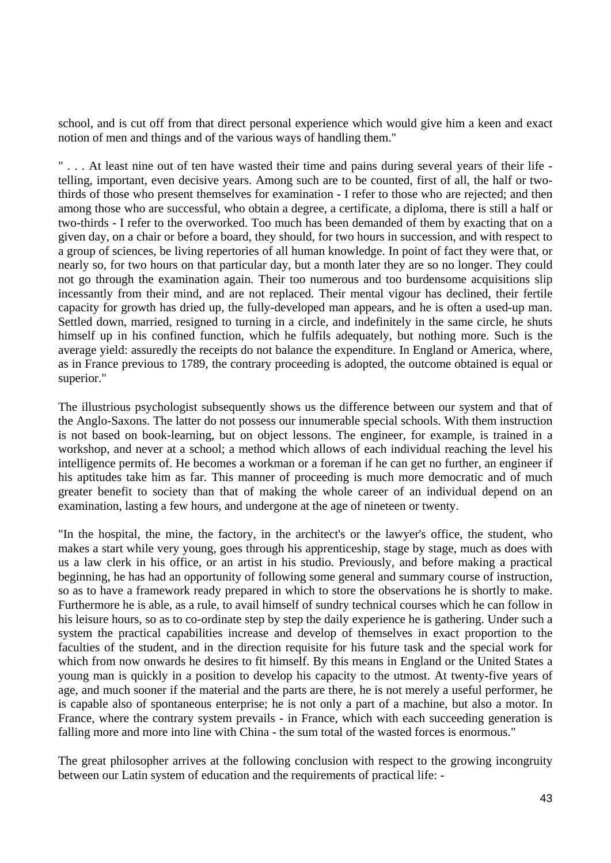school, and is cut off from that direct personal experience which would give him a keen and exact notion of men and things and of the various ways of handling them."

" . . . At least nine out of ten have wasted their time and pains during several years of their life telling, important, even decisive years. Among such are to be counted, first of all, the half or twothirds of those who present themselves for examination - I refer to those who are rejected; and then among those who are successful, who obtain a degree, a certificate, a diploma, there is still a half or two-thirds - I refer to the overworked. Too much has been demanded of them by exacting that on a given day, on a chair or before a board, they should, for two hours in succession, and with respect to a group of sciences, be living repertories of all human knowledge. In point of fact they were that, or nearly so, for two hours on that particular day, but a month later they are so no longer. They could not go through the examination again. Their too numerous and too burdensome acquisitions slip incessantly from their mind, and are not replaced. Their mental vigour has declined, their fertile capacity for growth has dried up, the fully-developed man appears, and he is often a used-up man. Settled down, married, resigned to turning in a circle, and indefinitely in the same circle, he shuts himself up in his confined function, which he fulfils adequately, but nothing more. Such is the average yield: assuredly the receipts do not balance the expenditure. In England or America, where, as in France previous to 1789, the contrary proceeding is adopted, the outcome obtained is equal or superior."

The illustrious psychologist subsequently shows us the difference between our system and that of the Anglo-Saxons. The latter do not possess our innumerable special schools. With them instruction is not based on book-learning, but on object lessons. The engineer, for example, is trained in a workshop, and never at a school; a method which allows of each individual reaching the level his intelligence permits of. He becomes a workman or a foreman if he can get no further, an engineer if his aptitudes take him as far. This manner of proceeding is much more democratic and of much greater benefit to society than that of making the whole career of an individual depend on an examination, lasting a few hours, and undergone at the age of nineteen or twenty.

"In the hospital, the mine, the factory, in the architect's or the lawyer's office, the student, who makes a start while very young, goes through his apprenticeship, stage by stage, much as does with us a law clerk in his office, or an artist in his studio. Previously, and before making a practical beginning, he has had an opportunity of following some general and summary course of instruction, so as to have a framework ready prepared in which to store the observations he is shortly to make. Furthermore he is able, as a rule, to avail himself of sundry technical courses which he can follow in his leisure hours, so as to co-ordinate step by step the daily experience he is gathering. Under such a system the practical capabilities increase and develop of themselves in exact proportion to the faculties of the student, and in the direction requisite for his future task and the special work for which from now onwards he desires to fit himself. By this means in England or the United States a young man is quickly in a position to develop his capacity to the utmost. At twenty-five years of age, and much sooner if the material and the parts are there, he is not merely a useful performer, he is capable also of spontaneous enterprise; he is not only a part of a machine, but also a motor. In France, where the contrary system prevails - in France, which with each succeeding generation is falling more and more into line with China - the sum total of the wasted forces is enormous."

The great philosopher arrives at the following conclusion with respect to the growing incongruity between our Latin system of education and the requirements of practical life: -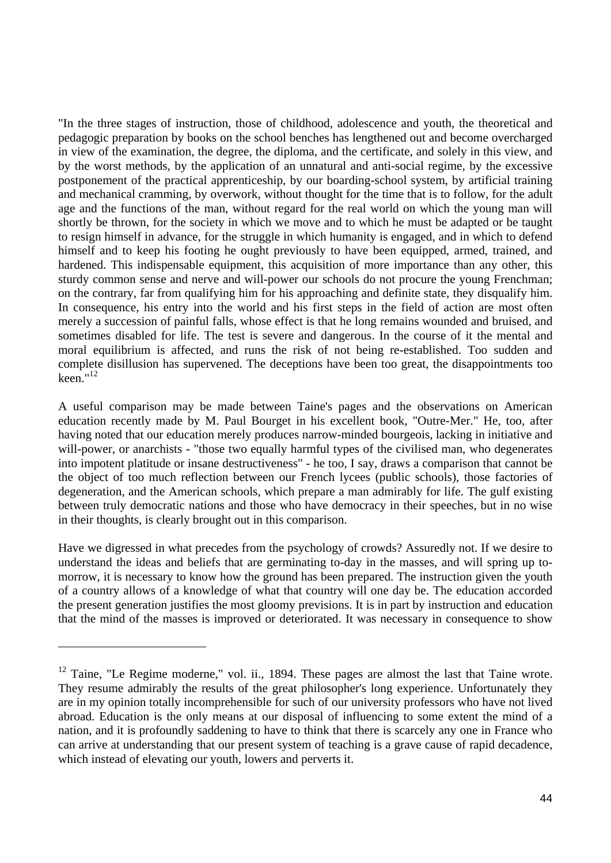"In the three stages of instruction, those of childhood, adolescence and youth, the theoretical and pedagogic preparation by books on the school benches has lengthened out and become overcharged in view of the examination, the degree, the diploma, and the certificate, and solely in this view, and by the worst methods, by the application of an unnatural and anti-social regime, by the excessive postponement of the practical apprenticeship, by our boarding-school system, by artificial training and mechanical cramming, by overwork, without thought for the time that is to follow, for the adult age and the functions of the man, without regard for the real world on which the young man will shortly be thrown, for the society in which we move and to which he must be adapted or be taught to resign himself in advance, for the struggle in which humanity is engaged, and in which to defend himself and to keep his footing he ought previously to have been equipped, armed, trained, and hardened. This indispensable equipment, this acquisition of more importance than any other, this sturdy common sense and nerve and will-power our schools do not procure the young Frenchman; on the contrary, far from qualifying him for his approaching and definite state, they disqualify him. In consequence, his entry into the world and his first steps in the field of action are most often merely a succession of painful falls, whose effect is that he long remains wounded and bruised, and sometimes disabled for life. The test is severe and dangerous. In the course of it the mental and moral equilibrium is affected, and runs the risk of not being re-established. Too sudden and complete disillusion has supervened. The deceptions have been too great, the disappointments too keen." $^{12}$ 

A useful comparison may be made between Taine's pages and the observations on American education recently made by M. Paul Bourget in his excellent book, "Outre-Mer." He, too, after having noted that our education merely produces narrow-minded bourgeois, lacking in initiative and will-power, or anarchists - "those two equally harmful types of the civilised man, who degenerates into impotent platitude or insane destructiveness" - he too, I say, draws a comparison that cannot be the object of too much reflection between our French lycees (public schools), those factories of degeneration, and the American schools, which prepare a man admirably for life. The gulf existing between truly democratic nations and those who have democracy in their speeches, but in no wise in their thoughts, is clearly brought out in this comparison.

Have we digressed in what precedes from the psychology of crowds? Assuredly not. If we desire to understand the ideas and beliefs that are germinating to-day in the masses, and will spring up tomorrow, it is necessary to know how the ground has been prepared. The instruction given the youth of a country allows of a knowledge of what that country will one day be. The education accorded the present generation justifies the most gloomy previsions. It is in part by instruction and education that the mind of the masses is improved or deteriorated. It was necessary in consequence to show

<sup>&</sup>lt;sup>12</sup> Taine, "Le Regime moderne," vol. ii., 1894. These pages are almost the last that Taine wrote. They resume admirably the results of the great philosopher's long experience. Unfortunately they are in my opinion totally incomprehensible for such of our university professors who have not lived abroad. Education is the only means at our disposal of influencing to some extent the mind of a nation, and it is profoundly saddening to have to think that there is scarcely any one in France who can arrive at understanding that our present system of teaching is a grave cause of rapid decadence, which instead of elevating our youth, lowers and perverts it.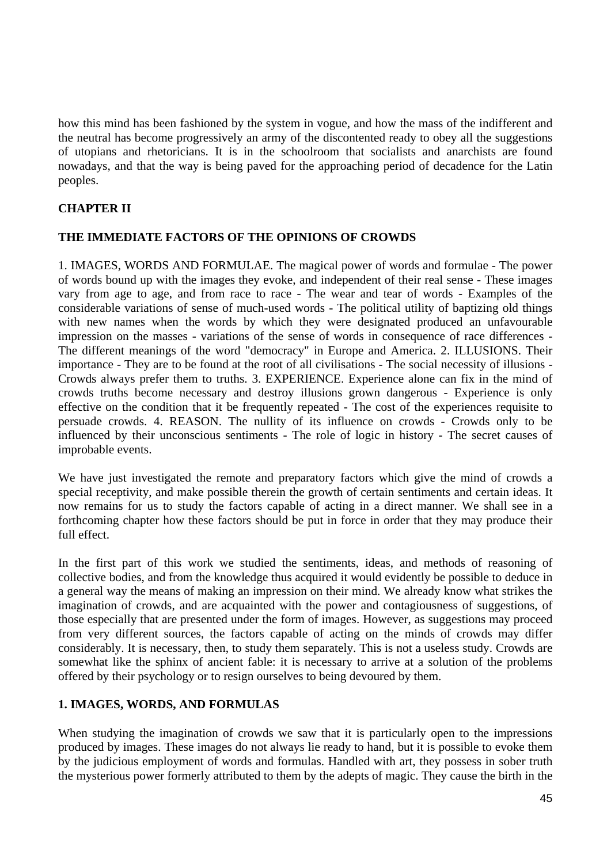how this mind has been fashioned by the system in vogue, and how the mass of the indifferent and the neutral has become progressively an army of the discontented ready to obey all the suggestions of utopians and rhetoricians. It is in the schoolroom that socialists and anarchists are found nowadays, and that the way is being paved for the approaching period of decadence for the Latin peoples.

# **CHAPTER II**

## **THE IMMEDIATE FACTORS OF THE OPINIONS OF CROWDS**

1. IMAGES, WORDS AND FORMULAE. The magical power of words and formulae - The power of words bound up with the images they evoke, and independent of their real sense - These images vary from age to age, and from race to race - The wear and tear of words - Examples of the considerable variations of sense of much-used words - The political utility of baptizing old things with new names when the words by which they were designated produced an unfavourable impression on the masses - variations of the sense of words in consequence of race differences - The different meanings of the word "democracy" in Europe and America. 2. ILLUSIONS. Their importance - They are to be found at the root of all civilisations - The social necessity of illusions - Crowds always prefer them to truths. 3. EXPERIENCE. Experience alone can fix in the mind of crowds truths become necessary and destroy illusions grown dangerous - Experience is only effective on the condition that it be frequently repeated - The cost of the experiences requisite to persuade crowds. 4. REASON. The nullity of its influence on crowds - Crowds only to be influenced by their unconscious sentiments - The role of logic in history - The secret causes of improbable events.

We have just investigated the remote and preparatory factors which give the mind of crowds a special receptivity, and make possible therein the growth of certain sentiments and certain ideas. It now remains for us to study the factors capable of acting in a direct manner. We shall see in a forthcoming chapter how these factors should be put in force in order that they may produce their full effect.

In the first part of this work we studied the sentiments, ideas, and methods of reasoning of collective bodies, and from the knowledge thus acquired it would evidently be possible to deduce in a general way the means of making an impression on their mind. We already know what strikes the imagination of crowds, and are acquainted with the power and contagiousness of suggestions, of those especially that are presented under the form of images. However, as suggestions may proceed from very different sources, the factors capable of acting on the minds of crowds may differ considerably. It is necessary, then, to study them separately. This is not a useless study. Crowds are somewhat like the sphinx of ancient fable: it is necessary to arrive at a solution of the problems offered by their psychology or to resign ourselves to being devoured by them.

### **1. IMAGES, WORDS, AND FORMULAS**

When studying the imagination of crowds we saw that it is particularly open to the impressions produced by images. These images do not always lie ready to hand, but it is possible to evoke them by the judicious employment of words and formulas. Handled with art, they possess in sober truth the mysterious power formerly attributed to them by the adepts of magic. They cause the birth in the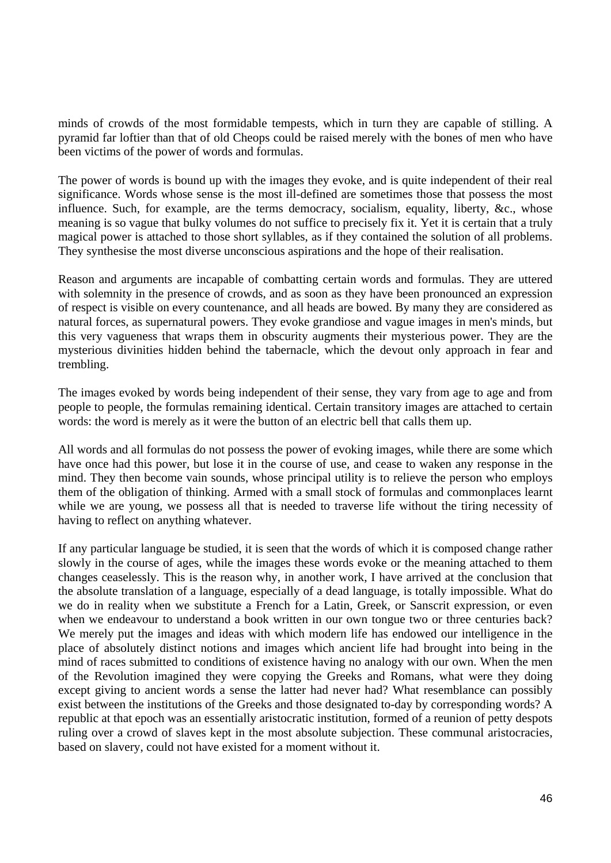minds of crowds of the most formidable tempests, which in turn they are capable of stilling. A pyramid far loftier than that of old Cheops could be raised merely with the bones of men who have been victims of the power of words and formulas.

The power of words is bound up with the images they evoke, and is quite independent of their real significance. Words whose sense is the most ill-defined are sometimes those that possess the most influence. Such, for example, are the terms democracy, socialism, equality, liberty, &c., whose meaning is so vague that bulky volumes do not suffice to precisely fix it. Yet it is certain that a truly magical power is attached to those short syllables, as if they contained the solution of all problems. They synthesise the most diverse unconscious aspirations and the hope of their realisation.

Reason and arguments are incapable of combatting certain words and formulas. They are uttered with solemnity in the presence of crowds, and as soon as they have been pronounced an expression of respect is visible on every countenance, and all heads are bowed. By many they are considered as natural forces, as supernatural powers. They evoke grandiose and vague images in men's minds, but this very vagueness that wraps them in obscurity augments their mysterious power. They are the mysterious divinities hidden behind the tabernacle, which the devout only approach in fear and trembling.

The images evoked by words being independent of their sense, they vary from age to age and from people to people, the formulas remaining identical. Certain transitory images are attached to certain words: the word is merely as it were the button of an electric bell that calls them up.

All words and all formulas do not possess the power of evoking images, while there are some which have once had this power, but lose it in the course of use, and cease to waken any response in the mind. They then become vain sounds, whose principal utility is to relieve the person who employs them of the obligation of thinking. Armed with a small stock of formulas and commonplaces learnt while we are young, we possess all that is needed to traverse life without the tiring necessity of having to reflect on anything whatever.

If any particular language be studied, it is seen that the words of which it is composed change rather slowly in the course of ages, while the images these words evoke or the meaning attached to them changes ceaselessly. This is the reason why, in another work, I have arrived at the conclusion that the absolute translation of a language, especially of a dead language, is totally impossible. What do we do in reality when we substitute a French for a Latin, Greek, or Sanscrit expression, or even when we endeavour to understand a book written in our own tongue two or three centuries back? We merely put the images and ideas with which modern life has endowed our intelligence in the place of absolutely distinct notions and images which ancient life had brought into being in the mind of races submitted to conditions of existence having no analogy with our own. When the men of the Revolution imagined they were copying the Greeks and Romans, what were they doing except giving to ancient words a sense the latter had never had? What resemblance can possibly exist between the institutions of the Greeks and those designated to-day by corresponding words? A republic at that epoch was an essentially aristocratic institution, formed of a reunion of petty despots ruling over a crowd of slaves kept in the most absolute subjection. These communal aristocracies, based on slavery, could not have existed for a moment without it.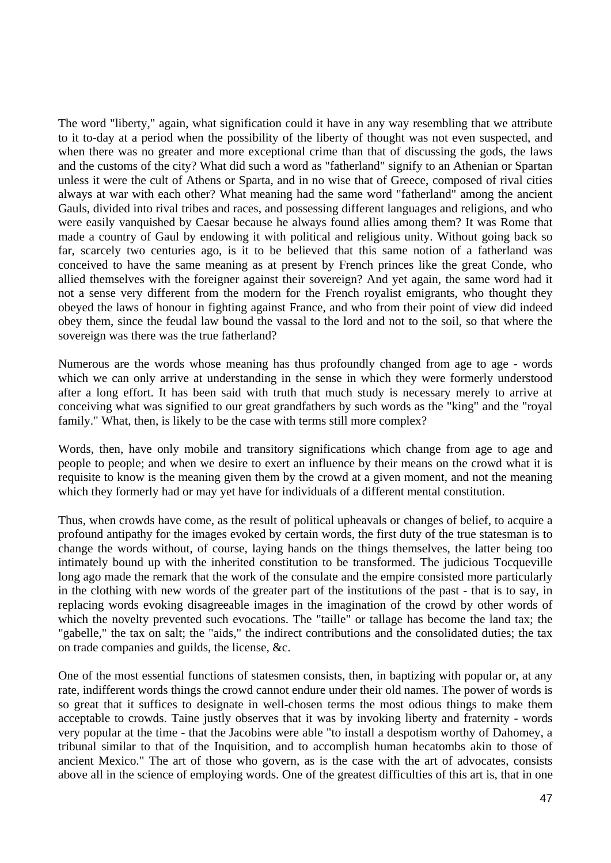The word "liberty," again, what signification could it have in any way resembling that we attribute to it to-day at a period when the possibility of the liberty of thought was not even suspected, and when there was no greater and more exceptional crime than that of discussing the gods, the laws and the customs of the city? What did such a word as "fatherland" signify to an Athenian or Spartan unless it were the cult of Athens or Sparta, and in no wise that of Greece, composed of rival cities always at war with each other? What meaning had the same word "fatherland" among the ancient Gauls, divided into rival tribes and races, and possessing different languages and religions, and who were easily vanquished by Caesar because he always found allies among them? It was Rome that made a country of Gaul by endowing it with political and religious unity. Without going back so far, scarcely two centuries ago, is it to be believed that this same notion of a fatherland was conceived to have the same meaning as at present by French princes like the great Conde, who allied themselves with the foreigner against their sovereign? And yet again, the same word had it not a sense very different from the modern for the French royalist emigrants, who thought they obeyed the laws of honour in fighting against France, and who from their point of view did indeed obey them, since the feudal law bound the vassal to the lord and not to the soil, so that where the sovereign was there was the true fatherland?

Numerous are the words whose meaning has thus profoundly changed from age to age - words which we can only arrive at understanding in the sense in which they were formerly understood after a long effort. It has been said with truth that much study is necessary merely to arrive at conceiving what was signified to our great grandfathers by such words as the "king" and the "royal family." What, then, is likely to be the case with terms still more complex?

Words, then, have only mobile and transitory significations which change from age to age and people to people; and when we desire to exert an influence by their means on the crowd what it is requisite to know is the meaning given them by the crowd at a given moment, and not the meaning which they formerly had or may yet have for individuals of a different mental constitution.

Thus, when crowds have come, as the result of political upheavals or changes of belief, to acquire a profound antipathy for the images evoked by certain words, the first duty of the true statesman is to change the words without, of course, laying hands on the things themselves, the latter being too intimately bound up with the inherited constitution to be transformed. The judicious Tocqueville long ago made the remark that the work of the consulate and the empire consisted more particularly in the clothing with new words of the greater part of the institutions of the past - that is to say, in replacing words evoking disagreeable images in the imagination of the crowd by other words of which the novelty prevented such evocations. The "taille" or tallage has become the land tax; the "gabelle," the tax on salt; the "aids," the indirect contributions and the consolidated duties; the tax on trade companies and guilds, the license, &c.

One of the most essential functions of statesmen consists, then, in baptizing with popular or, at any rate, indifferent words things the crowd cannot endure under their old names. The power of words is so great that it suffices to designate in well-chosen terms the most odious things to make them acceptable to crowds. Taine justly observes that it was by invoking liberty and fraternity - words very popular at the time - that the Jacobins were able "to install a despotism worthy of Dahomey, a tribunal similar to that of the Inquisition, and to accomplish human hecatombs akin to those of ancient Mexico." The art of those who govern, as is the case with the art of advocates, consists above all in the science of employing words. One of the greatest difficulties of this art is, that in one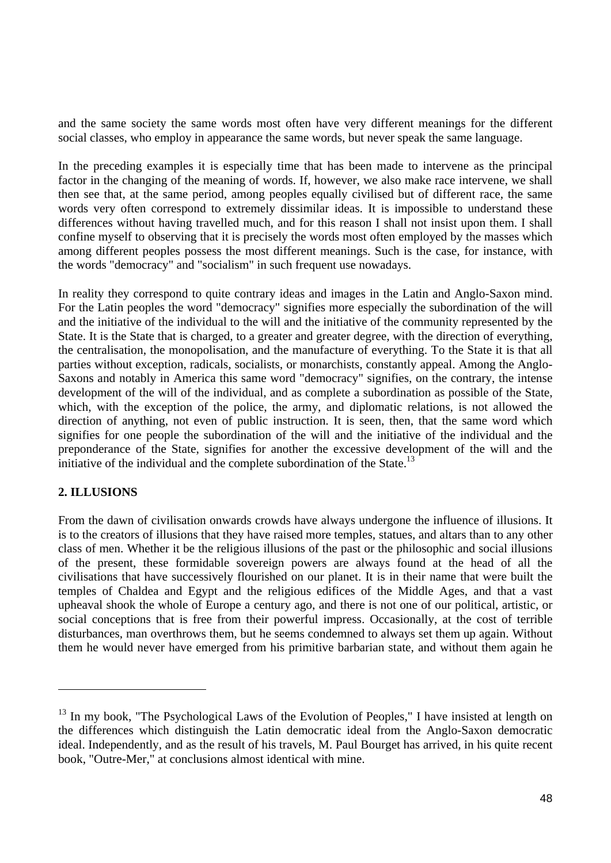and the same society the same words most often have very different meanings for the different social classes, who employ in appearance the same words, but never speak the same language.

In the preceding examples it is especially time that has been made to intervene as the principal factor in the changing of the meaning of words. If, however, we also make race intervene, we shall then see that, at the same period, among peoples equally civilised but of different race, the same words very often correspond to extremely dissimilar ideas. It is impossible to understand these differences without having travelled much, and for this reason I shall not insist upon them. I shall confine myself to observing that it is precisely the words most often employed by the masses which among different peoples possess the most different meanings. Such is the case, for instance, with the words "democracy" and "socialism" in such frequent use nowadays.

In reality they correspond to quite contrary ideas and images in the Latin and Anglo-Saxon mind. For the Latin peoples the word "democracy" signifies more especially the subordination of the will and the initiative of the individual to the will and the initiative of the community represented by the State. It is the State that is charged, to a greater and greater degree, with the direction of everything, the centralisation, the monopolisation, and the manufacture of everything. To the State it is that all parties without exception, radicals, socialists, or monarchists, constantly appeal. Among the Anglo-Saxons and notably in America this same word "democracy" signifies, on the contrary, the intense development of the will of the individual, and as complete a subordination as possible of the State, which, with the exception of the police, the army, and diplomatic relations, is not allowed the direction of anything, not even of public instruction. It is seen, then, that the same word which signifies for one people the subordination of the will and the initiative of the individual and the preponderance of the State, signifies for another the excessive development of the will and the initiative of the individual and the complete subordination of the State.<sup>13</sup>

# **2. ILLUSIONS**

 $\overline{a}$ 

From the dawn of civilisation onwards crowds have always undergone the influence of illusions. It is to the creators of illusions that they have raised more temples, statues, and altars than to any other class of men. Whether it be the religious illusions of the past or the philosophic and social illusions of the present, these formidable sovereign powers are always found at the head of all the civilisations that have successively flourished on our planet. It is in their name that were built the temples of Chaldea and Egypt and the religious edifices of the Middle Ages, and that a vast upheaval shook the whole of Europe a century ago, and there is not one of our political, artistic, or social conceptions that is free from their powerful impress. Occasionally, at the cost of terrible disturbances, man overthrows them, but he seems condemned to always set them up again. Without them he would never have emerged from his primitive barbarian state, and without them again he

 $13$  In my book, "The Psychological Laws of the Evolution of Peoples," I have insisted at length on the differences which distinguish the Latin democratic ideal from the Anglo-Saxon democratic ideal. Independently, and as the result of his travels, M. Paul Bourget has arrived, in his quite recent book, "Outre-Mer," at conclusions almost identical with mine.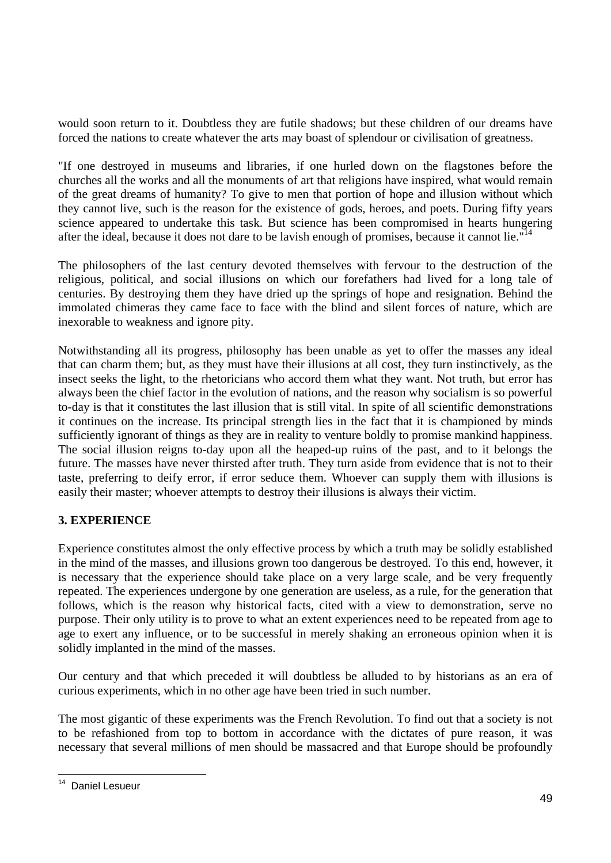would soon return to it. Doubtless they are futile shadows; but these children of our dreams have forced the nations to create whatever the arts may boast of splendour or civilisation of greatness.

"If one destroyed in museums and libraries, if one hurled down on the flagstones before the churches all the works and all the monuments of art that religions have inspired, what would remain of the great dreams of humanity? To give to men that portion of hope and illusion without which they cannot live, such is the reason for the existence of gods, heroes, and poets. During fifty years science appeared to undertake this task. But science has been compromised in hearts hungering after the ideal, because it does not dare to be lavish enough of promises, because it cannot lie."<sup>14</sup>

The philosophers of the last century devoted themselves with fervour to the destruction of the religious, political, and social illusions on which our forefathers had lived for a long tale of centuries. By destroying them they have dried up the springs of hope and resignation. Behind the immolated chimeras they came face to face with the blind and silent forces of nature, which are inexorable to weakness and ignore pity.

Notwithstanding all its progress, philosophy has been unable as yet to offer the masses any ideal that can charm them; but, as they must have their illusions at all cost, they turn instinctively, as the insect seeks the light, to the rhetoricians who accord them what they want. Not truth, but error has always been the chief factor in the evolution of nations, and the reason why socialism is so powerful to-day is that it constitutes the last illusion that is still vital. In spite of all scientific demonstrations it continues on the increase. Its principal strength lies in the fact that it is championed by minds sufficiently ignorant of things as they are in reality to venture boldly to promise mankind happiness. The social illusion reigns to-day upon all the heaped-up ruins of the past, and to it belongs the future. The masses have never thirsted after truth. They turn aside from evidence that is not to their taste, preferring to deify error, if error seduce them. Whoever can supply them with illusions is easily their master; whoever attempts to destroy their illusions is always their victim.

# **3. EXPERIENCE**

Experience constitutes almost the only effective process by which a truth may be solidly established in the mind of the masses, and illusions grown too dangerous be destroyed. To this end, however, it is necessary that the experience should take place on a very large scale, and be very frequently repeated. The experiences undergone by one generation are useless, as a rule, for the generation that follows, which is the reason why historical facts, cited with a view to demonstration, serve no purpose. Their only utility is to prove to what an extent experiences need to be repeated from age to age to exert any influence, or to be successful in merely shaking an erroneous opinion when it is solidly implanted in the mind of the masses.

Our century and that which preceded it will doubtless be alluded to by historians as an era of curious experiments, which in no other age have been tried in such number.

The most gigantic of these experiments was the French Revolution. To find out that a society is not to be refashioned from top to bottom in accordance with the dictates of pure reason, it was necessary that several millions of men should be massacred and that Europe should be profoundly

 $\overline{\phantom{a}}$ <sup>14</sup> Daniel Lesueur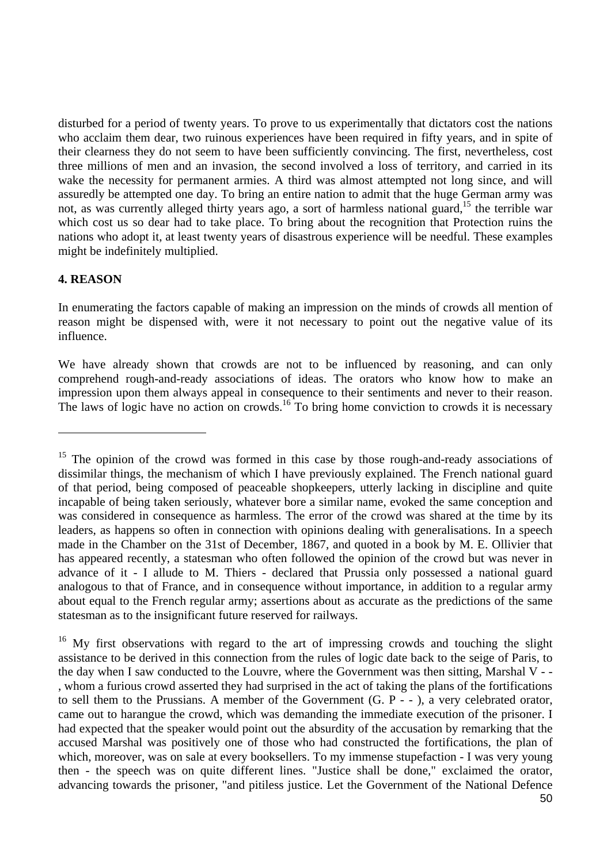disturbed for a period of twenty years. To prove to us experimentally that dictators cost the nations who acclaim them dear, two ruinous experiences have been required in fifty years, and in spite of their clearness they do not seem to have been sufficiently convincing. The first, nevertheless, cost three millions of men and an invasion, the second involved a loss of territory, and carried in its wake the necessity for permanent armies. A third was almost attempted not long since, and will assuredly be attempted one day. To bring an entire nation to admit that the huge German army was not, as was currently alleged thirty years ago, a sort of harmless national guard,<sup>15</sup> the terrible war which cost us so dear had to take place. To bring about the recognition that Protection ruins the nations who adopt it, at least twenty years of disastrous experience will be needful. These examples might be indefinitely multiplied.

#### **4. REASON**

In enumerating the factors capable of making an impression on the minds of crowds all mention of reason might be dispensed with, were it not necessary to point out the negative value of its influence.

We have already shown that crowds are not to be influenced by reasoning, and can only comprehend rough-and-ready associations of ideas. The orators who know how to make an impression upon them always appeal in consequence to their sentiments and never to their reason. The laws of logic have no action on crowds.<sup>16</sup> To bring home conviction to crowds it is necessary

<sup>&</sup>lt;sup>15</sup> The opinion of the crowd was formed in this case by those rough-and-ready associations of dissimilar things, the mechanism of which I have previously explained. The French national guard of that period, being composed of peaceable shopkeepers, utterly lacking in discipline and quite incapable of being taken seriously, whatever bore a similar name, evoked the same conception and was considered in consequence as harmless. The error of the crowd was shared at the time by its leaders, as happens so often in connection with opinions dealing with generalisations. In a speech made in the Chamber on the 31st of December, 1867, and quoted in a book by M. E. Ollivier that has appeared recently, a statesman who often followed the opinion of the crowd but was never in advance of it - I allude to M. Thiers - declared that Prussia only possessed a national guard analogous to that of France, and in consequence without importance, in addition to a regular army about equal to the French regular army; assertions about as accurate as the predictions of the same statesman as to the insignificant future reserved for railways.

 $16$  My first observations with regard to the art of impressing crowds and touching the slight assistance to be derived in this connection from the rules of logic date back to the seige of Paris, to the day when I saw conducted to the Louvre, where the Government was then sitting, Marshal V - - , whom a furious crowd asserted they had surprised in the act of taking the plans of the fortifications to sell them to the Prussians. A member of the Government (G. P - - ), a very celebrated orator, came out to harangue the crowd, which was demanding the immediate execution of the prisoner. I had expected that the speaker would point out the absurdity of the accusation by remarking that the accused Marshal was positively one of those who had constructed the fortifications, the plan of which, moreover, was on sale at every booksellers. To my immense stupefaction - I was very young then - the speech was on quite different lines. "Justice shall be done," exclaimed the orator, advancing towards the prisoner, "and pitiless justice. Let the Government of the National Defence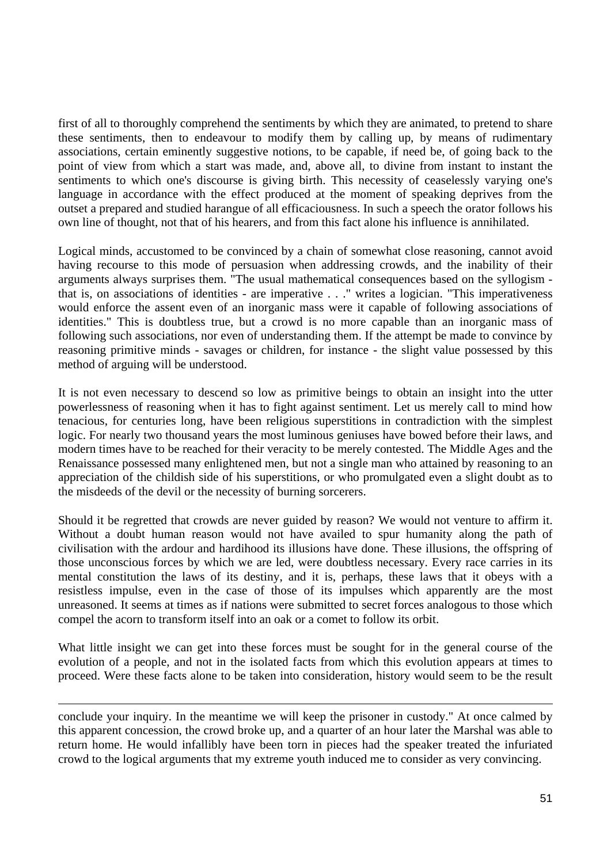first of all to thoroughly comprehend the sentiments by which they are animated, to pretend to share these sentiments, then to endeavour to modify them by calling up, by means of rudimentary associations, certain eminently suggestive notions, to be capable, if need be, of going back to the point of view from which a start was made, and, above all, to divine from instant to instant the sentiments to which one's discourse is giving birth. This necessity of ceaselessly varying one's language in accordance with the effect produced at the moment of speaking deprives from the outset a prepared and studied harangue of all efficaciousness. In such a speech the orator follows his own line of thought, not that of his hearers, and from this fact alone his influence is annihilated.

Logical minds, accustomed to be convinced by a chain of somewhat close reasoning, cannot avoid having recourse to this mode of persuasion when addressing crowds, and the inability of their arguments always surprises them. "The usual mathematical consequences based on the syllogism that is, on associations of identities - are imperative . . ." writes a logician. "This imperativeness would enforce the assent even of an inorganic mass were it capable of following associations of identities." This is doubtless true, but a crowd is no more capable than an inorganic mass of following such associations, nor even of understanding them. If the attempt be made to convince by reasoning primitive minds - savages or children, for instance - the slight value possessed by this method of arguing will be understood.

It is not even necessary to descend so low as primitive beings to obtain an insight into the utter powerlessness of reasoning when it has to fight against sentiment. Let us merely call to mind how tenacious, for centuries long, have been religious superstitions in contradiction with the simplest logic. For nearly two thousand years the most luminous geniuses have bowed before their laws, and modern times have to be reached for their veracity to be merely contested. The Middle Ages and the Renaissance possessed many enlightened men, but not a single man who attained by reasoning to an appreciation of the childish side of his superstitions, or who promulgated even a slight doubt as to the misdeeds of the devil or the necessity of burning sorcerers.

Should it be regretted that crowds are never guided by reason? We would not venture to affirm it. Without a doubt human reason would not have availed to spur humanity along the path of civilisation with the ardour and hardihood its illusions have done. These illusions, the offspring of those unconscious forces by which we are led, were doubtless necessary. Every race carries in its mental constitution the laws of its destiny, and it is, perhaps, these laws that it obeys with a resistless impulse, even in the case of those of its impulses which apparently are the most unreasoned. It seems at times as if nations were submitted to secret forces analogous to those which compel the acorn to transform itself into an oak or a comet to follow its orbit.

What little insight we can get into these forces must be sought for in the general course of the evolution of a people, and not in the isolated facts from which this evolution appears at times to proceed. Were these facts alone to be taken into consideration, history would seem to be the result

conclude your inquiry. In the meantime we will keep the prisoner in custody." At once calmed by this apparent concession, the crowd broke up, and a quarter of an hour later the Marshal was able to return home. He would infallibly have been torn in pieces had the speaker treated the infuriated crowd to the logical arguments that my extreme youth induced me to consider as very convincing.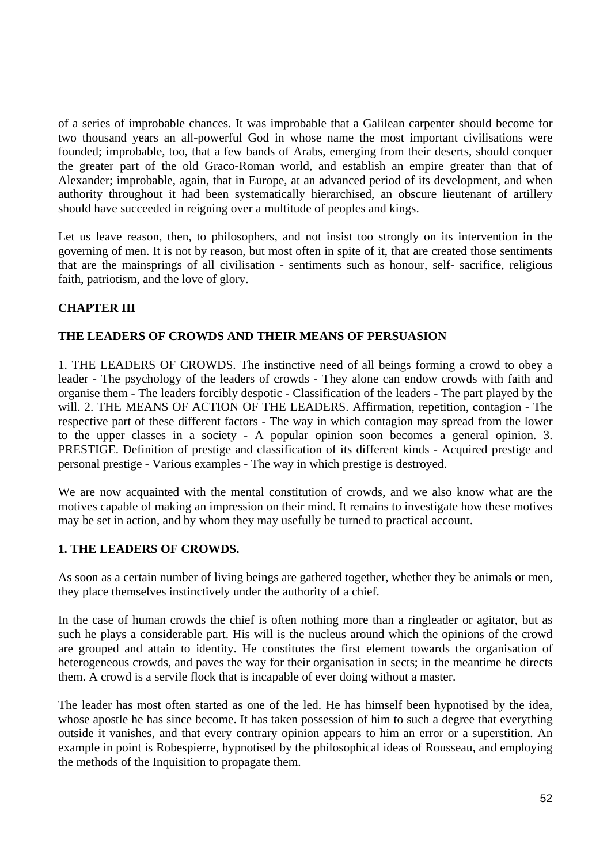of a series of improbable chances. It was improbable that a Galilean carpenter should become for two thousand years an all-powerful God in whose name the most important civilisations were founded; improbable, too, that a few bands of Arabs, emerging from their deserts, should conquer the greater part of the old Graco-Roman world, and establish an empire greater than that of Alexander; improbable, again, that in Europe, at an advanced period of its development, and when authority throughout it had been systematically hierarchised, an obscure lieutenant of artillery should have succeeded in reigning over a multitude of peoples and kings.

Let us leave reason, then, to philosophers, and not insist too strongly on its intervention in the governing of men. It is not by reason, but most often in spite of it, that are created those sentiments that are the mainsprings of all civilisation - sentiments such as honour, self- sacrifice, religious faith, patriotism, and the love of glory.

## **CHAPTER III**

### **THE LEADERS OF CROWDS AND THEIR MEANS OF PERSUASION**

1. THE LEADERS OF CROWDS. The instinctive need of all beings forming a crowd to obey a leader - The psychology of the leaders of crowds - They alone can endow crowds with faith and organise them - The leaders forcibly despotic - Classification of the leaders - The part played by the will. 2. THE MEANS OF ACTION OF THE LEADERS. Affirmation, repetition, contagion - The respective part of these different factors - The way in which contagion may spread from the lower to the upper classes in a society - A popular opinion soon becomes a general opinion. 3. PRESTIGE. Definition of prestige and classification of its different kinds - Acquired prestige and personal prestige - Various examples - The way in which prestige is destroyed.

We are now acquainted with the mental constitution of crowds, and we also know what are the motives capable of making an impression on their mind. It remains to investigate how these motives may be set in action, and by whom they may usefully be turned to practical account.

### **1. THE LEADERS OF CROWDS.**

As soon as a certain number of living beings are gathered together, whether they be animals or men, they place themselves instinctively under the authority of a chief.

In the case of human crowds the chief is often nothing more than a ringleader or agitator, but as such he plays a considerable part. His will is the nucleus around which the opinions of the crowd are grouped and attain to identity. He constitutes the first element towards the organisation of heterogeneous crowds, and paves the way for their organisation in sects; in the meantime he directs them. A crowd is a servile flock that is incapable of ever doing without a master.

The leader has most often started as one of the led. He has himself been hypnotised by the idea, whose apostle he has since become. It has taken possession of him to such a degree that everything outside it vanishes, and that every contrary opinion appears to him an error or a superstition. An example in point is Robespierre, hypnotised by the philosophical ideas of Rousseau, and employing the methods of the Inquisition to propagate them.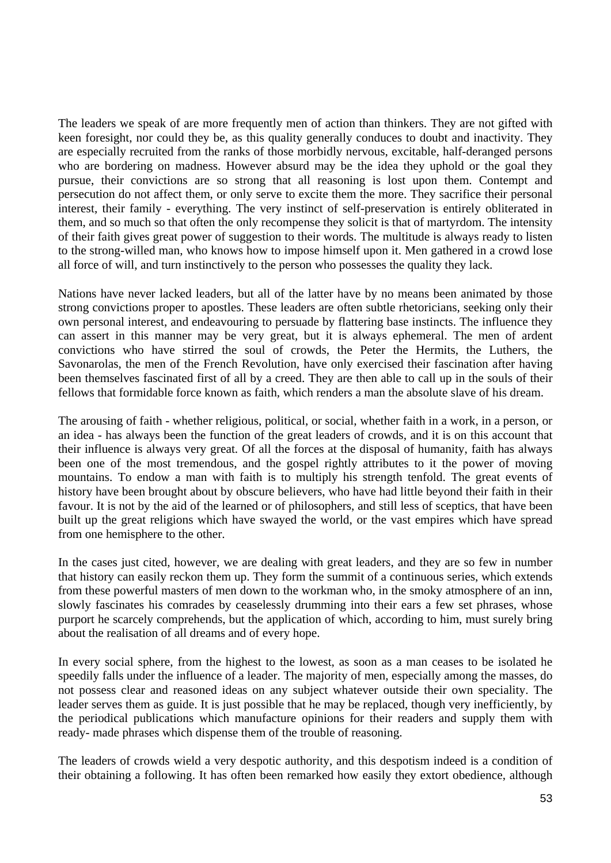The leaders we speak of are more frequently men of action than thinkers. They are not gifted with keen foresight, nor could they be, as this quality generally conduces to doubt and inactivity. They are especially recruited from the ranks of those morbidly nervous, excitable, half-deranged persons who are bordering on madness. However absurd may be the idea they uphold or the goal they pursue, their convictions are so strong that all reasoning is lost upon them. Contempt and persecution do not affect them, or only serve to excite them the more. They sacrifice their personal interest, their family - everything. The very instinct of self-preservation is entirely obliterated in them, and so much so that often the only recompense they solicit is that of martyrdom. The intensity of their faith gives great power of suggestion to their words. The multitude is always ready to listen to the strong-willed man, who knows how to impose himself upon it. Men gathered in a crowd lose all force of will, and turn instinctively to the person who possesses the quality they lack.

Nations have never lacked leaders, but all of the latter have by no means been animated by those strong convictions proper to apostles. These leaders are often subtle rhetoricians, seeking only their own personal interest, and endeavouring to persuade by flattering base instincts. The influence they can assert in this manner may be very great, but it is always ephemeral. The men of ardent convictions who have stirred the soul of crowds, the Peter the Hermits, the Luthers, the Savonarolas, the men of the French Revolution, have only exercised their fascination after having been themselves fascinated first of all by a creed. They are then able to call up in the souls of their fellows that formidable force known as faith, which renders a man the absolute slave of his dream.

The arousing of faith - whether religious, political, or social, whether faith in a work, in a person, or an idea - has always been the function of the great leaders of crowds, and it is on this account that their influence is always very great. Of all the forces at the disposal of humanity, faith has always been one of the most tremendous, and the gospel rightly attributes to it the power of moving mountains. To endow a man with faith is to multiply his strength tenfold. The great events of history have been brought about by obscure believers, who have had little beyond their faith in their favour. It is not by the aid of the learned or of philosophers, and still less of sceptics, that have been built up the great religions which have swayed the world, or the vast empires which have spread from one hemisphere to the other.

In the cases just cited, however, we are dealing with great leaders, and they are so few in number that history can easily reckon them up. They form the summit of a continuous series, which extends from these powerful masters of men down to the workman who, in the smoky atmosphere of an inn, slowly fascinates his comrades by ceaselessly drumming into their ears a few set phrases, whose purport he scarcely comprehends, but the application of which, according to him, must surely bring about the realisation of all dreams and of every hope.

In every social sphere, from the highest to the lowest, as soon as a man ceases to be isolated he speedily falls under the influence of a leader. The majority of men, especially among the masses, do not possess clear and reasoned ideas on any subject whatever outside their own speciality. The leader serves them as guide. It is just possible that he may be replaced, though very inefficiently, by the periodical publications which manufacture opinions for their readers and supply them with ready- made phrases which dispense them of the trouble of reasoning.

The leaders of crowds wield a very despotic authority, and this despotism indeed is a condition of their obtaining a following. It has often been remarked how easily they extort obedience, although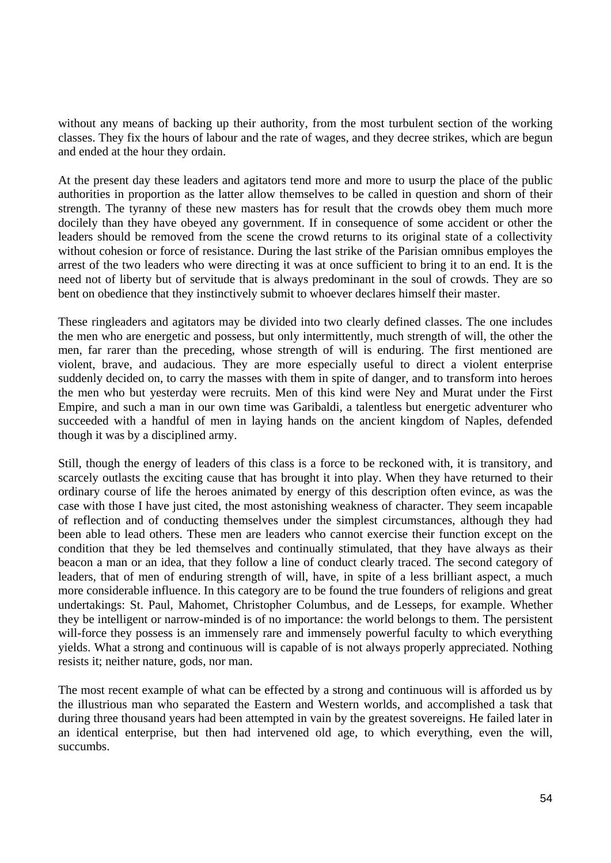without any means of backing up their authority, from the most turbulent section of the working classes. They fix the hours of labour and the rate of wages, and they decree strikes, which are begun and ended at the hour they ordain.

At the present day these leaders and agitators tend more and more to usurp the place of the public authorities in proportion as the latter allow themselves to be called in question and shorn of their strength. The tyranny of these new masters has for result that the crowds obey them much more docilely than they have obeyed any government. If in consequence of some accident or other the leaders should be removed from the scene the crowd returns to its original state of a collectivity without cohesion or force of resistance. During the last strike of the Parisian omnibus employes the arrest of the two leaders who were directing it was at once sufficient to bring it to an end. It is the need not of liberty but of servitude that is always predominant in the soul of crowds. They are so bent on obedience that they instinctively submit to whoever declares himself their master.

These ringleaders and agitators may be divided into two clearly defined classes. The one includes the men who are energetic and possess, but only intermittently, much strength of will, the other the men, far rarer than the preceding, whose strength of will is enduring. The first mentioned are violent, brave, and audacious. They are more especially useful to direct a violent enterprise suddenly decided on, to carry the masses with them in spite of danger, and to transform into heroes the men who but yesterday were recruits. Men of this kind were Ney and Murat under the First Empire, and such a man in our own time was Garibaldi, a talentless but energetic adventurer who succeeded with a handful of men in laying hands on the ancient kingdom of Naples, defended though it was by a disciplined army.

Still, though the energy of leaders of this class is a force to be reckoned with, it is transitory, and scarcely outlasts the exciting cause that has brought it into play. When they have returned to their ordinary course of life the heroes animated by energy of this description often evince, as was the case with those I have just cited, the most astonishing weakness of character. They seem incapable of reflection and of conducting themselves under the simplest circumstances, although they had been able to lead others. These men are leaders who cannot exercise their function except on the condition that they be led themselves and continually stimulated, that they have always as their beacon a man or an idea, that they follow a line of conduct clearly traced. The second category of leaders, that of men of enduring strength of will, have, in spite of a less brilliant aspect, a much more considerable influence. In this category are to be found the true founders of religions and great undertakings: St. Paul, Mahomet, Christopher Columbus, and de Lesseps, for example. Whether they be intelligent or narrow-minded is of no importance: the world belongs to them. The persistent will-force they possess is an immensely rare and immensely powerful faculty to which everything yields. What a strong and continuous will is capable of is not always properly appreciated. Nothing resists it; neither nature, gods, nor man.

The most recent example of what can be effected by a strong and continuous will is afforded us by the illustrious man who separated the Eastern and Western worlds, and accomplished a task that during three thousand years had been attempted in vain by the greatest sovereigns. He failed later in an identical enterprise, but then had intervened old age, to which everything, even the will, succumbs.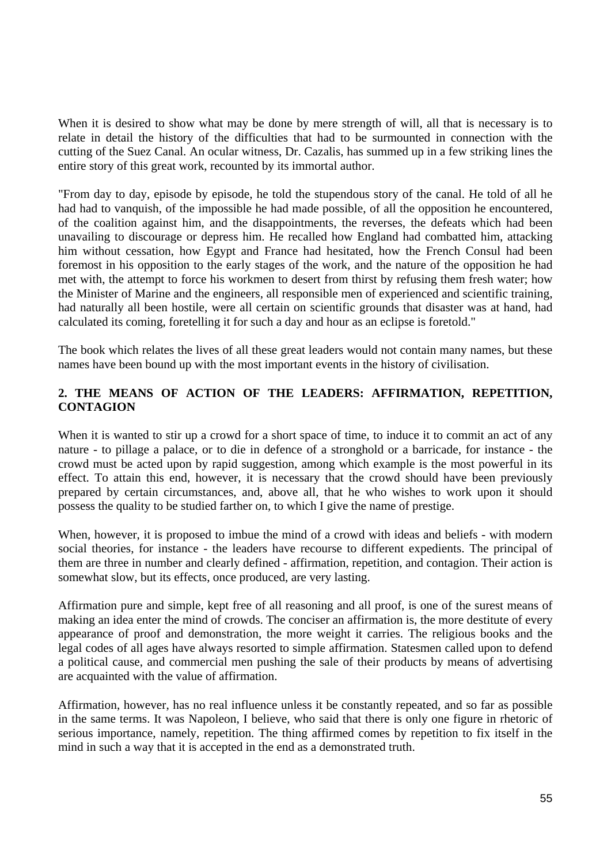When it is desired to show what may be done by mere strength of will, all that is necessary is to relate in detail the history of the difficulties that had to be surmounted in connection with the cutting of the Suez Canal. An ocular witness, Dr. Cazalis, has summed up in a few striking lines the entire story of this great work, recounted by its immortal author.

"From day to day, episode by episode, he told the stupendous story of the canal. He told of all he had had to vanquish, of the impossible he had made possible, of all the opposition he encountered, of the coalition against him, and the disappointments, the reverses, the defeats which had been unavailing to discourage or depress him. He recalled how England had combatted him, attacking him without cessation, how Egypt and France had hesitated, how the French Consul had been foremost in his opposition to the early stages of the work, and the nature of the opposition he had met with, the attempt to force his workmen to desert from thirst by refusing them fresh water; how the Minister of Marine and the engineers, all responsible men of experienced and scientific training, had naturally all been hostile, were all certain on scientific grounds that disaster was at hand, had calculated its coming, foretelling it for such a day and hour as an eclipse is foretold."

The book which relates the lives of all these great leaders would not contain many names, but these names have been bound up with the most important events in the history of civilisation.

### **2. THE MEANS OF ACTION OF THE LEADERS: AFFIRMATION, REPETITION, CONTAGION**

When it is wanted to stir up a crowd for a short space of time, to induce it to commit an act of any nature - to pillage a palace, or to die in defence of a stronghold or a barricade, for instance - the crowd must be acted upon by rapid suggestion, among which example is the most powerful in its effect. To attain this end, however, it is necessary that the crowd should have been previously prepared by certain circumstances, and, above all, that he who wishes to work upon it should possess the quality to be studied farther on, to which I give the name of prestige.

When, however, it is proposed to imbue the mind of a crowd with ideas and beliefs - with modern social theories, for instance - the leaders have recourse to different expedients. The principal of them are three in number and clearly defined - affirmation, repetition, and contagion. Their action is somewhat slow, but its effects, once produced, are very lasting.

Affirmation pure and simple, kept free of all reasoning and all proof, is one of the surest means of making an idea enter the mind of crowds. The conciser an affirmation is, the more destitute of every appearance of proof and demonstration, the more weight it carries. The religious books and the legal codes of all ages have always resorted to simple affirmation. Statesmen called upon to defend a political cause, and commercial men pushing the sale of their products by means of advertising are acquainted with the value of affirmation.

Affirmation, however, has no real influence unless it be constantly repeated, and so far as possible in the same terms. It was Napoleon, I believe, who said that there is only one figure in rhetoric of serious importance, namely, repetition. The thing affirmed comes by repetition to fix itself in the mind in such a way that it is accepted in the end as a demonstrated truth.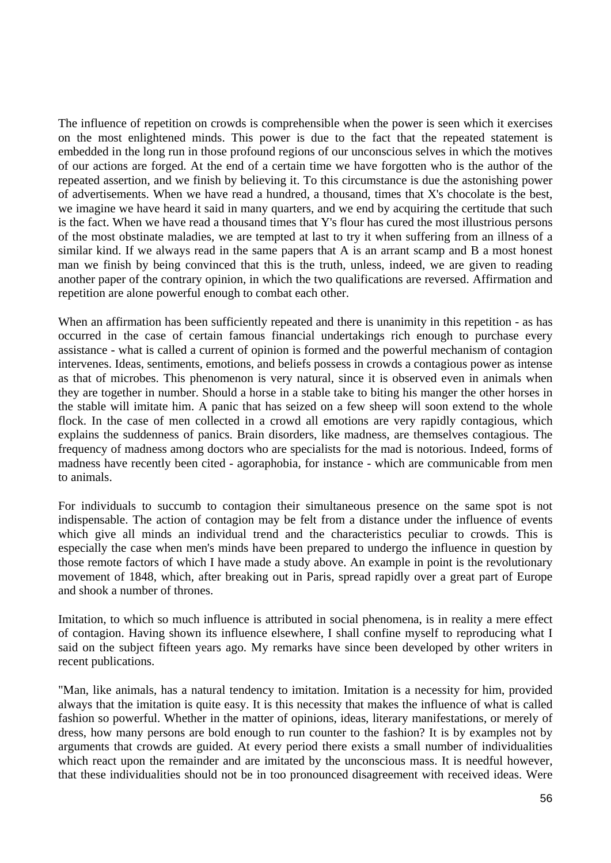The influence of repetition on crowds is comprehensible when the power is seen which it exercises on the most enlightened minds. This power is due to the fact that the repeated statement is embedded in the long run in those profound regions of our unconscious selves in which the motives of our actions are forged. At the end of a certain time we have forgotten who is the author of the repeated assertion, and we finish by believing it. To this circumstance is due the astonishing power of advertisements. When we have read a hundred, a thousand, times that X's chocolate is the best, we imagine we have heard it said in many quarters, and we end by acquiring the certitude that such is the fact. When we have read a thousand times that Y's flour has cured the most illustrious persons of the most obstinate maladies, we are tempted at last to try it when suffering from an illness of a similar kind. If we always read in the same papers that A is an arrant scamp and B a most honest man we finish by being convinced that this is the truth, unless, indeed, we are given to reading another paper of the contrary opinion, in which the two qualifications are reversed. Affirmation and repetition are alone powerful enough to combat each other.

When an affirmation has been sufficiently repeated and there is unanimity in this repetition - as has occurred in the case of certain famous financial undertakings rich enough to purchase every assistance - what is called a current of opinion is formed and the powerful mechanism of contagion intervenes. Ideas, sentiments, emotions, and beliefs possess in crowds a contagious power as intense as that of microbes. This phenomenon is very natural, since it is observed even in animals when they are together in number. Should a horse in a stable take to biting his manger the other horses in the stable will imitate him. A panic that has seized on a few sheep will soon extend to the whole flock. In the case of men collected in a crowd all emotions are very rapidly contagious, which explains the suddenness of panics. Brain disorders, like madness, are themselves contagious. The frequency of madness among doctors who are specialists for the mad is notorious. Indeed, forms of madness have recently been cited - agoraphobia, for instance - which are communicable from men to animals.

For individuals to succumb to contagion their simultaneous presence on the same spot is not indispensable. The action of contagion may be felt from a distance under the influence of events which give all minds an individual trend and the characteristics peculiar to crowds. This is especially the case when men's minds have been prepared to undergo the influence in question by those remote factors of which I have made a study above. An example in point is the revolutionary movement of 1848, which, after breaking out in Paris, spread rapidly over a great part of Europe and shook a number of thrones.

Imitation, to which so much influence is attributed in social phenomena, is in reality a mere effect of contagion. Having shown its influence elsewhere, I shall confine myself to reproducing what I said on the subject fifteen years ago. My remarks have since been developed by other writers in recent publications.

"Man, like animals, has a natural tendency to imitation. Imitation is a necessity for him, provided always that the imitation is quite easy. It is this necessity that makes the influence of what is called fashion so powerful. Whether in the matter of opinions, ideas, literary manifestations, or merely of dress, how many persons are bold enough to run counter to the fashion? It is by examples not by arguments that crowds are guided. At every period there exists a small number of individualities which react upon the remainder and are imitated by the unconscious mass. It is needful however, that these individualities should not be in too pronounced disagreement with received ideas. Were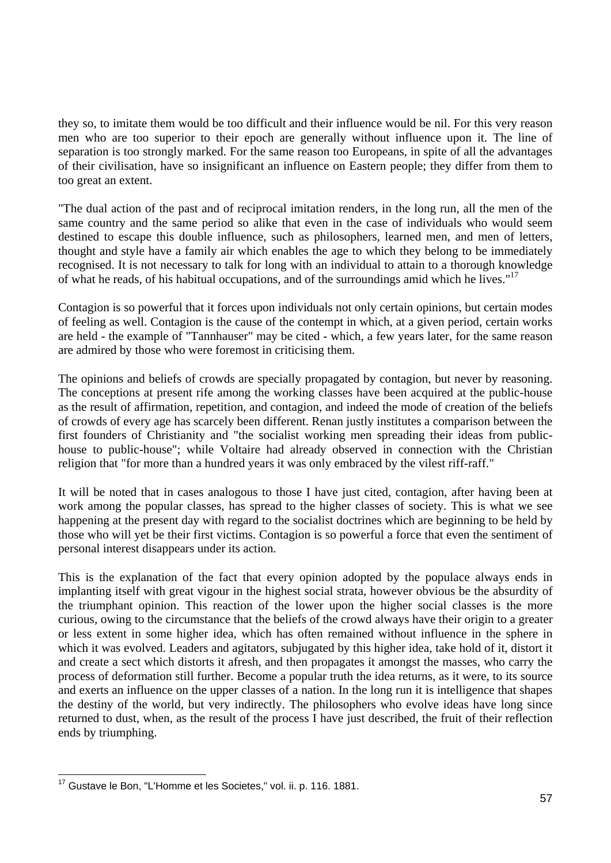they so, to imitate them would be too difficult and their influence would be nil. For this very reason men who are too superior to their epoch are generally without influence upon it. The line of separation is too strongly marked. For the same reason too Europeans, in spite of all the advantages of their civilisation, have so insignificant an influence on Eastern people; they differ from them to too great an extent.

"The dual action of the past and of reciprocal imitation renders, in the long run, all the men of the same country and the same period so alike that even in the case of individuals who would seem destined to escape this double influence, such as philosophers, learned men, and men of letters, thought and style have a family air which enables the age to which they belong to be immediately recognised. It is not necessary to talk for long with an individual to attain to a thorough knowledge of what he reads, of his habitual occupations, and of the surroundings amid which he lives."17

Contagion is so powerful that it forces upon individuals not only certain opinions, but certain modes of feeling as well. Contagion is the cause of the contempt in which, at a given period, certain works are held - the example of "Tannhauser" may be cited - which, a few years later, for the same reason are admired by those who were foremost in criticising them.

The opinions and beliefs of crowds are specially propagated by contagion, but never by reasoning. The conceptions at present rife among the working classes have been acquired at the public-house as the result of affirmation, repetition, and contagion, and indeed the mode of creation of the beliefs of crowds of every age has scarcely been different. Renan justly institutes a comparison between the first founders of Christianity and "the socialist working men spreading their ideas from publichouse to public-house"; while Voltaire had already observed in connection with the Christian religion that "for more than a hundred years it was only embraced by the vilest riff-raff."

It will be noted that in cases analogous to those I have just cited, contagion, after having been at work among the popular classes, has spread to the higher classes of society. This is what we see happening at the present day with regard to the socialist doctrines which are beginning to be held by those who will yet be their first victims. Contagion is so powerful a force that even the sentiment of personal interest disappears under its action.

This is the explanation of the fact that every opinion adopted by the populace always ends in implanting itself with great vigour in the highest social strata, however obvious be the absurdity of the triumphant opinion. This reaction of the lower upon the higher social classes is the more curious, owing to the circumstance that the beliefs of the crowd always have their origin to a greater or less extent in some higher idea, which has often remained without influence in the sphere in which it was evolved. Leaders and agitators, subjugated by this higher idea, take hold of it, distort it and create a sect which distorts it afresh, and then propagates it amongst the masses, who carry the process of deformation still further. Become a popular truth the idea returns, as it were, to its source and exerts an influence on the upper classes of a nation. In the long run it is intelligence that shapes the destiny of the world, but very indirectly. The philosophers who evolve ideas have long since returned to dust, when, as the result of the process I have just described, the fruit of their reflection ends by triumphing.

 $\overline{\phantom{a}}$ <sup>17</sup> Gustave le Bon, "L'Homme et les Societes," vol. ii. p. 116. 1881.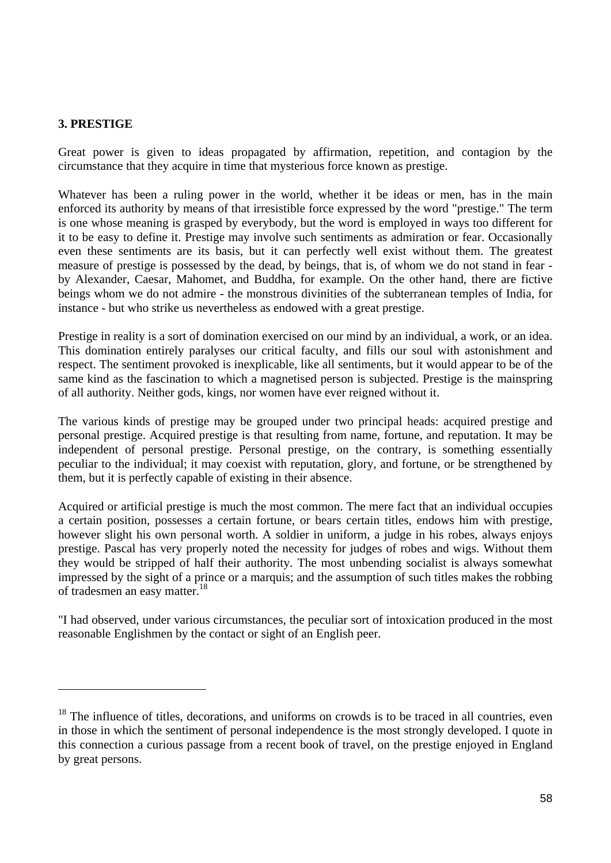#### **3. PRESTIGE**

 $\overline{a}$ 

Great power is given to ideas propagated by affirmation, repetition, and contagion by the circumstance that they acquire in time that mysterious force known as prestige.

Whatever has been a ruling power in the world, whether it be ideas or men, has in the main enforced its authority by means of that irresistible force expressed by the word "prestige." The term is one whose meaning is grasped by everybody, but the word is employed in ways too different for it to be easy to define it. Prestige may involve such sentiments as admiration or fear. Occasionally even these sentiments are its basis, but it can perfectly well exist without them. The greatest measure of prestige is possessed by the dead, by beings, that is, of whom we do not stand in fear by Alexander, Caesar, Mahomet, and Buddha, for example. On the other hand, there are fictive beings whom we do not admire - the monstrous divinities of the subterranean temples of India, for instance - but who strike us nevertheless as endowed with a great prestige.

Prestige in reality is a sort of domination exercised on our mind by an individual, a work, or an idea. This domination entirely paralyses our critical faculty, and fills our soul with astonishment and respect. The sentiment provoked is inexplicable, like all sentiments, but it would appear to be of the same kind as the fascination to which a magnetised person is subjected. Prestige is the mainspring of all authority. Neither gods, kings, nor women have ever reigned without it.

The various kinds of prestige may be grouped under two principal heads: acquired prestige and personal prestige. Acquired prestige is that resulting from name, fortune, and reputation. It may be independent of personal prestige. Personal prestige, on the contrary, is something essentially peculiar to the individual; it may coexist with reputation, glory, and fortune, or be strengthened by them, but it is perfectly capable of existing in their absence.

Acquired or artificial prestige is much the most common. The mere fact that an individual occupies a certain position, possesses a certain fortune, or bears certain titles, endows him with prestige, however slight his own personal worth. A soldier in uniform, a judge in his robes, always enjoys prestige. Pascal has very properly noted the necessity for judges of robes and wigs. Without them they would be stripped of half their authority. The most unbending socialist is always somewhat impressed by the sight of a prince or a marquis; and the assumption of such titles makes the robbing of tradesmen an easy matter.<sup>18</sup>

"I had observed, under various circumstances, the peculiar sort of intoxication produced in the most reasonable Englishmen by the contact or sight of an English peer.

<sup>&</sup>lt;sup>18</sup> The influence of titles, decorations, and uniforms on crowds is to be traced in all countries, even in those in which the sentiment of personal independence is the most strongly developed. I quote in this connection a curious passage from a recent book of travel, on the prestige enjoyed in England by great persons.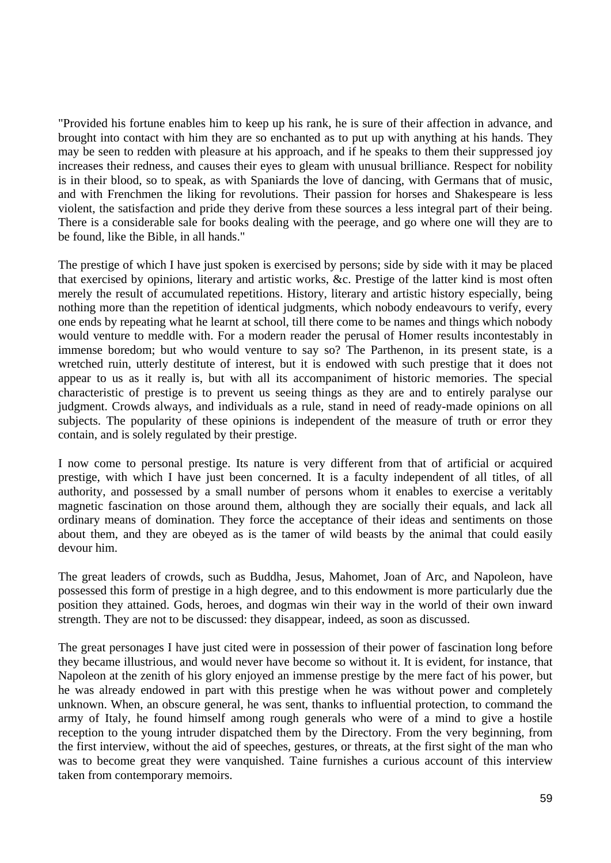"Provided his fortune enables him to keep up his rank, he is sure of their affection in advance, and brought into contact with him they are so enchanted as to put up with anything at his hands. They may be seen to redden with pleasure at his approach, and if he speaks to them their suppressed joy increases their redness, and causes their eyes to gleam with unusual brilliance. Respect for nobility is in their blood, so to speak, as with Spaniards the love of dancing, with Germans that of music, and with Frenchmen the liking for revolutions. Their passion for horses and Shakespeare is less violent, the satisfaction and pride they derive from these sources a less integral part of their being. There is a considerable sale for books dealing with the peerage, and go where one will they are to be found, like the Bible, in all hands."

The prestige of which I have just spoken is exercised by persons; side by side with it may be placed that exercised by opinions, literary and artistic works, &c. Prestige of the latter kind is most often merely the result of accumulated repetitions. History, literary and artistic history especially, being nothing more than the repetition of identical judgments, which nobody endeavours to verify, every one ends by repeating what he learnt at school, till there come to be names and things which nobody would venture to meddle with. For a modern reader the perusal of Homer results incontestably in immense boredom; but who would venture to say so? The Parthenon, in its present state, is a wretched ruin, utterly destitute of interest, but it is endowed with such prestige that it does not appear to us as it really is, but with all its accompaniment of historic memories. The special characteristic of prestige is to prevent us seeing things as they are and to entirely paralyse our judgment. Crowds always, and individuals as a rule, stand in need of ready-made opinions on all subjects. The popularity of these opinions is independent of the measure of truth or error they contain, and is solely regulated by their prestige.

I now come to personal prestige. Its nature is very different from that of artificial or acquired prestige, with which I have just been concerned. It is a faculty independent of all titles, of all authority, and possessed by a small number of persons whom it enables to exercise a veritably magnetic fascination on those around them, although they are socially their equals, and lack all ordinary means of domination. They force the acceptance of their ideas and sentiments on those about them, and they are obeyed as is the tamer of wild beasts by the animal that could easily devour him.

The great leaders of crowds, such as Buddha, Jesus, Mahomet, Joan of Arc, and Napoleon, have possessed this form of prestige in a high degree, and to this endowment is more particularly due the position they attained. Gods, heroes, and dogmas win their way in the world of their own inward strength. They are not to be discussed: they disappear, indeed, as soon as discussed.

The great personages I have just cited were in possession of their power of fascination long before they became illustrious, and would never have become so without it. It is evident, for instance, that Napoleon at the zenith of his glory enjoyed an immense prestige by the mere fact of his power, but he was already endowed in part with this prestige when he was without power and completely unknown. When, an obscure general, he was sent, thanks to influential protection, to command the army of Italy, he found himself among rough generals who were of a mind to give a hostile reception to the young intruder dispatched them by the Directory. From the very beginning, from the first interview, without the aid of speeches, gestures, or threats, at the first sight of the man who was to become great they were vanquished. Taine furnishes a curious account of this interview taken from contemporary memoirs.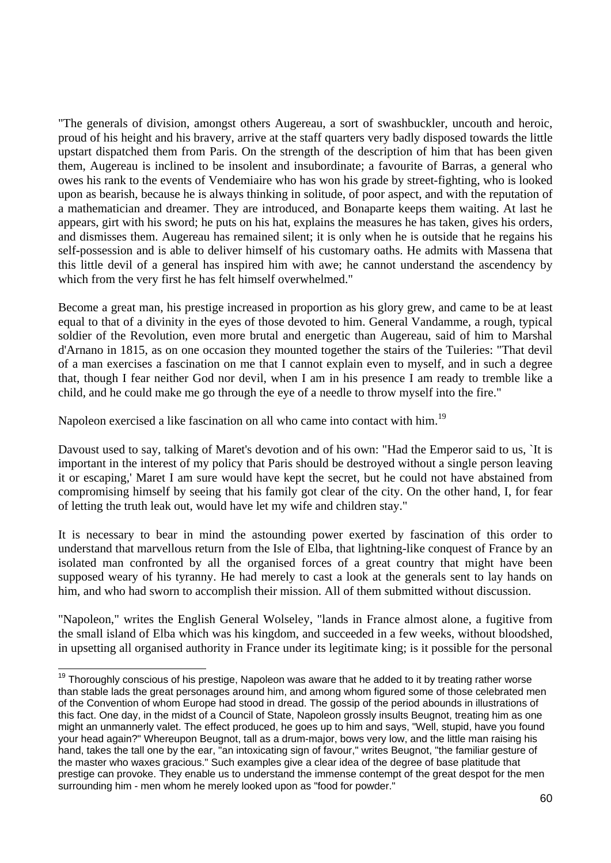"The generals of division, amongst others Augereau, a sort of swashbuckler, uncouth and heroic, proud of his height and his bravery, arrive at the staff quarters very badly disposed towards the little upstart dispatched them from Paris. On the strength of the description of him that has been given them, Augereau is inclined to be insolent and insubordinate; a favourite of Barras, a general who owes his rank to the events of Vendemiaire who has won his grade by street-fighting, who is looked upon as bearish, because he is always thinking in solitude, of poor aspect, and with the reputation of a mathematician and dreamer. They are introduced, and Bonaparte keeps them waiting. At last he appears, girt with his sword; he puts on his hat, explains the measures he has taken, gives his orders, and dismisses them. Augereau has remained silent; it is only when he is outside that he regains his self-possession and is able to deliver himself of his customary oaths. He admits with Massena that this little devil of a general has inspired him with awe; he cannot understand the ascendency by which from the very first he has felt himself overwhelmed."

Become a great man, his prestige increased in proportion as his glory grew, and came to be at least equal to that of a divinity in the eyes of those devoted to him. General Vandamme, a rough, typical soldier of the Revolution, even more brutal and energetic than Augereau, said of him to Marshal d'Arnano in 1815, as on one occasion they mounted together the stairs of the Tuileries: "That devil of a man exercises a fascination on me that I cannot explain even to myself, and in such a degree that, though I fear neither God nor devil, when I am in his presence I am ready to tremble like a child, and he could make me go through the eye of a needle to throw myself into the fire."

Napoleon exercised a like fascination on all who came into contact with him.<sup>19</sup>

 $\overline{\phantom{a}}$ 

Davoust used to say, talking of Maret's devotion and of his own: "Had the Emperor said to us, `It is important in the interest of my policy that Paris should be destroyed without a single person leaving it or escaping,' Maret I am sure would have kept the secret, but he could not have abstained from compromising himself by seeing that his family got clear of the city. On the other hand, I, for fear of letting the truth leak out, would have let my wife and children stay."

It is necessary to bear in mind the astounding power exerted by fascination of this order to understand that marvellous return from the Isle of Elba, that lightning-like conquest of France by an isolated man confronted by all the organised forces of a great country that might have been supposed weary of his tyranny. He had merely to cast a look at the generals sent to lay hands on him, and who had sworn to accomplish their mission. All of them submitted without discussion.

"Napoleon," writes the English General Wolseley, "lands in France almost alone, a fugitive from the small island of Elba which was his kingdom, and succeeded in a few weeks, without bloodshed, in upsetting all organised authority in France under its legitimate king; is it possible for the personal

 $19$  Thoroughly conscious of his prestige, Napoleon was aware that he added to it by treating rather worse than stable lads the great personages around him, and among whom figured some of those celebrated men of the Convention of whom Europe had stood in dread. The gossip of the period abounds in illustrations of this fact. One day, in the midst of a Council of State, Napoleon grossly insults Beugnot, treating him as one might an unmannerly valet. The effect produced, he goes up to him and says, "Well, stupid, have you found your head again?" Whereupon Beugnot, tall as a drum-major, bows very low, and the little man raising his hand, takes the tall one by the ear, "an intoxicating sign of favour," writes Beugnot, "the familiar gesture of the master who waxes gracious." Such examples give a clear idea of the degree of base platitude that prestige can provoke. They enable us to understand the immense contempt of the great despot for the men surrounding him - men whom he merely looked upon as "food for powder."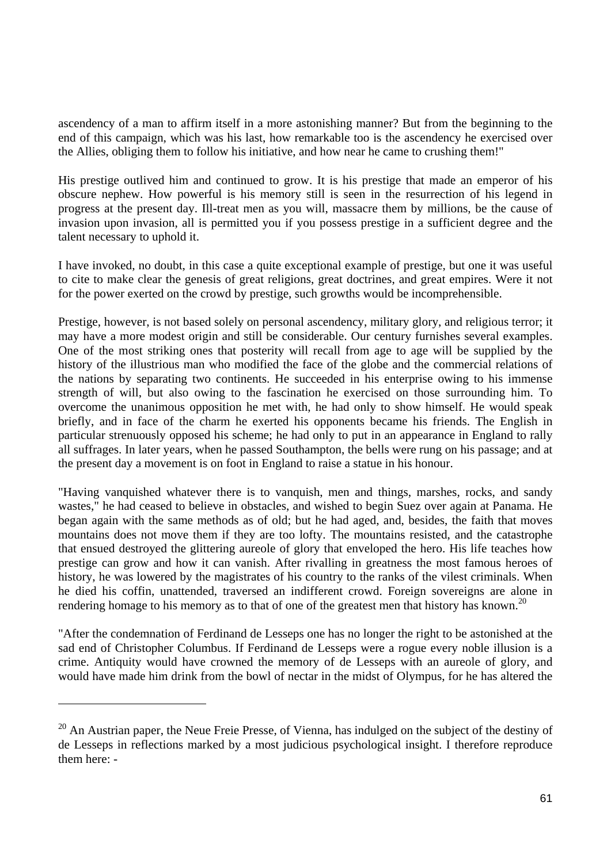ascendency of a man to affirm itself in a more astonishing manner? But from the beginning to the end of this campaign, which was his last, how remarkable too is the ascendency he exercised over the Allies, obliging them to follow his initiative, and how near he came to crushing them!"

His prestige outlived him and continued to grow. It is his prestige that made an emperor of his obscure nephew. How powerful is his memory still is seen in the resurrection of his legend in progress at the present day. Ill-treat men as you will, massacre them by millions, be the cause of invasion upon invasion, all is permitted you if you possess prestige in a sufficient degree and the talent necessary to uphold it.

I have invoked, no doubt, in this case a quite exceptional example of prestige, but one it was useful to cite to make clear the genesis of great religions, great doctrines, and great empires. Were it not for the power exerted on the crowd by prestige, such growths would be incomprehensible.

Prestige, however, is not based solely on personal ascendency, military glory, and religious terror; it may have a more modest origin and still be considerable. Our century furnishes several examples. One of the most striking ones that posterity will recall from age to age will be supplied by the history of the illustrious man who modified the face of the globe and the commercial relations of the nations by separating two continents. He succeeded in his enterprise owing to his immense strength of will, but also owing to the fascination he exercised on those surrounding him. To overcome the unanimous opposition he met with, he had only to show himself. He would speak briefly, and in face of the charm he exerted his opponents became his friends. The English in particular strenuously opposed his scheme; he had only to put in an appearance in England to rally all suffrages. In later years, when he passed Southampton, the bells were rung on his passage; and at the present day a movement is on foot in England to raise a statue in his honour.

"Having vanquished whatever there is to vanquish, men and things, marshes, rocks, and sandy wastes," he had ceased to believe in obstacles, and wished to begin Suez over again at Panama. He began again with the same methods as of old; but he had aged, and, besides, the faith that moves mountains does not move them if they are too lofty. The mountains resisted, and the catastrophe that ensued destroyed the glittering aureole of glory that enveloped the hero. His life teaches how prestige can grow and how it can vanish. After rivalling in greatness the most famous heroes of history, he was lowered by the magistrates of his country to the ranks of the vilest criminals. When he died his coffin, unattended, traversed an indifferent crowd. Foreign sovereigns are alone in rendering homage to his memory as to that of one of the greatest men that history has known.<sup>20</sup>

"After the condemnation of Ferdinand de Lesseps one has no longer the right to be astonished at the sad end of Christopher Columbus. If Ferdinand de Lesseps were a rogue every noble illusion is a crime. Antiquity would have crowned the memory of de Lesseps with an aureole of glory, and would have made him drink from the bowl of nectar in the midst of Olympus, for he has altered the

 $\overline{a}$ 

 $20$  An Austrian paper, the Neue Freie Presse, of Vienna, has indulged on the subject of the destiny of de Lesseps in reflections marked by a most judicious psychological insight. I therefore reproduce them here: -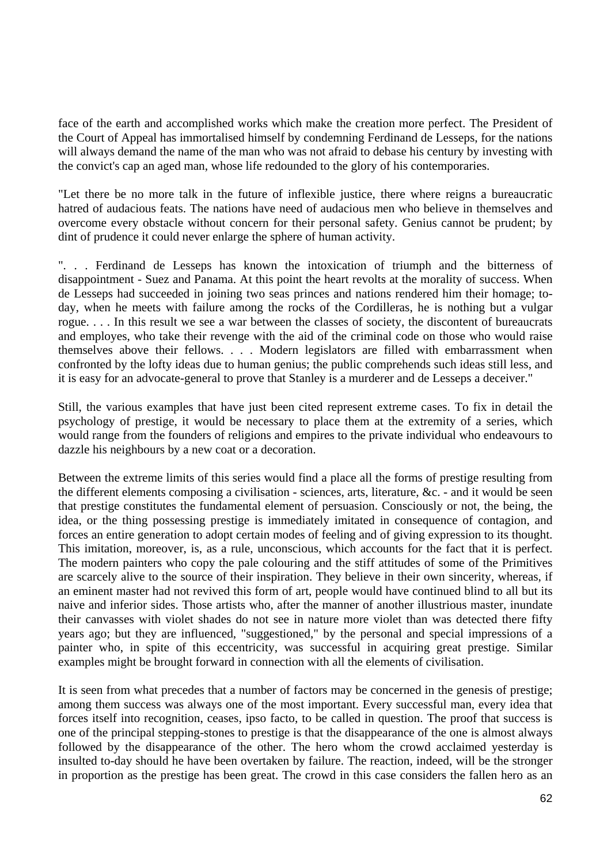face of the earth and accomplished works which make the creation more perfect. The President of the Court of Appeal has immortalised himself by condemning Ferdinand de Lesseps, for the nations will always demand the name of the man who was not afraid to debase his century by investing with the convict's cap an aged man, whose life redounded to the glory of his contemporaries.

"Let there be no more talk in the future of inflexible justice, there where reigns a bureaucratic hatred of audacious feats. The nations have need of audacious men who believe in themselves and overcome every obstacle without concern for their personal safety. Genius cannot be prudent; by dint of prudence it could never enlarge the sphere of human activity.

". . . Ferdinand de Lesseps has known the intoxication of triumph and the bitterness of disappointment - Suez and Panama. At this point the heart revolts at the morality of success. When de Lesseps had succeeded in joining two seas princes and nations rendered him their homage; today, when he meets with failure among the rocks of the Cordilleras, he is nothing but a vulgar rogue. . . . In this result we see a war between the classes of society, the discontent of bureaucrats and employes, who take their revenge with the aid of the criminal code on those who would raise themselves above their fellows. . . . Modern legislators are filled with embarrassment when confronted by the lofty ideas due to human genius; the public comprehends such ideas still less, and it is easy for an advocate-general to prove that Stanley is a murderer and de Lesseps a deceiver."

Still, the various examples that have just been cited represent extreme cases. To fix in detail the psychology of prestige, it would be necessary to place them at the extremity of a series, which would range from the founders of religions and empires to the private individual who endeavours to dazzle his neighbours by a new coat or a decoration.

Between the extreme limits of this series would find a place all the forms of prestige resulting from the different elements composing a civilisation - sciences, arts, literature, &c. - and it would be seen that prestige constitutes the fundamental element of persuasion. Consciously or not, the being, the idea, or the thing possessing prestige is immediately imitated in consequence of contagion, and forces an entire generation to adopt certain modes of feeling and of giving expression to its thought. This imitation, moreover, is, as a rule, unconscious, which accounts for the fact that it is perfect. The modern painters who copy the pale colouring and the stiff attitudes of some of the Primitives are scarcely alive to the source of their inspiration. They believe in their own sincerity, whereas, if an eminent master had not revived this form of art, people would have continued blind to all but its naive and inferior sides. Those artists who, after the manner of another illustrious master, inundate their canvasses with violet shades do not see in nature more violet than was detected there fifty years ago; but they are influenced, "suggestioned," by the personal and special impressions of a painter who, in spite of this eccentricity, was successful in acquiring great prestige. Similar examples might be brought forward in connection with all the elements of civilisation.

It is seen from what precedes that a number of factors may be concerned in the genesis of prestige; among them success was always one of the most important. Every successful man, every idea that forces itself into recognition, ceases, ipso facto, to be called in question. The proof that success is one of the principal stepping-stones to prestige is that the disappearance of the one is almost always followed by the disappearance of the other. The hero whom the crowd acclaimed yesterday is insulted to-day should he have been overtaken by failure. The reaction, indeed, will be the stronger in proportion as the prestige has been great. The crowd in this case considers the fallen hero as an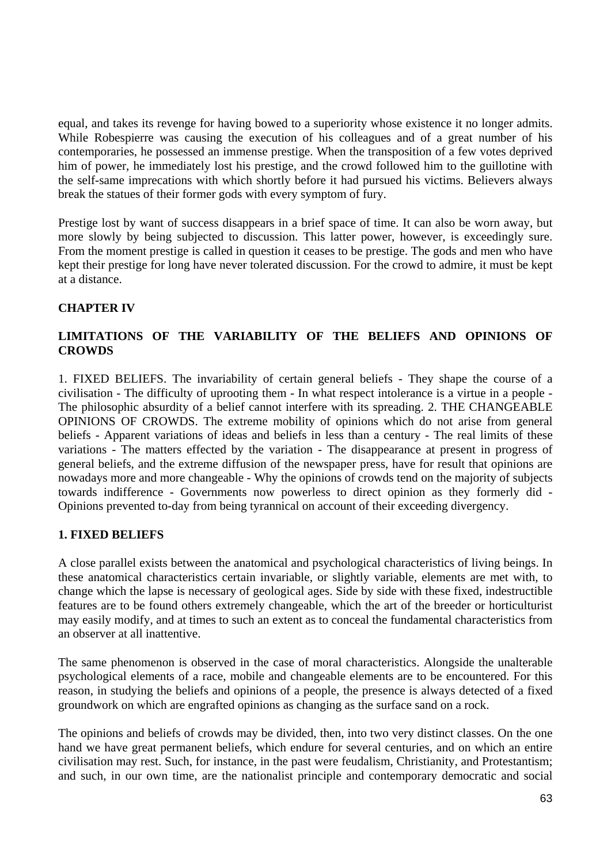equal, and takes its revenge for having bowed to a superiority whose existence it no longer admits. While Robespierre was causing the execution of his colleagues and of a great number of his contemporaries, he possessed an immense prestige. When the transposition of a few votes deprived him of power, he immediately lost his prestige, and the crowd followed him to the guillotine with the self-same imprecations with which shortly before it had pursued his victims. Believers always break the statues of their former gods with every symptom of fury.

Prestige lost by want of success disappears in a brief space of time. It can also be worn away, but more slowly by being subjected to discussion. This latter power, however, is exceedingly sure. From the moment prestige is called in question it ceases to be prestige. The gods and men who have kept their prestige for long have never tolerated discussion. For the crowd to admire, it must be kept at a distance.

## **CHAPTER IV**

## **LIMITATIONS OF THE VARIABILITY OF THE BELIEFS AND OPINIONS OF CROWDS**

1. FIXED BELIEFS. The invariability of certain general beliefs - They shape the course of a civilisation - The difficulty of uprooting them - In what respect intolerance is a virtue in a people - The philosophic absurdity of a belief cannot interfere with its spreading. 2. THE CHANGEABLE OPINIONS OF CROWDS. The extreme mobility of opinions which do not arise from general beliefs - Apparent variations of ideas and beliefs in less than a century - The real limits of these variations - The matters effected by the variation - The disappearance at present in progress of general beliefs, and the extreme diffusion of the newspaper press, have for result that opinions are nowadays more and more changeable - Why the opinions of crowds tend on the majority of subjects towards indifference - Governments now powerless to direct opinion as they formerly did - Opinions prevented to-day from being tyrannical on account of their exceeding divergency.

### **1. FIXED BELIEFS**

A close parallel exists between the anatomical and psychological characteristics of living beings. In these anatomical characteristics certain invariable, or slightly variable, elements are met with, to change which the lapse is necessary of geological ages. Side by side with these fixed, indestructible features are to be found others extremely changeable, which the art of the breeder or horticulturist may easily modify, and at times to such an extent as to conceal the fundamental characteristics from an observer at all inattentive.

The same phenomenon is observed in the case of moral characteristics. Alongside the unalterable psychological elements of a race, mobile and changeable elements are to be encountered. For this reason, in studying the beliefs and opinions of a people, the presence is always detected of a fixed groundwork on which are engrafted opinions as changing as the surface sand on a rock.

The opinions and beliefs of crowds may be divided, then, into two very distinct classes. On the one hand we have great permanent beliefs, which endure for several centuries, and on which an entire civilisation may rest. Such, for instance, in the past were feudalism, Christianity, and Protestantism; and such, in our own time, are the nationalist principle and contemporary democratic and social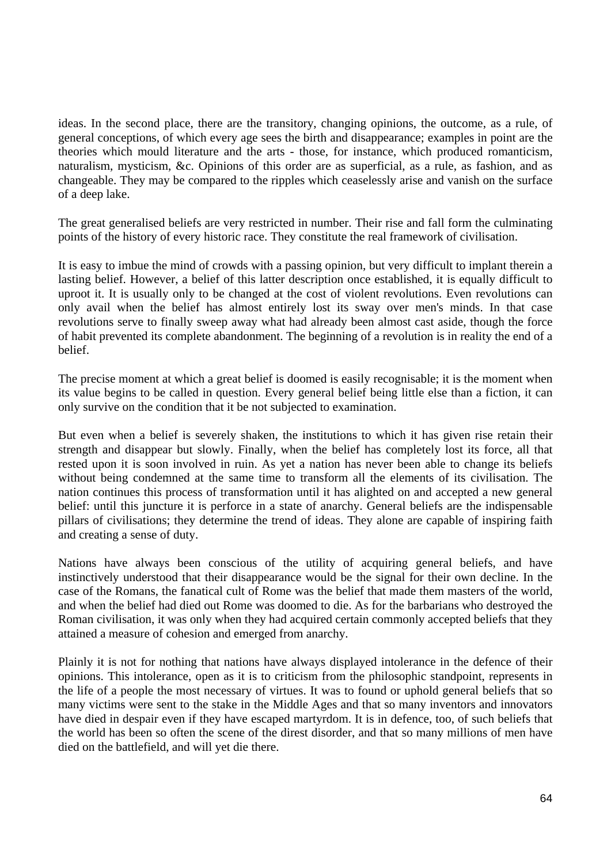ideas. In the second place, there are the transitory, changing opinions, the outcome, as a rule, of general conceptions, of which every age sees the birth and disappearance; examples in point are the theories which mould literature and the arts - those, for instance, which produced romanticism, naturalism, mysticism, &c. Opinions of this order are as superficial, as a rule, as fashion, and as changeable. They may be compared to the ripples which ceaselessly arise and vanish on the surface of a deep lake.

The great generalised beliefs are very restricted in number. Their rise and fall form the culminating points of the history of every historic race. They constitute the real framework of civilisation.

It is easy to imbue the mind of crowds with a passing opinion, but very difficult to implant therein a lasting belief. However, a belief of this latter description once established, it is equally difficult to uproot it. It is usually only to be changed at the cost of violent revolutions. Even revolutions can only avail when the belief has almost entirely lost its sway over men's minds. In that case revolutions serve to finally sweep away what had already been almost cast aside, though the force of habit prevented its complete abandonment. The beginning of a revolution is in reality the end of a belief.

The precise moment at which a great belief is doomed is easily recognisable; it is the moment when its value begins to be called in question. Every general belief being little else than a fiction, it can only survive on the condition that it be not subjected to examination.

But even when a belief is severely shaken, the institutions to which it has given rise retain their strength and disappear but slowly. Finally, when the belief has completely lost its force, all that rested upon it is soon involved in ruin. As yet a nation has never been able to change its beliefs without being condemned at the same time to transform all the elements of its civilisation. The nation continues this process of transformation until it has alighted on and accepted a new general belief: until this juncture it is perforce in a state of anarchy. General beliefs are the indispensable pillars of civilisations; they determine the trend of ideas. They alone are capable of inspiring faith and creating a sense of duty.

Nations have always been conscious of the utility of acquiring general beliefs, and have instinctively understood that their disappearance would be the signal for their own decline. In the case of the Romans, the fanatical cult of Rome was the belief that made them masters of the world, and when the belief had died out Rome was doomed to die. As for the barbarians who destroyed the Roman civilisation, it was only when they had acquired certain commonly accepted beliefs that they attained a measure of cohesion and emerged from anarchy.

Plainly it is not for nothing that nations have always displayed intolerance in the defence of their opinions. This intolerance, open as it is to criticism from the philosophic standpoint, represents in the life of a people the most necessary of virtues. It was to found or uphold general beliefs that so many victims were sent to the stake in the Middle Ages and that so many inventors and innovators have died in despair even if they have escaped martyrdom. It is in defence, too, of such beliefs that the world has been so often the scene of the direst disorder, and that so many millions of men have died on the battlefield, and will yet die there.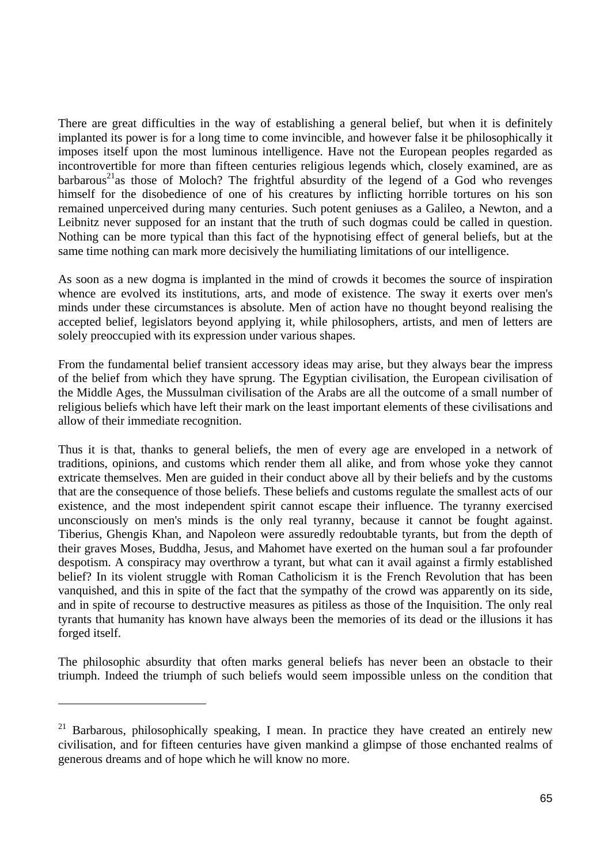There are great difficulties in the way of establishing a general belief, but when it is definitely implanted its power is for a long time to come invincible, and however false it be philosophically it imposes itself upon the most luminous intelligence. Have not the European peoples regarded as incontrovertible for more than fifteen centuries religious legends which, closely examined, are as  $bar{v}$  barbarous<sup>21</sup> as those of Moloch? The frightful absurdity of the legend of a God who revenges himself for the disobedience of one of his creatures by inflicting horrible tortures on his son remained unperceived during many centuries. Such potent geniuses as a Galileo, a Newton, and a Leibnitz never supposed for an instant that the truth of such dogmas could be called in question. Nothing can be more typical than this fact of the hypnotising effect of general beliefs, but at the same time nothing can mark more decisively the humiliating limitations of our intelligence.

As soon as a new dogma is implanted in the mind of crowds it becomes the source of inspiration whence are evolved its institutions, arts, and mode of existence. The sway it exerts over men's minds under these circumstances is absolute. Men of action have no thought beyond realising the accepted belief, legislators beyond applying it, while philosophers, artists, and men of letters are solely preoccupied with its expression under various shapes.

From the fundamental belief transient accessory ideas may arise, but they always bear the impress of the belief from which they have sprung. The Egyptian civilisation, the European civilisation of the Middle Ages, the Mussulman civilisation of the Arabs are all the outcome of a small number of religious beliefs which have left their mark on the least important elements of these civilisations and allow of their immediate recognition.

Thus it is that, thanks to general beliefs, the men of every age are enveloped in a network of traditions, opinions, and customs which render them all alike, and from whose yoke they cannot extricate themselves. Men are guided in their conduct above all by their beliefs and by the customs that are the consequence of those beliefs. These beliefs and customs regulate the smallest acts of our existence, and the most independent spirit cannot escape their influence. The tyranny exercised unconsciously on men's minds is the only real tyranny, because it cannot be fought against. Tiberius, Ghengis Khan, and Napoleon were assuredly redoubtable tyrants, but from the depth of their graves Moses, Buddha, Jesus, and Mahomet have exerted on the human soul a far profounder despotism. A conspiracy may overthrow a tyrant, but what can it avail against a firmly established belief? In its violent struggle with Roman Catholicism it is the French Revolution that has been vanquished, and this in spite of the fact that the sympathy of the crowd was apparently on its side, and in spite of recourse to destructive measures as pitiless as those of the Inquisition. The only real tyrants that humanity has known have always been the memories of its dead or the illusions it has forged itself.

The philosophic absurdity that often marks general beliefs has never been an obstacle to their triumph. Indeed the triumph of such beliefs would seem impossible unless on the condition that

 $\overline{a}$ 

 $21$  Barbarous, philosophically speaking, I mean. In practice they have created an entirely new civilisation, and for fifteen centuries have given mankind a glimpse of those enchanted realms of generous dreams and of hope which he will know no more.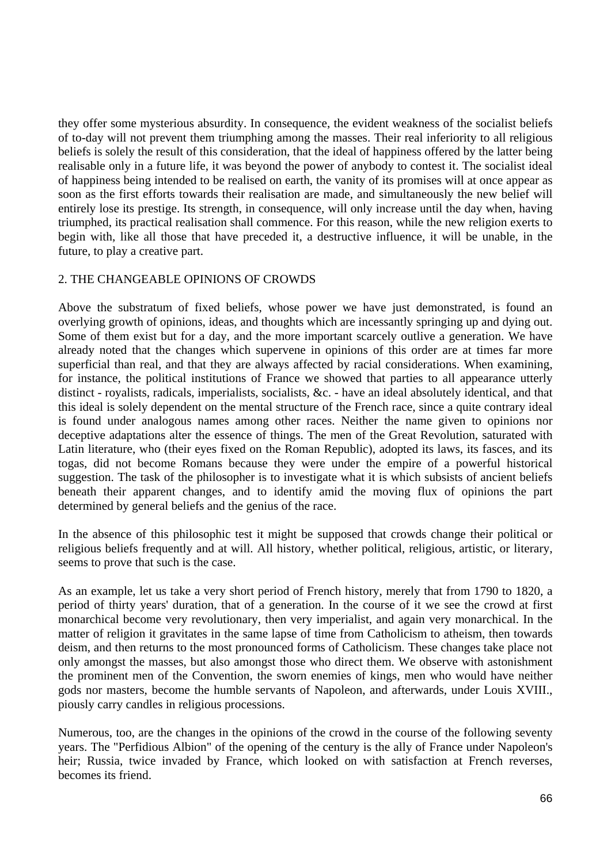they offer some mysterious absurdity. In consequence, the evident weakness of the socialist beliefs of to-day will not prevent them triumphing among the masses. Their real inferiority to all religious beliefs is solely the result of this consideration, that the ideal of happiness offered by the latter being realisable only in a future life, it was beyond the power of anybody to contest it. The socialist ideal of happiness being intended to be realised on earth, the vanity of its promises will at once appear as soon as the first efforts towards their realisation are made, and simultaneously the new belief will entirely lose its prestige. Its strength, in consequence, will only increase until the day when, having triumphed, its practical realisation shall commence. For this reason, while the new religion exerts to begin with, like all those that have preceded it, a destructive influence, it will be unable, in the future, to play a creative part.

#### 2. THE CHANGEABLE OPINIONS OF CROWDS

Above the substratum of fixed beliefs, whose power we have just demonstrated, is found an overlying growth of opinions, ideas, and thoughts which are incessantly springing up and dying out. Some of them exist but for a day, and the more important scarcely outlive a generation. We have already noted that the changes which supervene in opinions of this order are at times far more superficial than real, and that they are always affected by racial considerations. When examining, for instance, the political institutions of France we showed that parties to all appearance utterly distinct - royalists, radicals, imperialists, socialists, &c. - have an ideal absolutely identical, and that this ideal is solely dependent on the mental structure of the French race, since a quite contrary ideal is found under analogous names among other races. Neither the name given to opinions nor deceptive adaptations alter the essence of things. The men of the Great Revolution, saturated with Latin literature, who (their eyes fixed on the Roman Republic), adopted its laws, its fasces, and its togas, did not become Romans because they were under the empire of a powerful historical suggestion. The task of the philosopher is to investigate what it is which subsists of ancient beliefs beneath their apparent changes, and to identify amid the moving flux of opinions the part determined by general beliefs and the genius of the race.

In the absence of this philosophic test it might be supposed that crowds change their political or religious beliefs frequently and at will. All history, whether political, religious, artistic, or literary, seems to prove that such is the case.

As an example, let us take a very short period of French history, merely that from 1790 to 1820, a period of thirty years' duration, that of a generation. In the course of it we see the crowd at first monarchical become very revolutionary, then very imperialist, and again very monarchical. In the matter of religion it gravitates in the same lapse of time from Catholicism to atheism, then towards deism, and then returns to the most pronounced forms of Catholicism. These changes take place not only amongst the masses, but also amongst those who direct them. We observe with astonishment the prominent men of the Convention, the sworn enemies of kings, men who would have neither gods nor masters, become the humble servants of Napoleon, and afterwards, under Louis XVIII., piously carry candles in religious processions.

Numerous, too, are the changes in the opinions of the crowd in the course of the following seventy years. The "Perfidious Albion" of the opening of the century is the ally of France under Napoleon's heir; Russia, twice invaded by France, which looked on with satisfaction at French reverses, becomes its friend.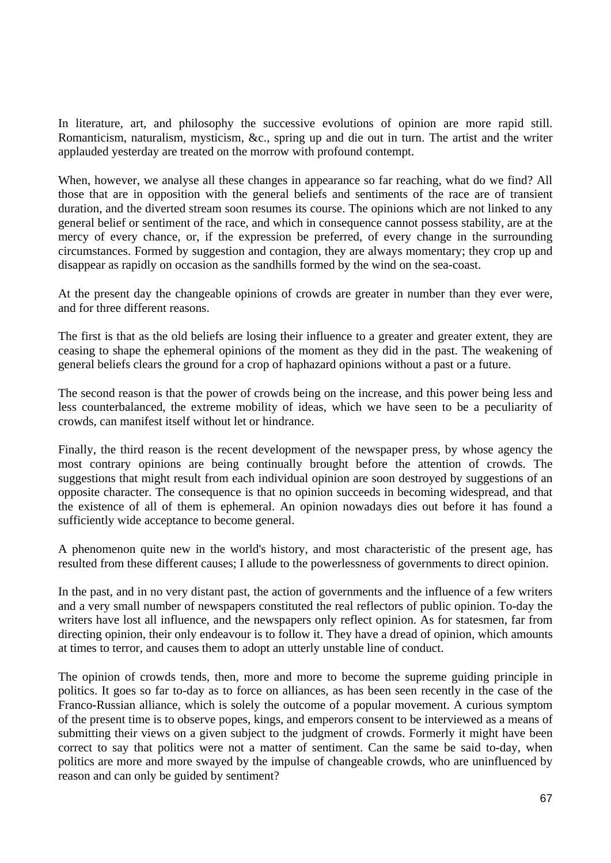In literature, art, and philosophy the successive evolutions of opinion are more rapid still. Romanticism, naturalism, mysticism, &c., spring up and die out in turn. The artist and the writer applauded yesterday are treated on the morrow with profound contempt.

When, however, we analyse all these changes in appearance so far reaching, what do we find? All those that are in opposition with the general beliefs and sentiments of the race are of transient duration, and the diverted stream soon resumes its course. The opinions which are not linked to any general belief or sentiment of the race, and which in consequence cannot possess stability, are at the mercy of every chance, or, if the expression be preferred, of every change in the surrounding circumstances. Formed by suggestion and contagion, they are always momentary; they crop up and disappear as rapidly on occasion as the sandhills formed by the wind on the sea-coast.

At the present day the changeable opinions of crowds are greater in number than they ever were, and for three different reasons.

The first is that as the old beliefs are losing their influence to a greater and greater extent, they are ceasing to shape the ephemeral opinions of the moment as they did in the past. The weakening of general beliefs clears the ground for a crop of haphazard opinions without a past or a future.

The second reason is that the power of crowds being on the increase, and this power being less and less counterbalanced, the extreme mobility of ideas, which we have seen to be a peculiarity of crowds, can manifest itself without let or hindrance.

Finally, the third reason is the recent development of the newspaper press, by whose agency the most contrary opinions are being continually brought before the attention of crowds. The suggestions that might result from each individual opinion are soon destroyed by suggestions of an opposite character. The consequence is that no opinion succeeds in becoming widespread, and that the existence of all of them is ephemeral. An opinion nowadays dies out before it has found a sufficiently wide acceptance to become general.

A phenomenon quite new in the world's history, and most characteristic of the present age, has resulted from these different causes; I allude to the powerlessness of governments to direct opinion.

In the past, and in no very distant past, the action of governments and the influence of a few writers and a very small number of newspapers constituted the real reflectors of public opinion. To-day the writers have lost all influence, and the newspapers only reflect opinion. As for statesmen, far from directing opinion, their only endeavour is to follow it. They have a dread of opinion, which amounts at times to terror, and causes them to adopt an utterly unstable line of conduct.

The opinion of crowds tends, then, more and more to become the supreme guiding principle in politics. It goes so far to-day as to force on alliances, as has been seen recently in the case of the Franco-Russian alliance, which is solely the outcome of a popular movement. A curious symptom of the present time is to observe popes, kings, and emperors consent to be interviewed as a means of submitting their views on a given subject to the judgment of crowds. Formerly it might have been correct to say that politics were not a matter of sentiment. Can the same be said to-day, when politics are more and more swayed by the impulse of changeable crowds, who are uninfluenced by reason and can only be guided by sentiment?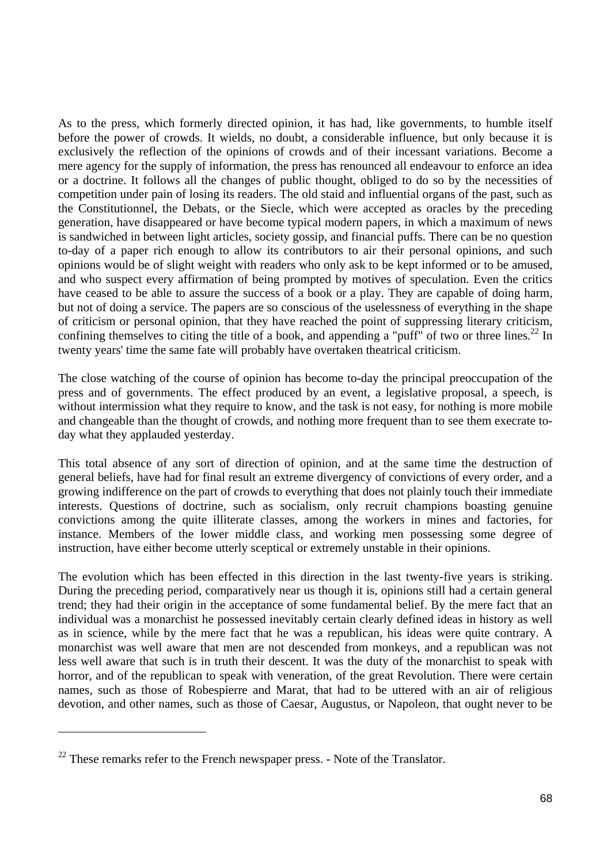As to the press, which formerly directed opinion, it has had, like governments, to humble itself before the power of crowds. It wields, no doubt, a considerable influence, but only because it is exclusively the reflection of the opinions of crowds and of their incessant variations. Become a mere agency for the supply of information, the press has renounced all endeavour to enforce an idea or a doctrine. It follows all the changes of public thought, obliged to do so by the necessities of competition under pain of losing its readers. The old staid and influential organs of the past, such as the Constitutionnel, the Debats, or the Siecle, which were accepted as oracles by the preceding generation, have disappeared or have become typical modern papers, in which a maximum of news is sandwiched in between light articles, society gossip, and financial puffs. There can be no question to-day of a paper rich enough to allow its contributors to air their personal opinions, and such opinions would be of slight weight with readers who only ask to be kept informed or to be amused, and who suspect every affirmation of being prompted by motives of speculation. Even the critics have ceased to be able to assure the success of a book or a play. They are capable of doing harm, but not of doing a service. The papers are so conscious of the uselessness of everything in the shape of criticism or personal opinion, that they have reached the point of suppressing literary criticism, confining themselves to citing the title of a book, and appending a "puff" of two or three lines.<sup>22</sup> In twenty years' time the same fate will probably have overtaken theatrical criticism.

The close watching of the course of opinion has become to-day the principal preoccupation of the press and of governments. The effect produced by an event, a legislative proposal, a speech, is without intermission what they require to know, and the task is not easy, for nothing is more mobile and changeable than the thought of crowds, and nothing more frequent than to see them execrate today what they applauded yesterday.

This total absence of any sort of direction of opinion, and at the same time the destruction of general beliefs, have had for final result an extreme divergency of convictions of every order, and a growing indifference on the part of crowds to everything that does not plainly touch their immediate interests. Questions of doctrine, such as socialism, only recruit champions boasting genuine convictions among the quite illiterate classes, among the workers in mines and factories, for instance. Members of the lower middle class, and working men possessing some degree of instruction, have either become utterly sceptical or extremely unstable in their opinions.

The evolution which has been effected in this direction in the last twenty-five years is striking. During the preceding period, comparatively near us though it is, opinions still had a certain general trend; they had their origin in the acceptance of some fundamental belief. By the mere fact that an individual was a monarchist he possessed inevitably certain clearly defined ideas in history as well as in science, while by the mere fact that he was a republican, his ideas were quite contrary. A monarchist was well aware that men are not descended from monkeys, and a republican was not less well aware that such is in truth their descent. It was the duty of the monarchist to speak with horror, and of the republican to speak with veneration, of the great Revolution. There were certain names, such as those of Robespierre and Marat, that had to be uttered with an air of religious devotion, and other names, such as those of Caesar, Augustus, or Napoleon, that ought never to be

 $^{22}$  These remarks refer to the French newspaper press. - Note of the Translator.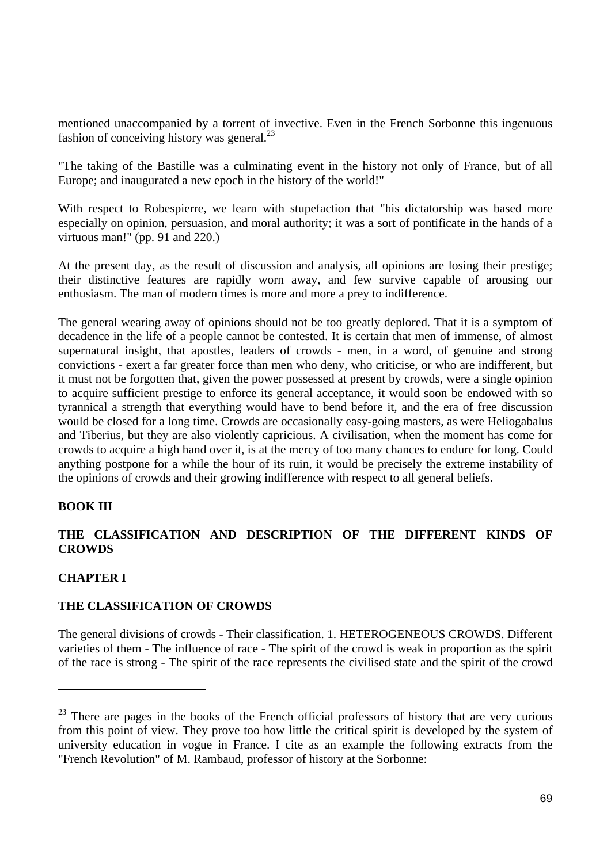mentioned unaccompanied by a torrent of invective. Even in the French Sorbonne this ingenuous fashion of conceiving history was general. $^{23}$ 

"The taking of the Bastille was a culminating event in the history not only of France, but of all Europe; and inaugurated a new epoch in the history of the world!"

With respect to Robespierre, we learn with stupefaction that "his dictatorship was based more especially on opinion, persuasion, and moral authority; it was a sort of pontificate in the hands of a virtuous man!" (pp. 91 and 220.)

At the present day, as the result of discussion and analysis, all opinions are losing their prestige; their distinctive features are rapidly worn away, and few survive capable of arousing our enthusiasm. The man of modern times is more and more a prey to indifference.

The general wearing away of opinions should not be too greatly deplored. That it is a symptom of decadence in the life of a people cannot be contested. It is certain that men of immense, of almost supernatural insight, that apostles, leaders of crowds - men, in a word, of genuine and strong convictions - exert a far greater force than men who deny, who criticise, or who are indifferent, but it must not be forgotten that, given the power possessed at present by crowds, were a single opinion to acquire sufficient prestige to enforce its general acceptance, it would soon be endowed with so tyrannical a strength that everything would have to bend before it, and the era of free discussion would be closed for a long time. Crowds are occasionally easy-going masters, as were Heliogabalus and Tiberius, but they are also violently capricious. A civilisation, when the moment has come for crowds to acquire a high hand over it, is at the mercy of too many chances to endure for long. Could anything postpone for a while the hour of its ruin, it would be precisely the extreme instability of the opinions of crowds and their growing indifference with respect to all general beliefs.

### **BOOK III**

## **THE CLASSIFICATION AND DESCRIPTION OF THE DIFFERENT KINDS OF CROWDS**

### **CHAPTER I**

 $\overline{a}$ 

#### **THE CLASSIFICATION OF CROWDS**

The general divisions of crowds - Their classification. 1. HETEROGENEOUS CROWDS. Different varieties of them - The influence of race - The spirit of the crowd is weak in proportion as the spirit of the race is strong - The spirit of the race represents the civilised state and the spirit of the crowd

<sup>&</sup>lt;sup>23</sup> There are pages in the books of the French official professors of history that are very curious from this point of view. They prove too how little the critical spirit is developed by the system of university education in vogue in France. I cite as an example the following extracts from the "French Revolution" of M. Rambaud, professor of history at the Sorbonne: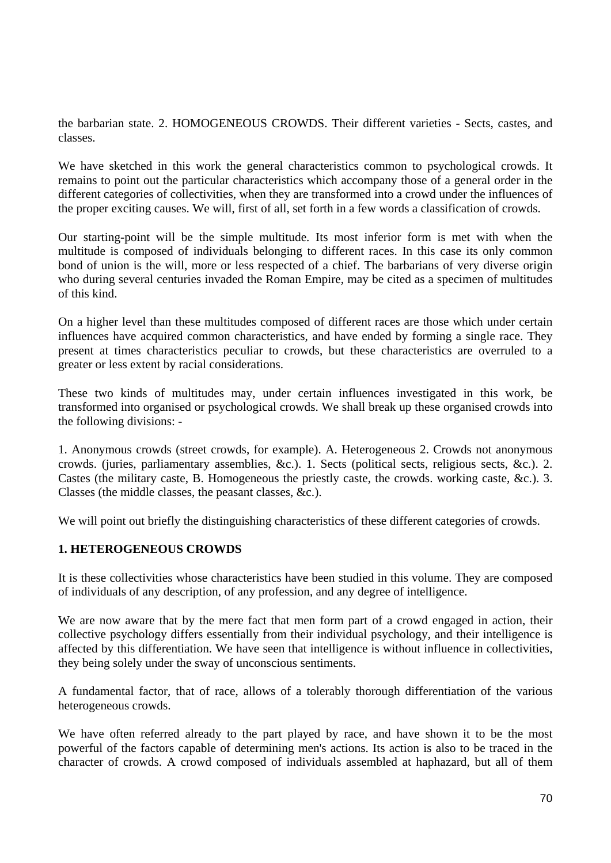the barbarian state. 2. HOMOGENEOUS CROWDS. Their different varieties - Sects, castes, and classes.

We have sketched in this work the general characteristics common to psychological crowds. It remains to point out the particular characteristics which accompany those of a general order in the different categories of collectivities, when they are transformed into a crowd under the influences of the proper exciting causes. We will, first of all, set forth in a few words a classification of crowds.

Our starting-point will be the simple multitude. Its most inferior form is met with when the multitude is composed of individuals belonging to different races. In this case its only common bond of union is the will, more or less respected of a chief. The barbarians of very diverse origin who during several centuries invaded the Roman Empire, may be cited as a specimen of multitudes of this kind.

On a higher level than these multitudes composed of different races are those which under certain influences have acquired common characteristics, and have ended by forming a single race. They present at times characteristics peculiar to crowds, but these characteristics are overruled to a greater or less extent by racial considerations.

These two kinds of multitudes may, under certain influences investigated in this work, be transformed into organised or psychological crowds. We shall break up these organised crowds into the following divisions: -

1. Anonymous crowds (street crowds, for example). A. Heterogeneous 2. Crowds not anonymous crowds. (juries, parliamentary assemblies, &c.). 1. Sects (political sects, religious sects, &c.). 2. Castes (the military caste, B. Homogeneous the priestly caste, the crowds. working caste, &c.). 3. Classes (the middle classes, the peasant classes, &c.).

We will point out briefly the distinguishing characteristics of these different categories of crowds.

### **1. HETEROGENEOUS CROWDS**

It is these collectivities whose characteristics have been studied in this volume. They are composed of individuals of any description, of any profession, and any degree of intelligence.

We are now aware that by the mere fact that men form part of a crowd engaged in action, their collective psychology differs essentially from their individual psychology, and their intelligence is affected by this differentiation. We have seen that intelligence is without influence in collectivities, they being solely under the sway of unconscious sentiments.

A fundamental factor, that of race, allows of a tolerably thorough differentiation of the various heterogeneous crowds.

We have often referred already to the part played by race, and have shown it to be the most powerful of the factors capable of determining men's actions. Its action is also to be traced in the character of crowds. A crowd composed of individuals assembled at haphazard, but all of them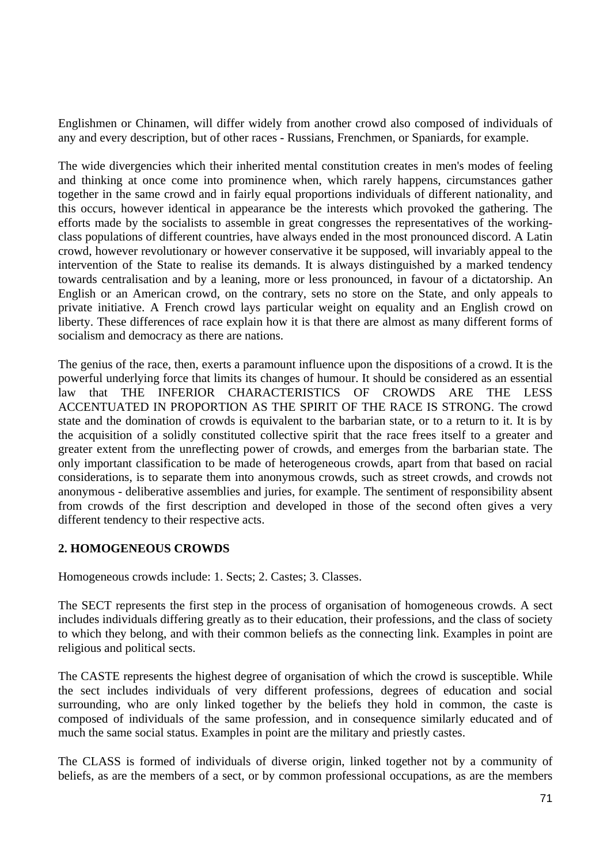Englishmen or Chinamen, will differ widely from another crowd also composed of individuals of any and every description, but of other races - Russians, Frenchmen, or Spaniards, for example.

The wide divergencies which their inherited mental constitution creates in men's modes of feeling and thinking at once come into prominence when, which rarely happens, circumstances gather together in the same crowd and in fairly equal proportions individuals of different nationality, and this occurs, however identical in appearance be the interests which provoked the gathering. The efforts made by the socialists to assemble in great congresses the representatives of the workingclass populations of different countries, have always ended in the most pronounced discord. A Latin crowd, however revolutionary or however conservative it be supposed, will invariably appeal to the intervention of the State to realise its demands. It is always distinguished by a marked tendency towards centralisation and by a leaning, more or less pronounced, in favour of a dictatorship. An English or an American crowd, on the contrary, sets no store on the State, and only appeals to private initiative. A French crowd lays particular weight on equality and an English crowd on liberty. These differences of race explain how it is that there are almost as many different forms of socialism and democracy as there are nations.

The genius of the race, then, exerts a paramount influence upon the dispositions of a crowd. It is the powerful underlying force that limits its changes of humour. It should be considered as an essential law that THE INFERIOR CHARACTERISTICS OF CROWDS ARE THE LESS ACCENTUATED IN PROPORTION AS THE SPIRIT OF THE RACE IS STRONG. The crowd state and the domination of crowds is equivalent to the barbarian state, or to a return to it. It is by the acquisition of a solidly constituted collective spirit that the race frees itself to a greater and greater extent from the unreflecting power of crowds, and emerges from the barbarian state. The only important classification to be made of heterogeneous crowds, apart from that based on racial considerations, is to separate them into anonymous crowds, such as street crowds, and crowds not anonymous - deliberative assemblies and juries, for example. The sentiment of responsibility absent from crowds of the first description and developed in those of the second often gives a very different tendency to their respective acts.

### **2. HOMOGENEOUS CROWDS**

Homogeneous crowds include: 1. Sects; 2. Castes; 3. Classes.

The SECT represents the first step in the process of organisation of homogeneous crowds. A sect includes individuals differing greatly as to their education, their professions, and the class of society to which they belong, and with their common beliefs as the connecting link. Examples in point are religious and political sects.

The CASTE represents the highest degree of organisation of which the crowd is susceptible. While the sect includes individuals of very different professions, degrees of education and social surrounding, who are only linked together by the beliefs they hold in common, the caste is composed of individuals of the same profession, and in consequence similarly educated and of much the same social status. Examples in point are the military and priestly castes.

The CLASS is formed of individuals of diverse origin, linked together not by a community of beliefs, as are the members of a sect, or by common professional occupations, as are the members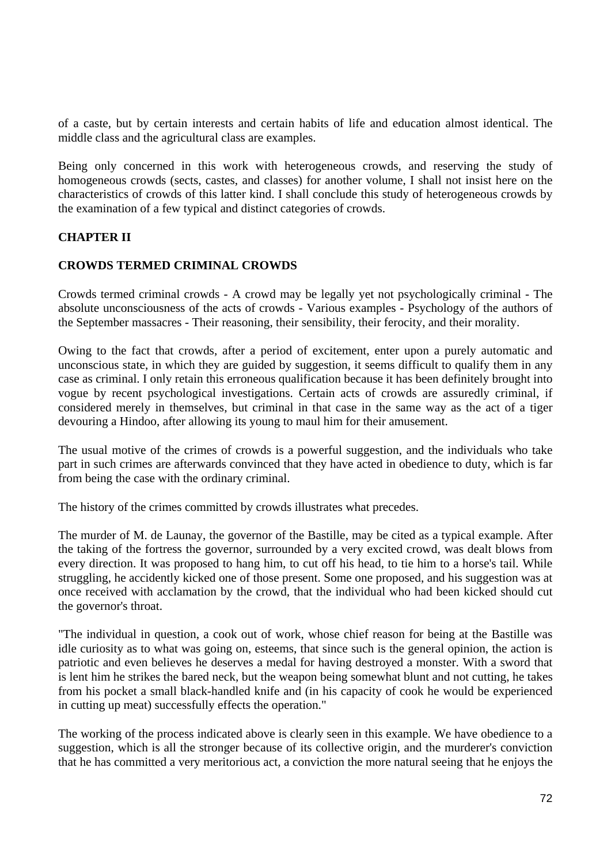of a caste, but by certain interests and certain habits of life and education almost identical. The middle class and the agricultural class are examples.

Being only concerned in this work with heterogeneous crowds, and reserving the study of homogeneous crowds (sects, castes, and classes) for another volume, I shall not insist here on the characteristics of crowds of this latter kind. I shall conclude this study of heterogeneous crowds by the examination of a few typical and distinct categories of crowds.

## **CHAPTER II**

### **CROWDS TERMED CRIMINAL CROWDS**

Crowds termed criminal crowds - A crowd may be legally yet not psychologically criminal - The absolute unconsciousness of the acts of crowds - Various examples - Psychology of the authors of the September massacres - Their reasoning, their sensibility, their ferocity, and their morality.

Owing to the fact that crowds, after a period of excitement, enter upon a purely automatic and unconscious state, in which they are guided by suggestion, it seems difficult to qualify them in any case as criminal. I only retain this erroneous qualification because it has been definitely brought into vogue by recent psychological investigations. Certain acts of crowds are assuredly criminal, if considered merely in themselves, but criminal in that case in the same way as the act of a tiger devouring a Hindoo, after allowing its young to maul him for their amusement.

The usual motive of the crimes of crowds is a powerful suggestion, and the individuals who take part in such crimes are afterwards convinced that they have acted in obedience to duty, which is far from being the case with the ordinary criminal.

The history of the crimes committed by crowds illustrates what precedes.

The murder of M. de Launay, the governor of the Bastille, may be cited as a typical example. After the taking of the fortress the governor, surrounded by a very excited crowd, was dealt blows from every direction. It was proposed to hang him, to cut off his head, to tie him to a horse's tail. While struggling, he accidently kicked one of those present. Some one proposed, and his suggestion was at once received with acclamation by the crowd, that the individual who had been kicked should cut the governor's throat.

"The individual in question, a cook out of work, whose chief reason for being at the Bastille was idle curiosity as to what was going on, esteems, that since such is the general opinion, the action is patriotic and even believes he deserves a medal for having destroyed a monster. With a sword that is lent him he strikes the bared neck, but the weapon being somewhat blunt and not cutting, he takes from his pocket a small black-handled knife and (in his capacity of cook he would be experienced in cutting up meat) successfully effects the operation."

The working of the process indicated above is clearly seen in this example. We have obedience to a suggestion, which is all the stronger because of its collective origin, and the murderer's conviction that he has committed a very meritorious act, a conviction the more natural seeing that he enjoys the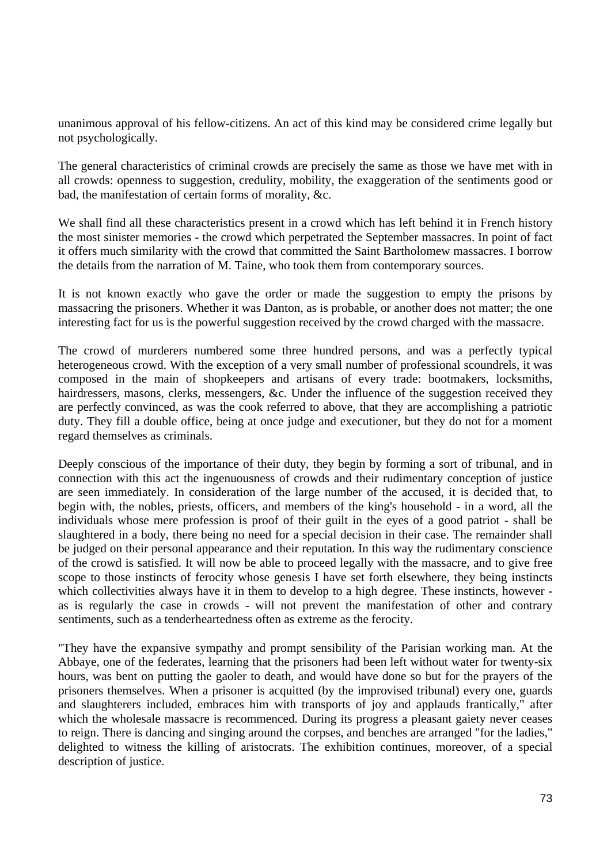unanimous approval of his fellow-citizens. An act of this kind may be considered crime legally but not psychologically.

The general characteristics of criminal crowds are precisely the same as those we have met with in all crowds: openness to suggestion, credulity, mobility, the exaggeration of the sentiments good or bad, the manifestation of certain forms of morality, &c.

We shall find all these characteristics present in a crowd which has left behind it in French history the most sinister memories - the crowd which perpetrated the September massacres. In point of fact it offers much similarity with the crowd that committed the Saint Bartholomew massacres. I borrow the details from the narration of M. Taine, who took them from contemporary sources.

It is not known exactly who gave the order or made the suggestion to empty the prisons by massacring the prisoners. Whether it was Danton, as is probable, or another does not matter; the one interesting fact for us is the powerful suggestion received by the crowd charged with the massacre.

The crowd of murderers numbered some three hundred persons, and was a perfectly typical heterogeneous crowd. With the exception of a very small number of professional scoundrels, it was composed in the main of shopkeepers and artisans of every trade: bootmakers, locksmiths, hairdressers, masons, clerks, messengers, &c. Under the influence of the suggestion received they are perfectly convinced, as was the cook referred to above, that they are accomplishing a patriotic duty. They fill a double office, being at once judge and executioner, but they do not for a moment regard themselves as criminals.

Deeply conscious of the importance of their duty, they begin by forming a sort of tribunal, and in connection with this act the ingenuousness of crowds and their rudimentary conception of justice are seen immediately. In consideration of the large number of the accused, it is decided that, to begin with, the nobles, priests, officers, and members of the king's household - in a word, all the individuals whose mere profession is proof of their guilt in the eyes of a good patriot - shall be slaughtered in a body, there being no need for a special decision in their case. The remainder shall be judged on their personal appearance and their reputation. In this way the rudimentary conscience of the crowd is satisfied. It will now be able to proceed legally with the massacre, and to give free scope to those instincts of ferocity whose genesis I have set forth elsewhere, they being instincts which collectivities always have it in them to develop to a high degree. These instincts, however as is regularly the case in crowds - will not prevent the manifestation of other and contrary sentiments, such as a tenderheartedness often as extreme as the ferocity.

"They have the expansive sympathy and prompt sensibility of the Parisian working man. At the Abbaye, one of the federates, learning that the prisoners had been left without water for twenty-six hours, was bent on putting the gaoler to death, and would have done so but for the prayers of the prisoners themselves. When a prisoner is acquitted (by the improvised tribunal) every one, guards and slaughterers included, embraces him with transports of joy and applauds frantically," after which the wholesale massacre is recommenced. During its progress a pleasant gaiety never ceases to reign. There is dancing and singing around the corpses, and benches are arranged "for the ladies," delighted to witness the killing of aristocrats. The exhibition continues, moreover, of a special description of justice.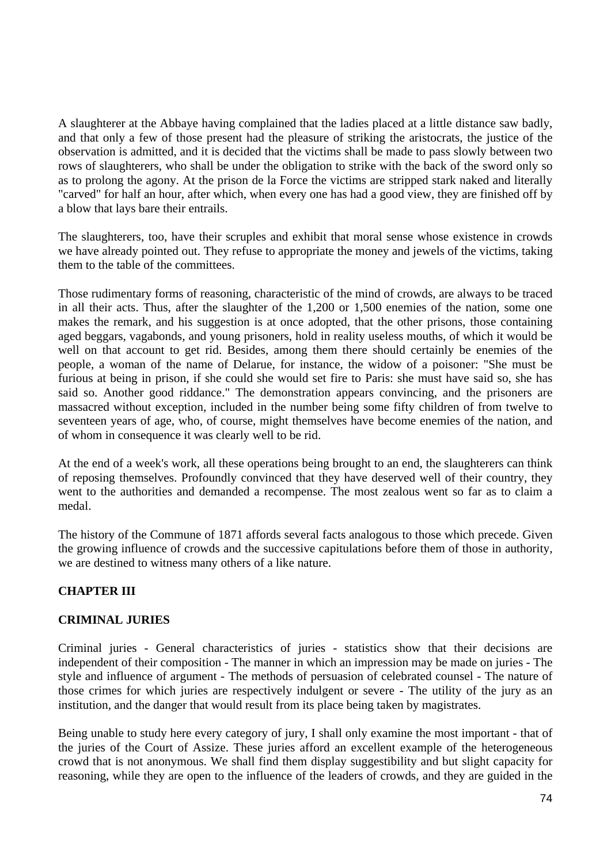A slaughterer at the Abbaye having complained that the ladies placed at a little distance saw badly, and that only a few of those present had the pleasure of striking the aristocrats, the justice of the observation is admitted, and it is decided that the victims shall be made to pass slowly between two rows of slaughterers, who shall be under the obligation to strike with the back of the sword only so as to prolong the agony. At the prison de la Force the victims are stripped stark naked and literally "carved" for half an hour, after which, when every one has had a good view, they are finished off by a blow that lays bare their entrails.

The slaughterers, too, have their scruples and exhibit that moral sense whose existence in crowds we have already pointed out. They refuse to appropriate the money and jewels of the victims, taking them to the table of the committees.

Those rudimentary forms of reasoning, characteristic of the mind of crowds, are always to be traced in all their acts. Thus, after the slaughter of the 1,200 or 1,500 enemies of the nation, some one makes the remark, and his suggestion is at once adopted, that the other prisons, those containing aged beggars, vagabonds, and young prisoners, hold in reality useless mouths, of which it would be well on that account to get rid. Besides, among them there should certainly be enemies of the people, a woman of the name of Delarue, for instance, the widow of a poisoner: "She must be furious at being in prison, if she could she would set fire to Paris: she must have said so, she has said so. Another good riddance." The demonstration appears convincing, and the prisoners are massacred without exception, included in the number being some fifty children of from twelve to seventeen years of age, who, of course, might themselves have become enemies of the nation, and of whom in consequence it was clearly well to be rid.

At the end of a week's work, all these operations being brought to an end, the slaughterers can think of reposing themselves. Profoundly convinced that they have deserved well of their country, they went to the authorities and demanded a recompense. The most zealous went so far as to claim a medal.

The history of the Commune of 1871 affords several facts analogous to those which precede. Given the growing influence of crowds and the successive capitulations before them of those in authority, we are destined to witness many others of a like nature.

# **CHAPTER III**

## **CRIMINAL JURIES**

Criminal juries - General characteristics of juries - statistics show that their decisions are independent of their composition - The manner in which an impression may be made on juries - The style and influence of argument - The methods of persuasion of celebrated counsel - The nature of those crimes for which juries are respectively indulgent or severe - The utility of the jury as an institution, and the danger that would result from its place being taken by magistrates.

Being unable to study here every category of jury, I shall only examine the most important - that of the juries of the Court of Assize. These juries afford an excellent example of the heterogeneous crowd that is not anonymous. We shall find them display suggestibility and but slight capacity for reasoning, while they are open to the influence of the leaders of crowds, and they are guided in the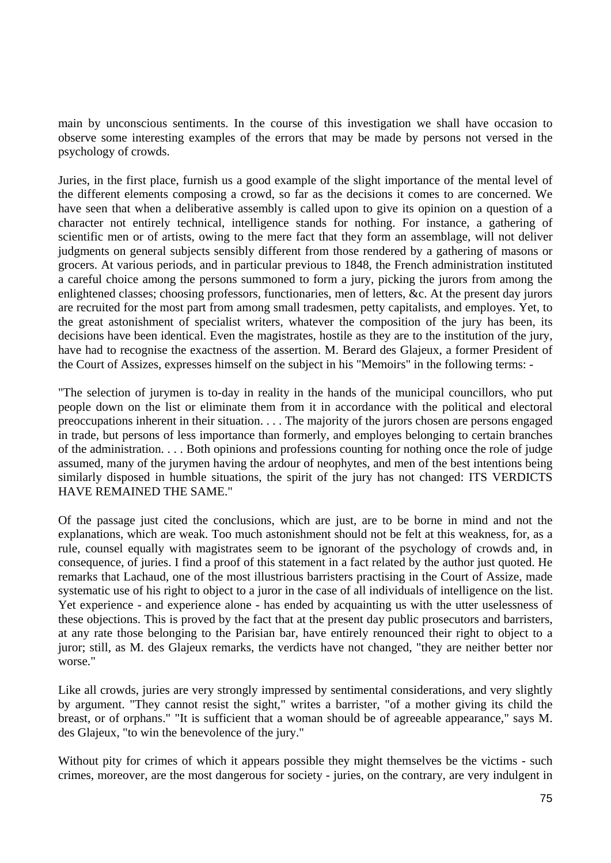main by unconscious sentiments. In the course of this investigation we shall have occasion to observe some interesting examples of the errors that may be made by persons not versed in the psychology of crowds.

Juries, in the first place, furnish us a good example of the slight importance of the mental level of the different elements composing a crowd, so far as the decisions it comes to are concerned. We have seen that when a deliberative assembly is called upon to give its opinion on a question of a character not entirely technical, intelligence stands for nothing. For instance, a gathering of scientific men or of artists, owing to the mere fact that they form an assemblage, will not deliver judgments on general subjects sensibly different from those rendered by a gathering of masons or grocers. At various periods, and in particular previous to 1848, the French administration instituted a careful choice among the persons summoned to form a jury, picking the jurors from among the enlightened classes; choosing professors, functionaries, men of letters, &c. At the present day jurors are recruited for the most part from among small tradesmen, petty capitalists, and employes. Yet, to the great astonishment of specialist writers, whatever the composition of the jury has been, its decisions have been identical. Even the magistrates, hostile as they are to the institution of the jury, have had to recognise the exactness of the assertion. M. Berard des Glajeux, a former President of the Court of Assizes, expresses himself on the subject in his "Memoirs" in the following terms: -

"The selection of jurymen is to-day in reality in the hands of the municipal councillors, who put people down on the list or eliminate them from it in accordance with the political and electoral preoccupations inherent in their situation. . . . The majority of the jurors chosen are persons engaged in trade, but persons of less importance than formerly, and employes belonging to certain branches of the administration. . . . Both opinions and professions counting for nothing once the role of judge assumed, many of the jurymen having the ardour of neophytes, and men of the best intentions being similarly disposed in humble situations, the spirit of the jury has not changed: ITS VERDICTS HAVE REMAINED THE SAME."

Of the passage just cited the conclusions, which are just, are to be borne in mind and not the explanations, which are weak. Too much astonishment should not be felt at this weakness, for, as a rule, counsel equally with magistrates seem to be ignorant of the psychology of crowds and, in consequence, of juries. I find a proof of this statement in a fact related by the author just quoted. He remarks that Lachaud, one of the most illustrious barristers practising in the Court of Assize, made systematic use of his right to object to a juror in the case of all individuals of intelligence on the list. Yet experience - and experience alone - has ended by acquainting us with the utter uselessness of these objections. This is proved by the fact that at the present day public prosecutors and barristers, at any rate those belonging to the Parisian bar, have entirely renounced their right to object to a juror; still, as M. des Glajeux remarks, the verdicts have not changed, "they are neither better nor worse."

Like all crowds, juries are very strongly impressed by sentimental considerations, and very slightly by argument. "They cannot resist the sight," writes a barrister, "of a mother giving its child the breast, or of orphans." "It is sufficient that a woman should be of agreeable appearance," says M. des Glajeux, "to win the benevolence of the jury."

Without pity for crimes of which it appears possible they might themselves be the victims - such crimes, moreover, are the most dangerous for society - juries, on the contrary, are very indulgent in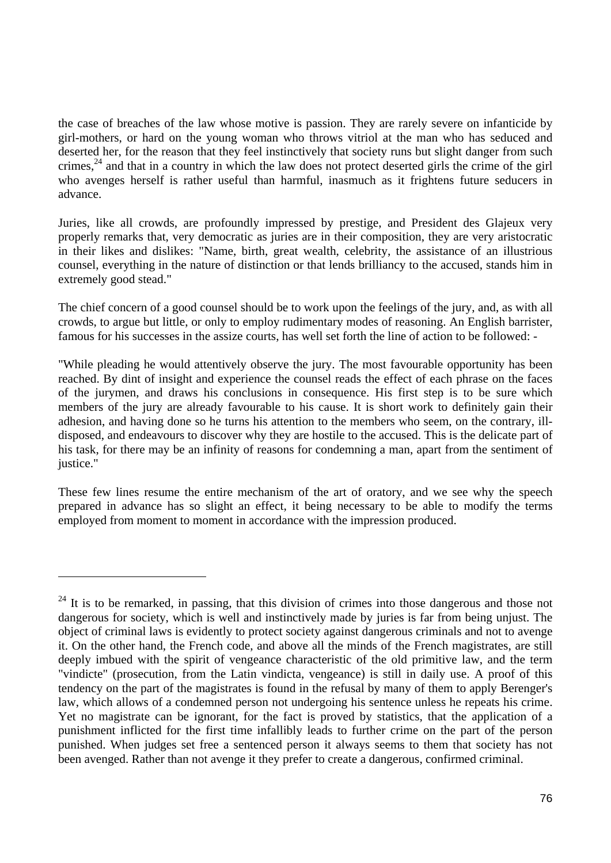the case of breaches of the law whose motive is passion. They are rarely severe on infanticide by girl-mothers, or hard on the young woman who throws vitriol at the man who has seduced and deserted her, for the reason that they feel instinctively that society runs but slight danger from such crimes,  $24$  and that in a country in which the law does not protect deserted girls the crime of the girl who avenges herself is rather useful than harmful, inasmuch as it frightens future seducers in advance.

Juries, like all crowds, are profoundly impressed by prestige, and President des Glajeux very properly remarks that, very democratic as juries are in their composition, they are very aristocratic in their likes and dislikes: "Name, birth, great wealth, celebrity, the assistance of an illustrious counsel, everything in the nature of distinction or that lends brilliancy to the accused, stands him in extremely good stead."

The chief concern of a good counsel should be to work upon the feelings of the jury, and, as with all crowds, to argue but little, or only to employ rudimentary modes of reasoning. An English barrister, famous for his successes in the assize courts, has well set forth the line of action to be followed: -

"While pleading he would attentively observe the jury. The most favourable opportunity has been reached. By dint of insight and experience the counsel reads the effect of each phrase on the faces of the jurymen, and draws his conclusions in consequence. His first step is to be sure which members of the jury are already favourable to his cause. It is short work to definitely gain their adhesion, and having done so he turns his attention to the members who seem, on the contrary, illdisposed, and endeavours to discover why they are hostile to the accused. This is the delicate part of his task, for there may be an infinity of reasons for condemning a man, apart from the sentiment of justice."

These few lines resume the entire mechanism of the art of oratory, and we see why the speech prepared in advance has so slight an effect, it being necessary to be able to modify the terms employed from moment to moment in accordance with the impression produced.

 $^{24}$  It is to be remarked, in passing, that this division of crimes into those dangerous and those not dangerous for society, which is well and instinctively made by juries is far from being unjust. The object of criminal laws is evidently to protect society against dangerous criminals and not to avenge it. On the other hand, the French code, and above all the minds of the French magistrates, are still deeply imbued with the spirit of vengeance characteristic of the old primitive law, and the term "vindicte" (prosecution, from the Latin vindicta, vengeance) is still in daily use. A proof of this tendency on the part of the magistrates is found in the refusal by many of them to apply Berenger's law, which allows of a condemned person not undergoing his sentence unless he repeats his crime. Yet no magistrate can be ignorant, for the fact is proved by statistics, that the application of a punishment inflicted for the first time infallibly leads to further crime on the part of the person punished. When judges set free a sentenced person it always seems to them that society has not been avenged. Rather than not avenge it they prefer to create a dangerous, confirmed criminal.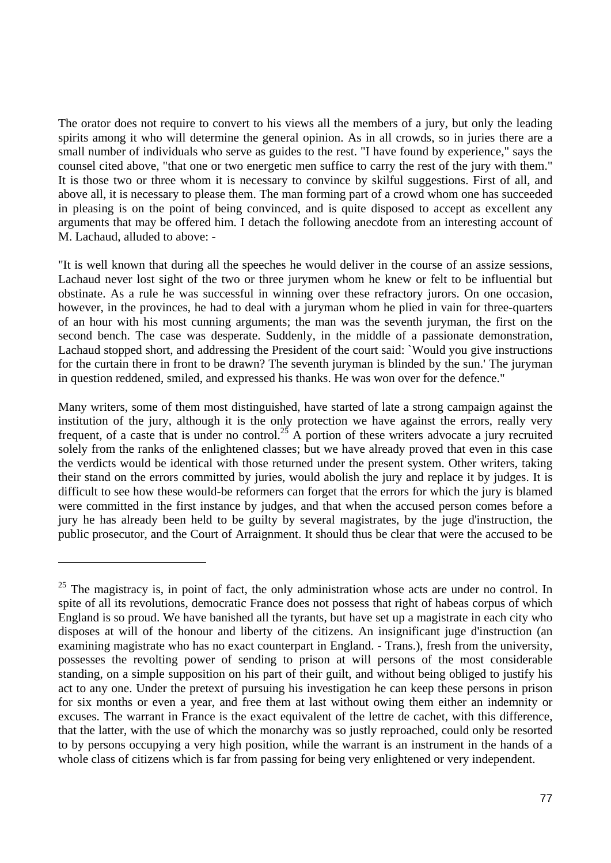The orator does not require to convert to his views all the members of a jury, but only the leading spirits among it who will determine the general opinion. As in all crowds, so in juries there are a small number of individuals who serve as guides to the rest. "I have found by experience," says the counsel cited above, "that one or two energetic men suffice to carry the rest of the jury with them." It is those two or three whom it is necessary to convince by skilful suggestions. First of all, and above all, it is necessary to please them. The man forming part of a crowd whom one has succeeded in pleasing is on the point of being convinced, and is quite disposed to accept as excellent any arguments that may be offered him. I detach the following anecdote from an interesting account of M. Lachaud, alluded to above: -

"It is well known that during all the speeches he would deliver in the course of an assize sessions, Lachaud never lost sight of the two or three jurymen whom he knew or felt to be influential but obstinate. As a rule he was successful in winning over these refractory jurors. On one occasion, however, in the provinces, he had to deal with a juryman whom he plied in vain for three-quarters of an hour with his most cunning arguments; the man was the seventh juryman, the first on the second bench. The case was desperate. Suddenly, in the middle of a passionate demonstration, Lachaud stopped short, and addressing the President of the court said: `Would you give instructions for the curtain there in front to be drawn? The seventh juryman is blinded by the sun.' The juryman in question reddened, smiled, and expressed his thanks. He was won over for the defence."

Many writers, some of them most distinguished, have started of late a strong campaign against the institution of the jury, although it is the only protection we have against the errors, really very frequent, of a caste that is under no control.<sup>25</sup> A portion of these writers advocate a jury recruited solely from the ranks of the enlightened classes; but we have already proved that even in this case the verdicts would be identical with those returned under the present system. Other writers, taking their stand on the errors committed by juries, would abolish the jury and replace it by judges. It is difficult to see how these would-be reformers can forget that the errors for which the jury is blamed were committed in the first instance by judges, and that when the accused person comes before a jury he has already been held to be guilty by several magistrates, by the juge d'instruction, the public prosecutor, and the Court of Arraignment. It should thus be clear that were the accused to be

 $25$  The magistracy is, in point of fact, the only administration whose acts are under no control. In spite of all its revolutions, democratic France does not possess that right of habeas corpus of which England is so proud. We have banished all the tyrants, but have set up a magistrate in each city who disposes at will of the honour and liberty of the citizens. An insignificant juge d'instruction (an examining magistrate who has no exact counterpart in England. - Trans.), fresh from the university, possesses the revolting power of sending to prison at will persons of the most considerable standing, on a simple supposition on his part of their guilt, and without being obliged to justify his act to any one. Under the pretext of pursuing his investigation he can keep these persons in prison for six months or even a year, and free them at last without owing them either an indemnity or excuses. The warrant in France is the exact equivalent of the lettre de cachet, with this difference, that the latter, with the use of which the monarchy was so justly reproached, could only be resorted to by persons occupying a very high position, while the warrant is an instrument in the hands of a whole class of citizens which is far from passing for being very enlightened or very independent.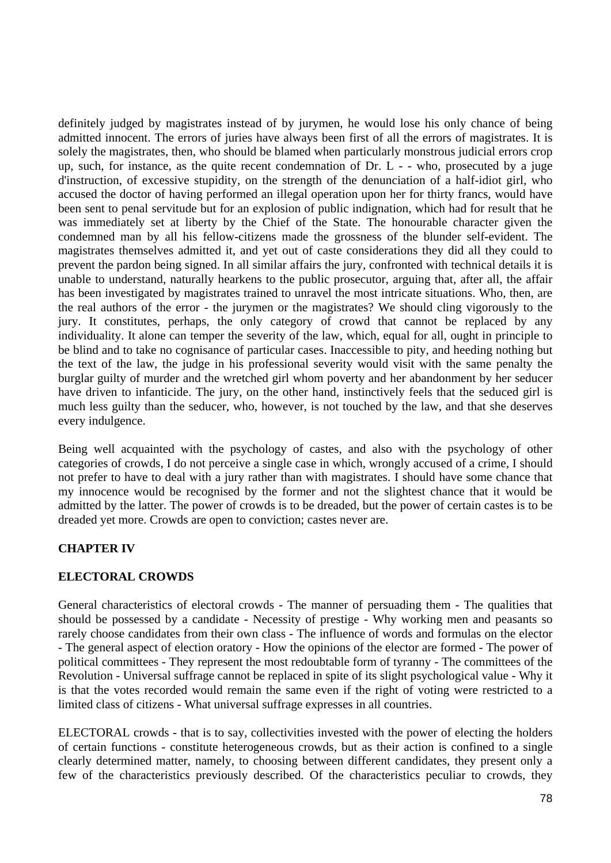definitely judged by magistrates instead of by jurymen, he would lose his only chance of being admitted innocent. The errors of juries have always been first of all the errors of magistrates. It is solely the magistrates, then, who should be blamed when particularly monstrous judicial errors crop up, such, for instance, as the quite recent condemnation of Dr. L - - who, prosecuted by a juge d'instruction, of excessive stupidity, on the strength of the denunciation of a half-idiot girl, who accused the doctor of having performed an illegal operation upon her for thirty francs, would have been sent to penal servitude but for an explosion of public indignation, which had for result that he was immediately set at liberty by the Chief of the State. The honourable character given the condemned man by all his fellow-citizens made the grossness of the blunder self-evident. The magistrates themselves admitted it, and yet out of caste considerations they did all they could to prevent the pardon being signed. In all similar affairs the jury, confronted with technical details it is unable to understand, naturally hearkens to the public prosecutor, arguing that, after all, the affair has been investigated by magistrates trained to unravel the most intricate situations. Who, then, are the real authors of the error - the jurymen or the magistrates? We should cling vigorously to the jury. It constitutes, perhaps, the only category of crowd that cannot be replaced by any individuality. It alone can temper the severity of the law, which, equal for all, ought in principle to be blind and to take no cognisance of particular cases. Inaccessible to pity, and heeding nothing but the text of the law, the judge in his professional severity would visit with the same penalty the burglar guilty of murder and the wretched girl whom poverty and her abandonment by her seducer have driven to infanticide. The jury, on the other hand, instinctively feels that the seduced girl is much less guilty than the seducer, who, however, is not touched by the law, and that she deserves every indulgence.

Being well acquainted with the psychology of castes, and also with the psychology of other categories of crowds, I do not perceive a single case in which, wrongly accused of a crime, I should not prefer to have to deal with a jury rather than with magistrates. I should have some chance that my innocence would be recognised by the former and not the slightest chance that it would be admitted by the latter. The power of crowds is to be dreaded, but the power of certain castes is to be dreaded yet more. Crowds are open to conviction; castes never are.

# **CHAPTER IV**

## **ELECTORAL CROWDS**

General characteristics of electoral crowds - The manner of persuading them - The qualities that should be possessed by a candidate - Necessity of prestige - Why working men and peasants so rarely choose candidates from their own class - The influence of words and formulas on the elector - The general aspect of election oratory - How the opinions of the elector are formed - The power of political committees - They represent the most redoubtable form of tyranny - The committees of the Revolution - Universal suffrage cannot be replaced in spite of its slight psychological value - Why it is that the votes recorded would remain the same even if the right of voting were restricted to a limited class of citizens - What universal suffrage expresses in all countries.

ELECTORAL crowds - that is to say, collectivities invested with the power of electing the holders of certain functions - constitute heterogeneous crowds, but as their action is confined to a single clearly determined matter, namely, to choosing between different candidates, they present only a few of the characteristics previously described. Of the characteristics peculiar to crowds, they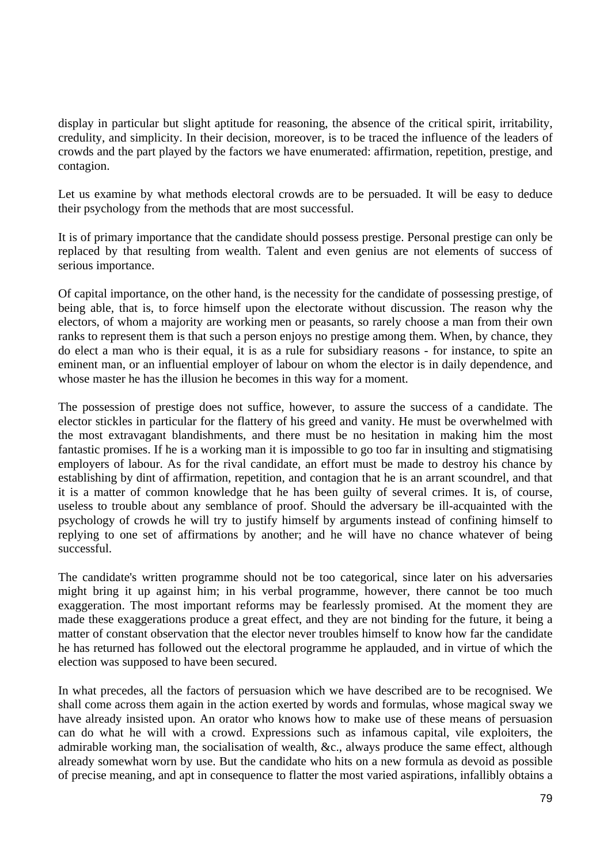display in particular but slight aptitude for reasoning, the absence of the critical spirit, irritability, credulity, and simplicity. In their decision, moreover, is to be traced the influence of the leaders of crowds and the part played by the factors we have enumerated: affirmation, repetition, prestige, and contagion.

Let us examine by what methods electoral crowds are to be persuaded. It will be easy to deduce their psychology from the methods that are most successful.

It is of primary importance that the candidate should possess prestige. Personal prestige can only be replaced by that resulting from wealth. Talent and even genius are not elements of success of serious importance.

Of capital importance, on the other hand, is the necessity for the candidate of possessing prestige, of being able, that is, to force himself upon the electorate without discussion. The reason why the electors, of whom a majority are working men or peasants, so rarely choose a man from their own ranks to represent them is that such a person enjoys no prestige among them. When, by chance, they do elect a man who is their equal, it is as a rule for subsidiary reasons - for instance, to spite an eminent man, or an influential employer of labour on whom the elector is in daily dependence, and whose master he has the illusion he becomes in this way for a moment.

The possession of prestige does not suffice, however, to assure the success of a candidate. The elector stickles in particular for the flattery of his greed and vanity. He must be overwhelmed with the most extravagant blandishments, and there must be no hesitation in making him the most fantastic promises. If he is a working man it is impossible to go too far in insulting and stigmatising employers of labour. As for the rival candidate, an effort must be made to destroy his chance by establishing by dint of affirmation, repetition, and contagion that he is an arrant scoundrel, and that it is a matter of common knowledge that he has been guilty of several crimes. It is, of course, useless to trouble about any semblance of proof. Should the adversary be ill-acquainted with the psychology of crowds he will try to justify himself by arguments instead of confining himself to replying to one set of affirmations by another; and he will have no chance whatever of being successful.

The candidate's written programme should not be too categorical, since later on his adversaries might bring it up against him; in his verbal programme, however, there cannot be too much exaggeration. The most important reforms may be fearlessly promised. At the moment they are made these exaggerations produce a great effect, and they are not binding for the future, it being a matter of constant observation that the elector never troubles himself to know how far the candidate he has returned has followed out the electoral programme he applauded, and in virtue of which the election was supposed to have been secured.

In what precedes, all the factors of persuasion which we have described are to be recognised. We shall come across them again in the action exerted by words and formulas, whose magical sway we have already insisted upon. An orator who knows how to make use of these means of persuasion can do what he will with a crowd. Expressions such as infamous capital, vile exploiters, the admirable working man, the socialisation of wealth, &c., always produce the same effect, although already somewhat worn by use. But the candidate who hits on a new formula as devoid as possible of precise meaning, and apt in consequence to flatter the most varied aspirations, infallibly obtains a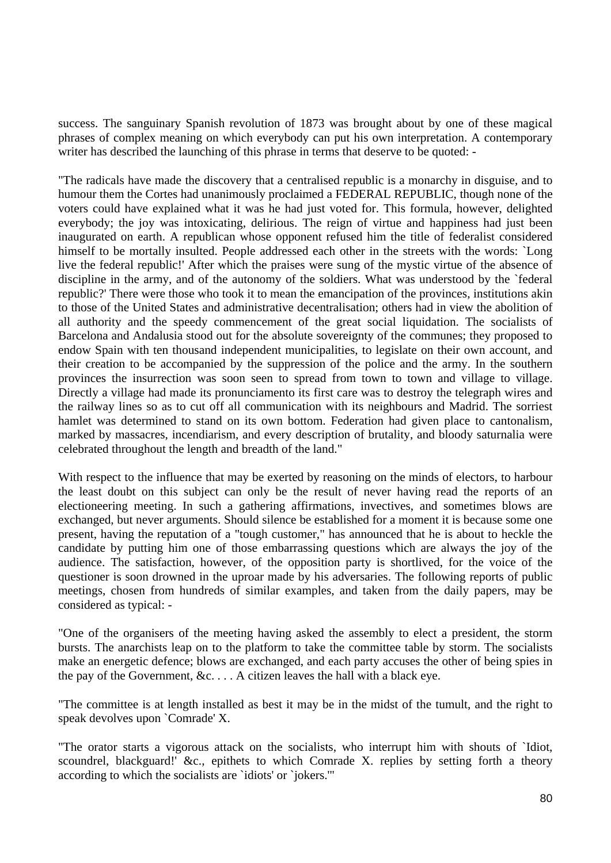success. The sanguinary Spanish revolution of 1873 was brought about by one of these magical phrases of complex meaning on which everybody can put his own interpretation. A contemporary writer has described the launching of this phrase in terms that deserve to be quoted: -

"The radicals have made the discovery that a centralised republic is a monarchy in disguise, and to humour them the Cortes had unanimously proclaimed a FEDERAL REPUBLIC, though none of the voters could have explained what it was he had just voted for. This formula, however, delighted everybody; the joy was intoxicating, delirious. The reign of virtue and happiness had just been inaugurated on earth. A republican whose opponent refused him the title of federalist considered himself to be mortally insulted. People addressed each other in the streets with the words: `Long live the federal republic!' After which the praises were sung of the mystic virtue of the absence of discipline in the army, and of the autonomy of the soldiers. What was understood by the `federal republic?' There were those who took it to mean the emancipation of the provinces, institutions akin to those of the United States and administrative decentralisation; others had in view the abolition of all authority and the speedy commencement of the great social liquidation. The socialists of Barcelona and Andalusia stood out for the absolute sovereignty of the communes; they proposed to endow Spain with ten thousand independent municipalities, to legislate on their own account, and their creation to be accompanied by the suppression of the police and the army. In the southern provinces the insurrection was soon seen to spread from town to town and village to village. Directly a village had made its pronunciamento its first care was to destroy the telegraph wires and the railway lines so as to cut off all communication with its neighbours and Madrid. The sorriest hamlet was determined to stand on its own bottom. Federation had given place to cantonalism, marked by massacres, incendiarism, and every description of brutality, and bloody saturnalia were celebrated throughout the length and breadth of the land."

With respect to the influence that may be exerted by reasoning on the minds of electors, to harbour the least doubt on this subject can only be the result of never having read the reports of an electioneering meeting. In such a gathering affirmations, invectives, and sometimes blows are exchanged, but never arguments. Should silence be established for a moment it is because some one present, having the reputation of a "tough customer," has announced that he is about to heckle the candidate by putting him one of those embarrassing questions which are always the joy of the audience. The satisfaction, however, of the opposition party is shortlived, for the voice of the questioner is soon drowned in the uproar made by his adversaries. The following reports of public meetings, chosen from hundreds of similar examples, and taken from the daily papers, may be considered as typical: -

"One of the organisers of the meeting having asked the assembly to elect a president, the storm bursts. The anarchists leap on to the platform to take the committee table by storm. The socialists make an energetic defence; blows are exchanged, and each party accuses the other of being spies in the pay of the Government,  $&c. \ldots$  A citizen leaves the hall with a black eye.

"The committee is at length installed as best it may be in the midst of the tumult, and the right to speak devolves upon `Comrade' X.

"The orator starts a vigorous attack on the socialists, who interrupt him with shouts of `Idiot, scoundrel, blackguard!' &c., epithets to which Comrade X. replies by setting forth a theory according to which the socialists are `idiots' or `jokers.'"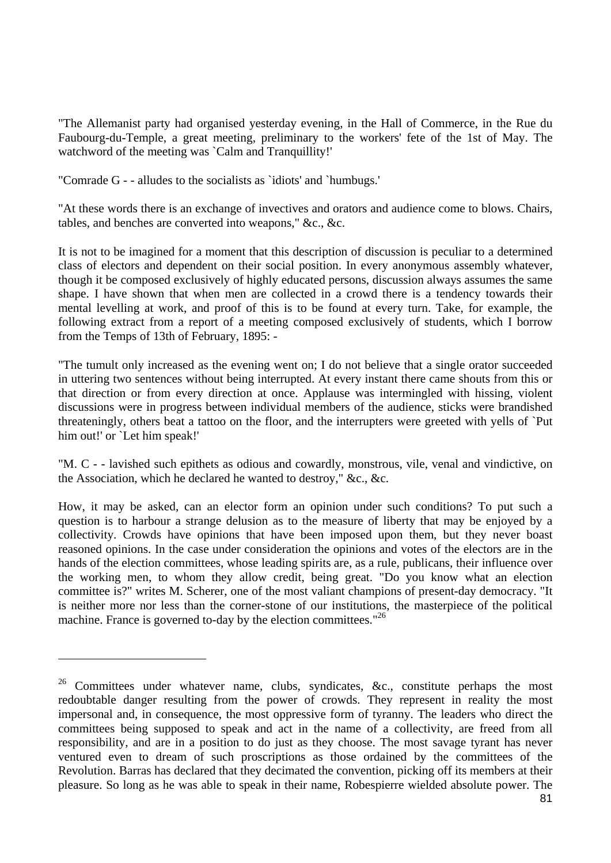"The Allemanist party had organised yesterday evening, in the Hall of Commerce, in the Rue du Faubourg-du-Temple, a great meeting, preliminary to the workers' fete of the 1st of May. The watchword of the meeting was `Calm and Tranquillity!'

"Comrade G - - alludes to the socialists as `idiots' and `humbugs.'

"At these words there is an exchange of invectives and orators and audience come to blows. Chairs, tables, and benches are converted into weapons," &c., &c.

It is not to be imagined for a moment that this description of discussion is peculiar to a determined class of electors and dependent on their social position. In every anonymous assembly whatever, though it be composed exclusively of highly educated persons, discussion always assumes the same shape. I have shown that when men are collected in a crowd there is a tendency towards their mental levelling at work, and proof of this is to be found at every turn. Take, for example, the following extract from a report of a meeting composed exclusively of students, which I borrow from the Temps of 13th of February, 1895: -

"The tumult only increased as the evening went on; I do not believe that a single orator succeeded in uttering two sentences without being interrupted. At every instant there came shouts from this or that direction or from every direction at once. Applause was intermingled with hissing, violent discussions were in progress between individual members of the audience, sticks were brandished threateningly, others beat a tattoo on the floor, and the interrupters were greeted with yells of `Put him out!' or `Let him speak!'

"M. C - - lavished such epithets as odious and cowardly, monstrous, vile, venal and vindictive, on the Association, which he declared he wanted to destroy," &c., &c.

How, it may be asked, can an elector form an opinion under such conditions? To put such a question is to harbour a strange delusion as to the measure of liberty that may be enjoyed by a collectivity. Crowds have opinions that have been imposed upon them, but they never boast reasoned opinions. In the case under consideration the opinions and votes of the electors are in the hands of the election committees, whose leading spirits are, as a rule, publicans, their influence over the working men, to whom they allow credit, being great. "Do you know what an election committee is?" writes M. Scherer, one of the most valiant champions of present-day democracy. "It is neither more nor less than the corner-stone of our institutions, the masterpiece of the political machine. France is governed to-day by the election committees."<sup>26</sup>

<sup>&</sup>lt;sup>26</sup> Committees under whatever name, clubs, syndicates, &c., constitute perhaps the most redoubtable danger resulting from the power of crowds. They represent in reality the most impersonal and, in consequence, the most oppressive form of tyranny. The leaders who direct the committees being supposed to speak and act in the name of a collectivity, are freed from all responsibility, and are in a position to do just as they choose. The most savage tyrant has never ventured even to dream of such proscriptions as those ordained by the committees of the Revolution. Barras has declared that they decimated the convention, picking off its members at their pleasure. So long as he was able to speak in their name, Robespierre wielded absolute power. The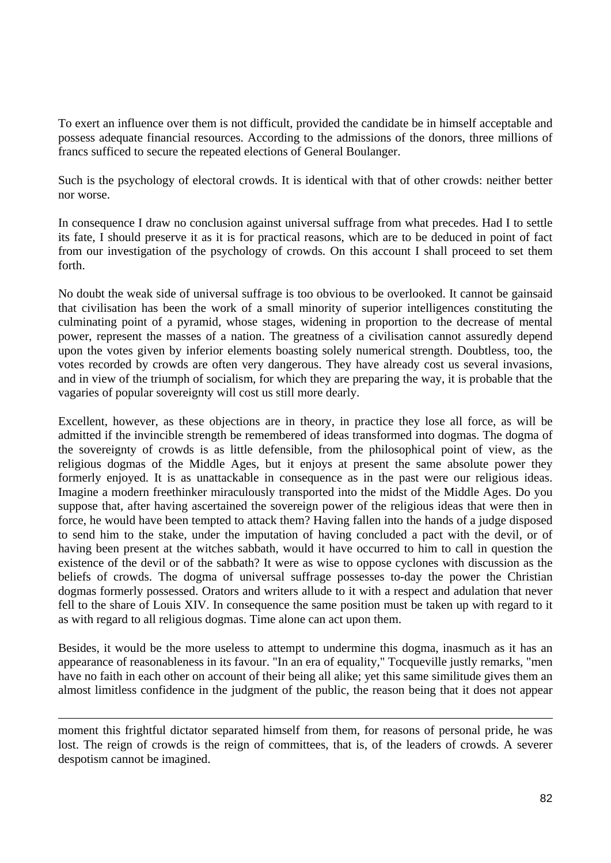To exert an influence over them is not difficult, provided the candidate be in himself acceptable and possess adequate financial resources. According to the admissions of the donors, three millions of francs sufficed to secure the repeated elections of General Boulanger.

Such is the psychology of electoral crowds. It is identical with that of other crowds: neither better nor worse.

In consequence I draw no conclusion against universal suffrage from what precedes. Had I to settle its fate, I should preserve it as it is for practical reasons, which are to be deduced in point of fact from our investigation of the psychology of crowds. On this account I shall proceed to set them forth.

No doubt the weak side of universal suffrage is too obvious to be overlooked. It cannot be gainsaid that civilisation has been the work of a small minority of superior intelligences constituting the culminating point of a pyramid, whose stages, widening in proportion to the decrease of mental power, represent the masses of a nation. The greatness of a civilisation cannot assuredly depend upon the votes given by inferior elements boasting solely numerical strength. Doubtless, too, the votes recorded by crowds are often very dangerous. They have already cost us several invasions, and in view of the triumph of socialism, for which they are preparing the way, it is probable that the vagaries of popular sovereignty will cost us still more dearly.

Excellent, however, as these objections are in theory, in practice they lose all force, as will be admitted if the invincible strength be remembered of ideas transformed into dogmas. The dogma of the sovereignty of crowds is as little defensible, from the philosophical point of view, as the religious dogmas of the Middle Ages, but it enjoys at present the same absolute power they formerly enjoyed. It is as unattackable in consequence as in the past were our religious ideas. Imagine a modern freethinker miraculously transported into the midst of the Middle Ages. Do you suppose that, after having ascertained the sovereign power of the religious ideas that were then in force, he would have been tempted to attack them? Having fallen into the hands of a judge disposed to send him to the stake, under the imputation of having concluded a pact with the devil, or of having been present at the witches sabbath, would it have occurred to him to call in question the existence of the devil or of the sabbath? It were as wise to oppose cyclones with discussion as the beliefs of crowds. The dogma of universal suffrage possesses to-day the power the Christian dogmas formerly possessed. Orators and writers allude to it with a respect and adulation that never fell to the share of Louis XIV. In consequence the same position must be taken up with regard to it as with regard to all religious dogmas. Time alone can act upon them.

Besides, it would be the more useless to attempt to undermine this dogma, inasmuch as it has an appearance of reasonableness in its favour. "In an era of equality," Tocqueville justly remarks, "men have no faith in each other on account of their being all alike; yet this same similitude gives them an almost limitless confidence in the judgment of the public, the reason being that it does not appear

moment this frightful dictator separated himself from them, for reasons of personal pride, he was lost. The reign of crowds is the reign of committees, that is, of the leaders of crowds. A severer despotism cannot be imagined.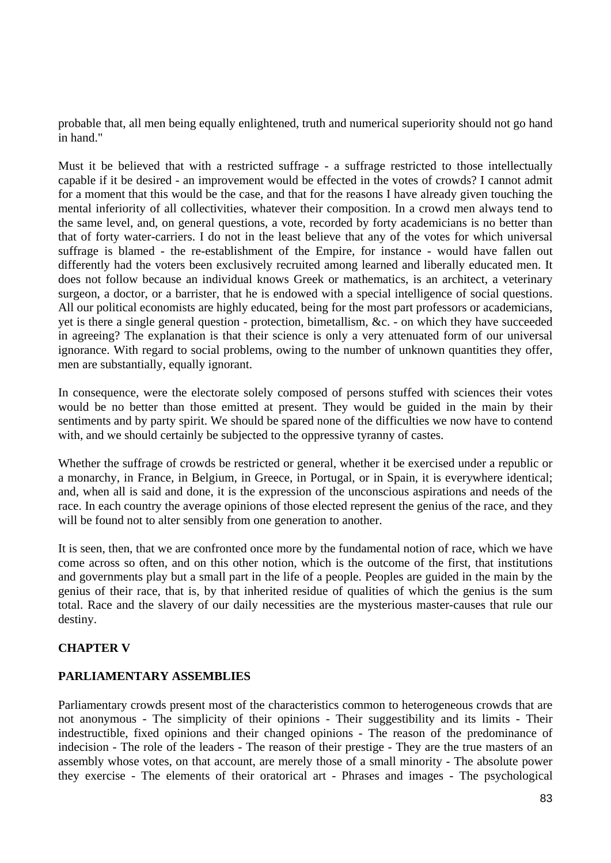probable that, all men being equally enlightened, truth and numerical superiority should not go hand in hand."

Must it be believed that with a restricted suffrage - a suffrage restricted to those intellectually capable if it be desired - an improvement would be effected in the votes of crowds? I cannot admit for a moment that this would be the case, and that for the reasons I have already given touching the mental inferiority of all collectivities, whatever their composition. In a crowd men always tend to the same level, and, on general questions, a vote, recorded by forty academicians is no better than that of forty water-carriers. I do not in the least believe that any of the votes for which universal suffrage is blamed - the re-establishment of the Empire, for instance - would have fallen out differently had the voters been exclusively recruited among learned and liberally educated men. It does not follow because an individual knows Greek or mathematics, is an architect, a veterinary surgeon, a doctor, or a barrister, that he is endowed with a special intelligence of social questions. All our political economists are highly educated, being for the most part professors or academicians, yet is there a single general question - protection, bimetallism, &c. - on which they have succeeded in agreeing? The explanation is that their science is only a very attenuated form of our universal ignorance. With regard to social problems, owing to the number of unknown quantities they offer, men are substantially, equally ignorant.

In consequence, were the electorate solely composed of persons stuffed with sciences their votes would be no better than those emitted at present. They would be guided in the main by their sentiments and by party spirit. We should be spared none of the difficulties we now have to contend with, and we should certainly be subjected to the oppressive tyranny of castes.

Whether the suffrage of crowds be restricted or general, whether it be exercised under a republic or a monarchy, in France, in Belgium, in Greece, in Portugal, or in Spain, it is everywhere identical; and, when all is said and done, it is the expression of the unconscious aspirations and needs of the race. In each country the average opinions of those elected represent the genius of the race, and they will be found not to alter sensibly from one generation to another.

It is seen, then, that we are confronted once more by the fundamental notion of race, which we have come across so often, and on this other notion, which is the outcome of the first, that institutions and governments play but a small part in the life of a people. Peoples are guided in the main by the genius of their race, that is, by that inherited residue of qualities of which the genius is the sum total. Race and the slavery of our daily necessities are the mysterious master-causes that rule our destiny.

## **CHAPTER V**

## **PARLIAMENTARY ASSEMBLIES**

Parliamentary crowds present most of the characteristics common to heterogeneous crowds that are not anonymous - The simplicity of their opinions - Their suggestibility and its limits - Their indestructible, fixed opinions and their changed opinions - The reason of the predominance of indecision - The role of the leaders - The reason of their prestige - They are the true masters of an assembly whose votes, on that account, are merely those of a small minority - The absolute power they exercise - The elements of their oratorical art - Phrases and images - The psychological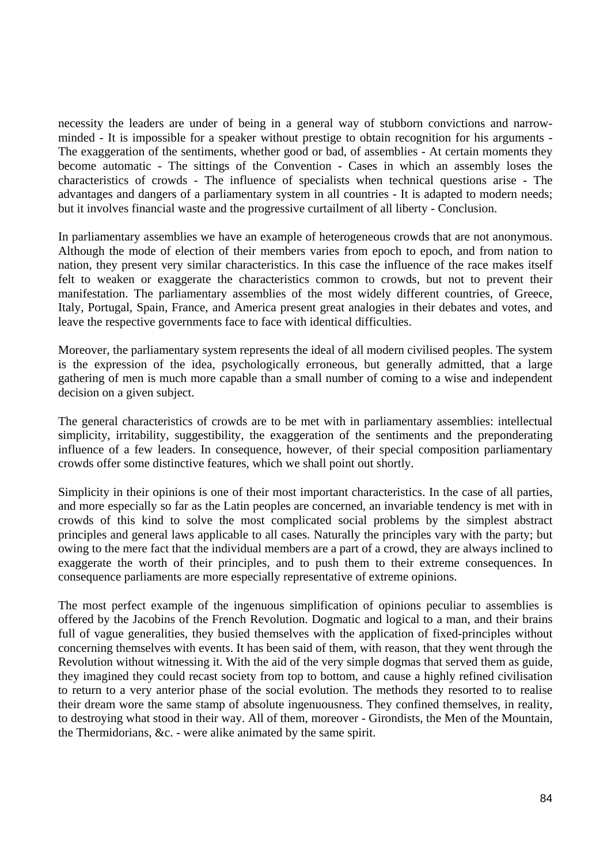necessity the leaders are under of being in a general way of stubborn convictions and narrowminded - It is impossible for a speaker without prestige to obtain recognition for his arguments - The exaggeration of the sentiments, whether good or bad, of assemblies - At certain moments they become automatic - The sittings of the Convention - Cases in which an assembly loses the characteristics of crowds - The influence of specialists when technical questions arise - The advantages and dangers of a parliamentary system in all countries - It is adapted to modern needs; but it involves financial waste and the progressive curtailment of all liberty - Conclusion.

In parliamentary assemblies we have an example of heterogeneous crowds that are not anonymous. Although the mode of election of their members varies from epoch to epoch, and from nation to nation, they present very similar characteristics. In this case the influence of the race makes itself felt to weaken or exaggerate the characteristics common to crowds, but not to prevent their manifestation. The parliamentary assemblies of the most widely different countries, of Greece, Italy, Portugal, Spain, France, and America present great analogies in their debates and votes, and leave the respective governments face to face with identical difficulties.

Moreover, the parliamentary system represents the ideal of all modern civilised peoples. The system is the expression of the idea, psychologically erroneous, but generally admitted, that a large gathering of men is much more capable than a small number of coming to a wise and independent decision on a given subject.

The general characteristics of crowds are to be met with in parliamentary assemblies: intellectual simplicity, irritability, suggestibility, the exaggeration of the sentiments and the preponderating influence of a few leaders. In consequence, however, of their special composition parliamentary crowds offer some distinctive features, which we shall point out shortly.

Simplicity in their opinions is one of their most important characteristics. In the case of all parties, and more especially so far as the Latin peoples are concerned, an invariable tendency is met with in crowds of this kind to solve the most complicated social problems by the simplest abstract principles and general laws applicable to all cases. Naturally the principles vary with the party; but owing to the mere fact that the individual members are a part of a crowd, they are always inclined to exaggerate the worth of their principles, and to push them to their extreme consequences. In consequence parliaments are more especially representative of extreme opinions.

The most perfect example of the ingenuous simplification of opinions peculiar to assemblies is offered by the Jacobins of the French Revolution. Dogmatic and logical to a man, and their brains full of vague generalities, they busied themselves with the application of fixed-principles without concerning themselves with events. It has been said of them, with reason, that they went through the Revolution without witnessing it. With the aid of the very simple dogmas that served them as guide, they imagined they could recast society from top to bottom, and cause a highly refined civilisation to return to a very anterior phase of the social evolution. The methods they resorted to to realise their dream wore the same stamp of absolute ingenuousness. They confined themselves, in reality, to destroying what stood in their way. All of them, moreover - Girondists, the Men of the Mountain, the Thermidorians, &c. - were alike animated by the same spirit.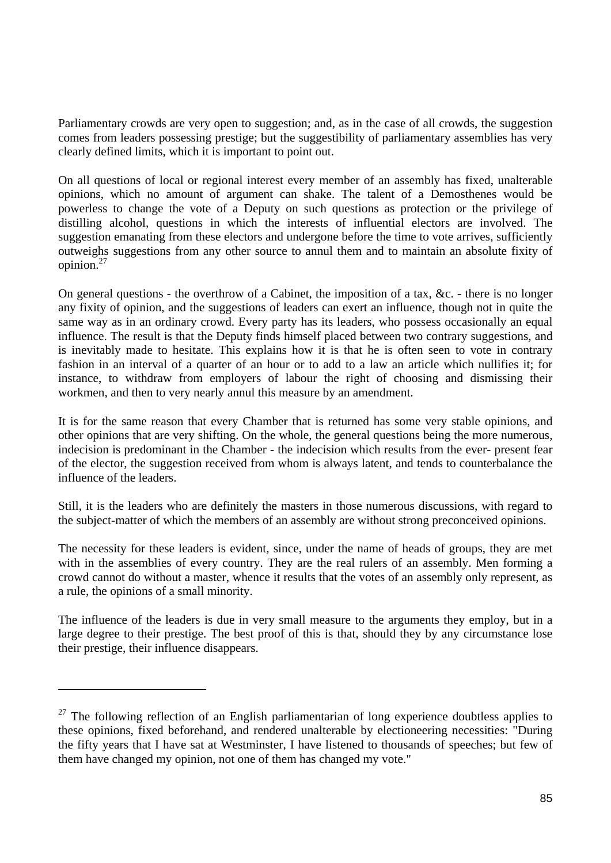Parliamentary crowds are very open to suggestion; and, as in the case of all crowds, the suggestion comes from leaders possessing prestige; but the suggestibility of parliamentary assemblies has very clearly defined limits, which it is important to point out.

On all questions of local or regional interest every member of an assembly has fixed, unalterable opinions, which no amount of argument can shake. The talent of a Demosthenes would be powerless to change the vote of a Deputy on such questions as protection or the privilege of distilling alcohol, questions in which the interests of influential electors are involved. The suggestion emanating from these electors and undergone before the time to vote arrives, sufficiently outweighs suggestions from any other source to annul them and to maintain an absolute fixity of opinion.27

On general questions - the overthrow of a Cabinet, the imposition of a tax, &c. - there is no longer any fixity of opinion, and the suggestions of leaders can exert an influence, though not in quite the same way as in an ordinary crowd. Every party has its leaders, who possess occasionally an equal influence. The result is that the Deputy finds himself placed between two contrary suggestions, and is inevitably made to hesitate. This explains how it is that he is often seen to vote in contrary fashion in an interval of a quarter of an hour or to add to a law an article which nullifies it; for instance, to withdraw from employers of labour the right of choosing and dismissing their workmen, and then to very nearly annul this measure by an amendment.

It is for the same reason that every Chamber that is returned has some very stable opinions, and other opinions that are very shifting. On the whole, the general questions being the more numerous, indecision is predominant in the Chamber - the indecision which results from the ever- present fear of the elector, the suggestion received from whom is always latent, and tends to counterbalance the influence of the leaders.

Still, it is the leaders who are definitely the masters in those numerous discussions, with regard to the subject-matter of which the members of an assembly are without strong preconceived opinions.

The necessity for these leaders is evident, since, under the name of heads of groups, they are met with in the assemblies of every country. They are the real rulers of an assembly. Men forming a crowd cannot do without a master, whence it results that the votes of an assembly only represent, as a rule, the opinions of a small minority.

The influence of the leaders is due in very small measure to the arguments they employ, but in a large degree to their prestige. The best proof of this is that, should they by any circumstance lose their prestige, their influence disappears.

 $\overline{a}$ 

 $27$  The following reflection of an English parliamentarian of long experience doubtless applies to these opinions, fixed beforehand, and rendered unalterable by electioneering necessities: "During the fifty years that I have sat at Westminster, I have listened to thousands of speeches; but few of them have changed my opinion, not one of them has changed my vote."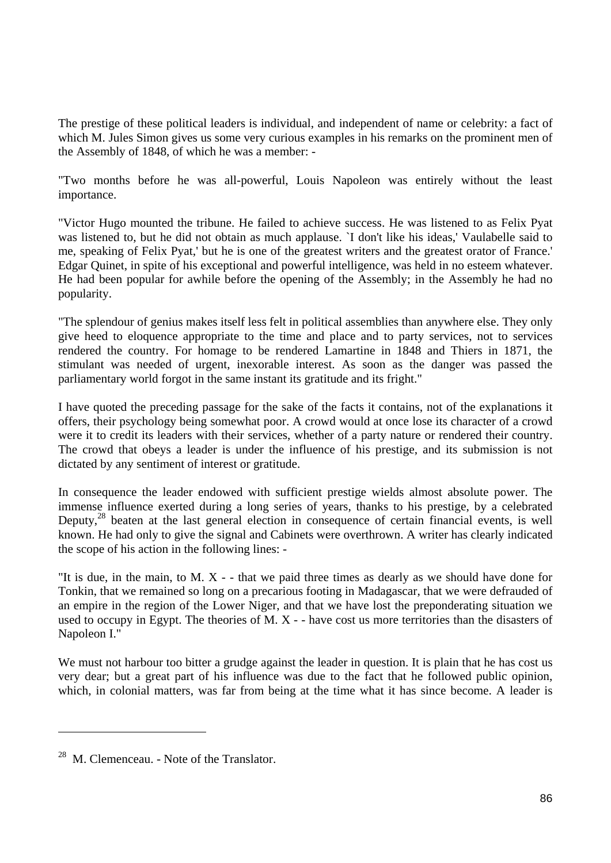The prestige of these political leaders is individual, and independent of name or celebrity: a fact of which M. Jules Simon gives us some very curious examples in his remarks on the prominent men of the Assembly of 1848, of which he was a member: -

"Two months before he was all-powerful, Louis Napoleon was entirely without the least importance.

"Victor Hugo mounted the tribune. He failed to achieve success. He was listened to as Felix Pyat was listened to, but he did not obtain as much applause. `I don't like his ideas,' Vaulabelle said to me, speaking of Felix Pyat,' but he is one of the greatest writers and the greatest orator of France.' Edgar Quinet, in spite of his exceptional and powerful intelligence, was held in no esteem whatever. He had been popular for awhile before the opening of the Assembly; in the Assembly he had no popularity.

"The splendour of genius makes itself less felt in political assemblies than anywhere else. They only give heed to eloquence appropriate to the time and place and to party services, not to services rendered the country. For homage to be rendered Lamartine in 1848 and Thiers in 1871, the stimulant was needed of urgent, inexorable interest. As soon as the danger was passed the parliamentary world forgot in the same instant its gratitude and its fright."

I have quoted the preceding passage for the sake of the facts it contains, not of the explanations it offers, their psychology being somewhat poor. A crowd would at once lose its character of a crowd were it to credit its leaders with their services, whether of a party nature or rendered their country. The crowd that obeys a leader is under the influence of his prestige, and its submission is not dictated by any sentiment of interest or gratitude.

In consequence the leader endowed with sufficient prestige wields almost absolute power. The immense influence exerted during a long series of years, thanks to his prestige, by a celebrated Deputy, $^{28}$  beaten at the last general election in consequence of certain financial events, is well known. He had only to give the signal and Cabinets were overthrown. A writer has clearly indicated the scope of his action in the following lines: -

"It is due, in the main, to M. X - - that we paid three times as dearly as we should have done for Tonkin, that we remained so long on a precarious footing in Madagascar, that we were defrauded of an empire in the region of the Lower Niger, and that we have lost the preponderating situation we used to occupy in Egypt. The theories of M. X - - have cost us more territories than the disasters of Napoleon I."

We must not harbour too bitter a grudge against the leader in question. It is plain that he has cost us very dear; but a great part of his influence was due to the fact that he followed public opinion, which, in colonial matters, was far from being at the time what it has since become. A leader is

 $28$  M. Clemenceau. - Note of the Translator.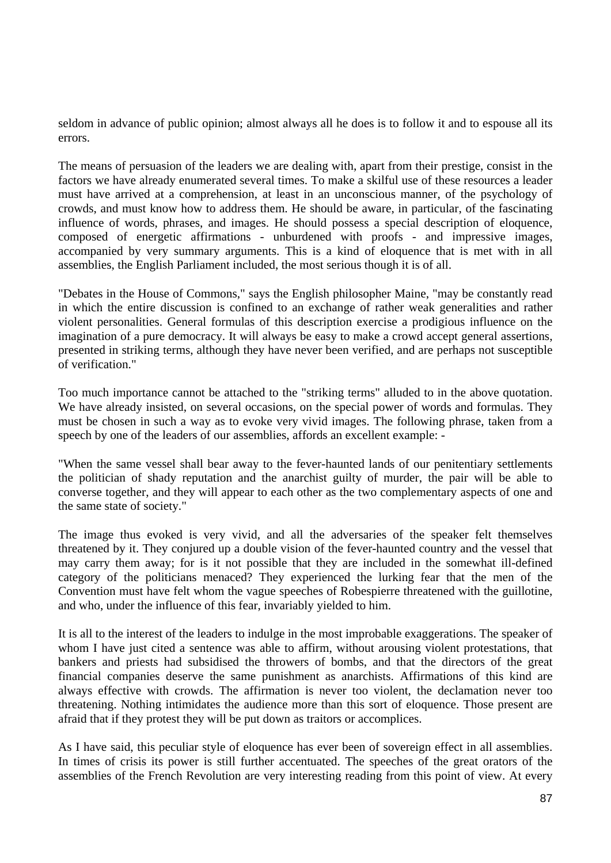seldom in advance of public opinion; almost always all he does is to follow it and to espouse all its errors.

The means of persuasion of the leaders we are dealing with, apart from their prestige, consist in the factors we have already enumerated several times. To make a skilful use of these resources a leader must have arrived at a comprehension, at least in an unconscious manner, of the psychology of crowds, and must know how to address them. He should be aware, in particular, of the fascinating influence of words, phrases, and images. He should possess a special description of eloquence, composed of energetic affirmations - unburdened with proofs - and impressive images, accompanied by very summary arguments. This is a kind of eloquence that is met with in all assemblies, the English Parliament included, the most serious though it is of all.

"Debates in the House of Commons," says the English philosopher Maine, "may be constantly read in which the entire discussion is confined to an exchange of rather weak generalities and rather violent personalities. General formulas of this description exercise a prodigious influence on the imagination of a pure democracy. It will always be easy to make a crowd accept general assertions, presented in striking terms, although they have never been verified, and are perhaps not susceptible of verification."

Too much importance cannot be attached to the "striking terms" alluded to in the above quotation. We have already insisted, on several occasions, on the special power of words and formulas. They must be chosen in such a way as to evoke very vivid images. The following phrase, taken from a speech by one of the leaders of our assemblies, affords an excellent example: -

"When the same vessel shall bear away to the fever-haunted lands of our penitentiary settlements the politician of shady reputation and the anarchist guilty of murder, the pair will be able to converse together, and they will appear to each other as the two complementary aspects of one and the same state of society."

The image thus evoked is very vivid, and all the adversaries of the speaker felt themselves threatened by it. They conjured up a double vision of the fever-haunted country and the vessel that may carry them away; for is it not possible that they are included in the somewhat ill-defined category of the politicians menaced? They experienced the lurking fear that the men of the Convention must have felt whom the vague speeches of Robespierre threatened with the guillotine, and who, under the influence of this fear, invariably yielded to him.

It is all to the interest of the leaders to indulge in the most improbable exaggerations. The speaker of whom I have just cited a sentence was able to affirm, without arousing violent protestations, that bankers and priests had subsidised the throwers of bombs, and that the directors of the great financial companies deserve the same punishment as anarchists. Affirmations of this kind are always effective with crowds. The affirmation is never too violent, the declamation never too threatening. Nothing intimidates the audience more than this sort of eloquence. Those present are afraid that if they protest they will be put down as traitors or accomplices.

As I have said, this peculiar style of eloquence has ever been of sovereign effect in all assemblies. In times of crisis its power is still further accentuated. The speeches of the great orators of the assemblies of the French Revolution are very interesting reading from this point of view. At every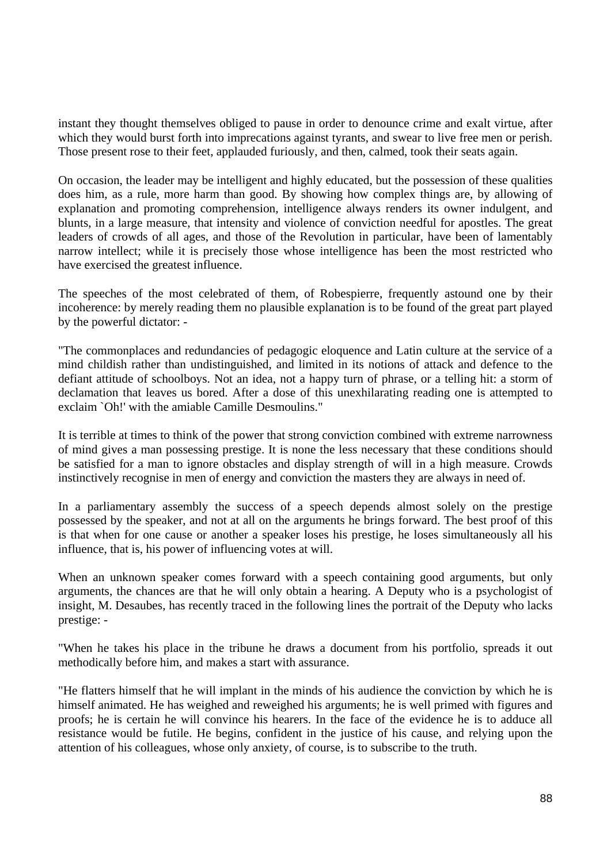instant they thought themselves obliged to pause in order to denounce crime and exalt virtue, after which they would burst forth into imprecations against tyrants, and swear to live free men or perish. Those present rose to their feet, applauded furiously, and then, calmed, took their seats again.

On occasion, the leader may be intelligent and highly educated, but the possession of these qualities does him, as a rule, more harm than good. By showing how complex things are, by allowing of explanation and promoting comprehension, intelligence always renders its owner indulgent, and blunts, in a large measure, that intensity and violence of conviction needful for apostles. The great leaders of crowds of all ages, and those of the Revolution in particular, have been of lamentably narrow intellect; while it is precisely those whose intelligence has been the most restricted who have exercised the greatest influence.

The speeches of the most celebrated of them, of Robespierre, frequently astound one by their incoherence: by merely reading them no plausible explanation is to be found of the great part played by the powerful dictator: -

"The commonplaces and redundancies of pedagogic eloquence and Latin culture at the service of a mind childish rather than undistinguished, and limited in its notions of attack and defence to the defiant attitude of schoolboys. Not an idea, not a happy turn of phrase, or a telling hit: a storm of declamation that leaves us bored. After a dose of this unexhilarating reading one is attempted to exclaim `Oh!' with the amiable Camille Desmoulins."

It is terrible at times to think of the power that strong conviction combined with extreme narrowness of mind gives a man possessing prestige. It is none the less necessary that these conditions should be satisfied for a man to ignore obstacles and display strength of will in a high measure. Crowds instinctively recognise in men of energy and conviction the masters they are always in need of.

In a parliamentary assembly the success of a speech depends almost solely on the prestige possessed by the speaker, and not at all on the arguments he brings forward. The best proof of this is that when for one cause or another a speaker loses his prestige, he loses simultaneously all his influence, that is, his power of influencing votes at will.

When an unknown speaker comes forward with a speech containing good arguments, but only arguments, the chances are that he will only obtain a hearing. A Deputy who is a psychologist of insight, M. Desaubes, has recently traced in the following lines the portrait of the Deputy who lacks prestige: -

"When he takes his place in the tribune he draws a document from his portfolio, spreads it out methodically before him, and makes a start with assurance.

"He flatters himself that he will implant in the minds of his audience the conviction by which he is himself animated. He has weighed and reweighed his arguments; he is well primed with figures and proofs; he is certain he will convince his hearers. In the face of the evidence he is to adduce all resistance would be futile. He begins, confident in the justice of his cause, and relying upon the attention of his colleagues, whose only anxiety, of course, is to subscribe to the truth.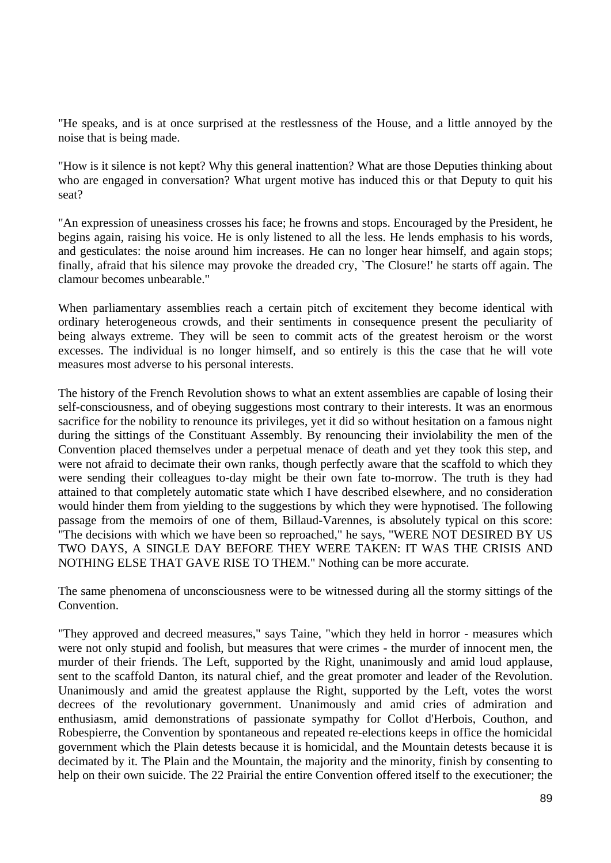"He speaks, and is at once surprised at the restlessness of the House, and a little annoyed by the noise that is being made.

"How is it silence is not kept? Why this general inattention? What are those Deputies thinking about who are engaged in conversation? What urgent motive has induced this or that Deputy to quit his seat?

"An expression of uneasiness crosses his face; he frowns and stops. Encouraged by the President, he begins again, raising his voice. He is only listened to all the less. He lends emphasis to his words, and gesticulates: the noise around him increases. He can no longer hear himself, and again stops; finally, afraid that his silence may provoke the dreaded cry, `The Closure!' he starts off again. The clamour becomes unbearable."

When parliamentary assemblies reach a certain pitch of excitement they become identical with ordinary heterogeneous crowds, and their sentiments in consequence present the peculiarity of being always extreme. They will be seen to commit acts of the greatest heroism or the worst excesses. The individual is no longer himself, and so entirely is this the case that he will vote measures most adverse to his personal interests.

The history of the French Revolution shows to what an extent assemblies are capable of losing their self-consciousness, and of obeying suggestions most contrary to their interests. It was an enormous sacrifice for the nobility to renounce its privileges, yet it did so without hesitation on a famous night during the sittings of the Constituant Assembly. By renouncing their inviolability the men of the Convention placed themselves under a perpetual menace of death and yet they took this step, and were not afraid to decimate their own ranks, though perfectly aware that the scaffold to which they were sending their colleagues to-day might be their own fate to-morrow. The truth is they had attained to that completely automatic state which I have described elsewhere, and no consideration would hinder them from yielding to the suggestions by which they were hypnotised. The following passage from the memoirs of one of them, Billaud-Varennes, is absolutely typical on this score: "The decisions with which we have been so reproached," he says, "WERE NOT DESIRED BY US TWO DAYS, A SINGLE DAY BEFORE THEY WERE TAKEN: IT WAS THE CRISIS AND NOTHING ELSE THAT GAVE RISE TO THEM." Nothing can be more accurate.

The same phenomena of unconsciousness were to be witnessed during all the stormy sittings of the Convention.

"They approved and decreed measures," says Taine, "which they held in horror - measures which were not only stupid and foolish, but measures that were crimes - the murder of innocent men, the murder of their friends. The Left, supported by the Right, unanimously and amid loud applause, sent to the scaffold Danton, its natural chief, and the great promoter and leader of the Revolution. Unanimously and amid the greatest applause the Right, supported by the Left, votes the worst decrees of the revolutionary government. Unanimously and amid cries of admiration and enthusiasm, amid demonstrations of passionate sympathy for Collot d'Herbois, Couthon, and Robespierre, the Convention by spontaneous and repeated re-elections keeps in office the homicidal government which the Plain detests because it is homicidal, and the Mountain detests because it is decimated by it. The Plain and the Mountain, the majority and the minority, finish by consenting to help on their own suicide. The 22 Prairial the entire Convention offered itself to the executioner; the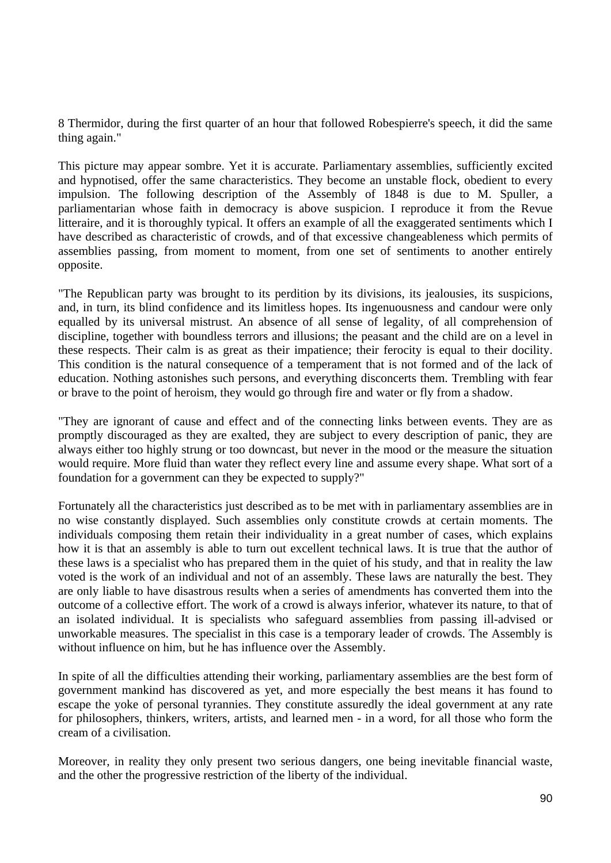8 Thermidor, during the first quarter of an hour that followed Robespierre's speech, it did the same thing again."

This picture may appear sombre. Yet it is accurate. Parliamentary assemblies, sufficiently excited and hypnotised, offer the same characteristics. They become an unstable flock, obedient to every impulsion. The following description of the Assembly of 1848 is due to M. Spuller, a parliamentarian whose faith in democracy is above suspicion. I reproduce it from the Revue litteraire, and it is thoroughly typical. It offers an example of all the exaggerated sentiments which I have described as characteristic of crowds, and of that excessive changeableness which permits of assemblies passing, from moment to moment, from one set of sentiments to another entirely opposite.

"The Republican party was brought to its perdition by its divisions, its jealousies, its suspicions, and, in turn, its blind confidence and its limitless hopes. Its ingenuousness and candour were only equalled by its universal mistrust. An absence of all sense of legality, of all comprehension of discipline, together with boundless terrors and illusions; the peasant and the child are on a level in these respects. Their calm is as great as their impatience; their ferocity is equal to their docility. This condition is the natural consequence of a temperament that is not formed and of the lack of education. Nothing astonishes such persons, and everything disconcerts them. Trembling with fear or brave to the point of heroism, they would go through fire and water or fly from a shadow.

"They are ignorant of cause and effect and of the connecting links between events. They are as promptly discouraged as they are exalted, they are subject to every description of panic, they are always either too highly strung or too downcast, but never in the mood or the measure the situation would require. More fluid than water they reflect every line and assume every shape. What sort of a foundation for a government can they be expected to supply?"

Fortunately all the characteristics just described as to be met with in parliamentary assemblies are in no wise constantly displayed. Such assemblies only constitute crowds at certain moments. The individuals composing them retain their individuality in a great number of cases, which explains how it is that an assembly is able to turn out excellent technical laws. It is true that the author of these laws is a specialist who has prepared them in the quiet of his study, and that in reality the law voted is the work of an individual and not of an assembly. These laws are naturally the best. They are only liable to have disastrous results when a series of amendments has converted them into the outcome of a collective effort. The work of a crowd is always inferior, whatever its nature, to that of an isolated individual. It is specialists who safeguard assemblies from passing ill-advised or unworkable measures. The specialist in this case is a temporary leader of crowds. The Assembly is without influence on him, but he has influence over the Assembly.

In spite of all the difficulties attending their working, parliamentary assemblies are the best form of government mankind has discovered as yet, and more especially the best means it has found to escape the yoke of personal tyrannies. They constitute assuredly the ideal government at any rate for philosophers, thinkers, writers, artists, and learned men - in a word, for all those who form the cream of a civilisation.

Moreover, in reality they only present two serious dangers, one being inevitable financial waste, and the other the progressive restriction of the liberty of the individual.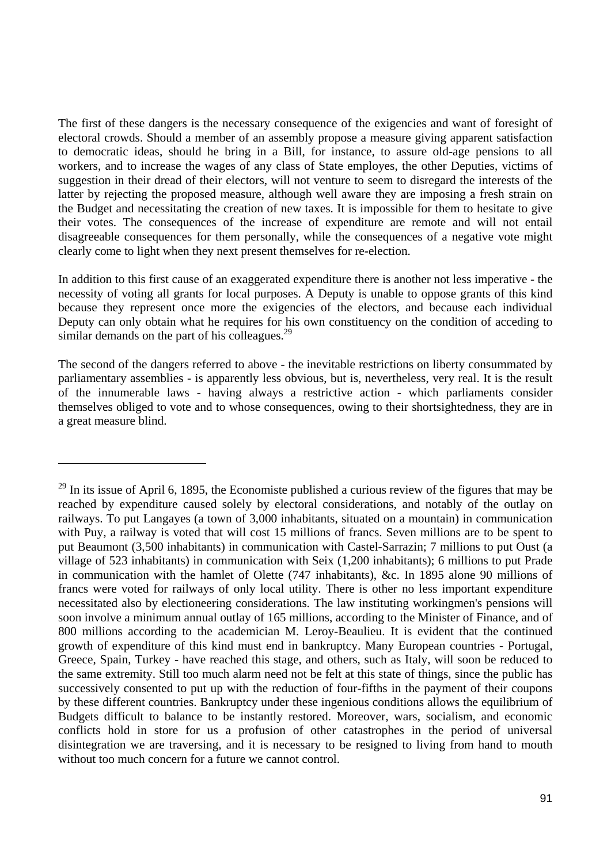The first of these dangers is the necessary consequence of the exigencies and want of foresight of electoral crowds. Should a member of an assembly propose a measure giving apparent satisfaction to democratic ideas, should he bring in a Bill, for instance, to assure old-age pensions to all workers, and to increase the wages of any class of State employes, the other Deputies, victims of suggestion in their dread of their electors, will not venture to seem to disregard the interests of the latter by rejecting the proposed measure, although well aware they are imposing a fresh strain on the Budget and necessitating the creation of new taxes. It is impossible for them to hesitate to give their votes. The consequences of the increase of expenditure are remote and will not entail disagreeable consequences for them personally, while the consequences of a negative vote might clearly come to light when they next present themselves for re-election.

In addition to this first cause of an exaggerated expenditure there is another not less imperative - the necessity of voting all grants for local purposes. A Deputy is unable to oppose grants of this kind because they represent once more the exigencies of the electors, and because each individual Deputy can only obtain what he requires for his own constituency on the condition of acceding to similar demands on the part of his colleagues. $^{29}$ 

The second of the dangers referred to above - the inevitable restrictions on liberty consummated by parliamentary assemblies - is apparently less obvious, but is, nevertheless, very real. It is the result of the innumerable laws - having always a restrictive action - which parliaments consider themselves obliged to vote and to whose consequences, owing to their shortsightedness, they are in a great measure blind.

 $\overline{a}$ 

 $^{29}$  In its issue of April 6, 1895, the Economiste published a curious review of the figures that may be reached by expenditure caused solely by electoral considerations, and notably of the outlay on railways. To put Langayes (a town of 3,000 inhabitants, situated on a mountain) in communication with Puy, a railway is voted that will cost 15 millions of francs. Seven millions are to be spent to put Beaumont (3,500 inhabitants) in communication with Castel-Sarrazin; 7 millions to put Oust (a village of 523 inhabitants) in communication with Seix (1,200 inhabitants); 6 millions to put Prade in communication with the hamlet of Olette (747 inhabitants), &c. In 1895 alone 90 millions of francs were voted for railways of only local utility. There is other no less important expenditure necessitated also by electioneering considerations. The law instituting workingmen's pensions will soon involve a minimum annual outlay of 165 millions, according to the Minister of Finance, and of 800 millions according to the academician M. Leroy-Beaulieu. It is evident that the continued growth of expenditure of this kind must end in bankruptcy. Many European countries - Portugal, Greece, Spain, Turkey - have reached this stage, and others, such as Italy, will soon be reduced to the same extremity. Still too much alarm need not be felt at this state of things, since the public has successively consented to put up with the reduction of four-fifths in the payment of their coupons by these different countries. Bankruptcy under these ingenious conditions allows the equilibrium of Budgets difficult to balance to be instantly restored. Moreover, wars, socialism, and economic conflicts hold in store for us a profusion of other catastrophes in the period of universal disintegration we are traversing, and it is necessary to be resigned to living from hand to mouth without too much concern for a future we cannot control.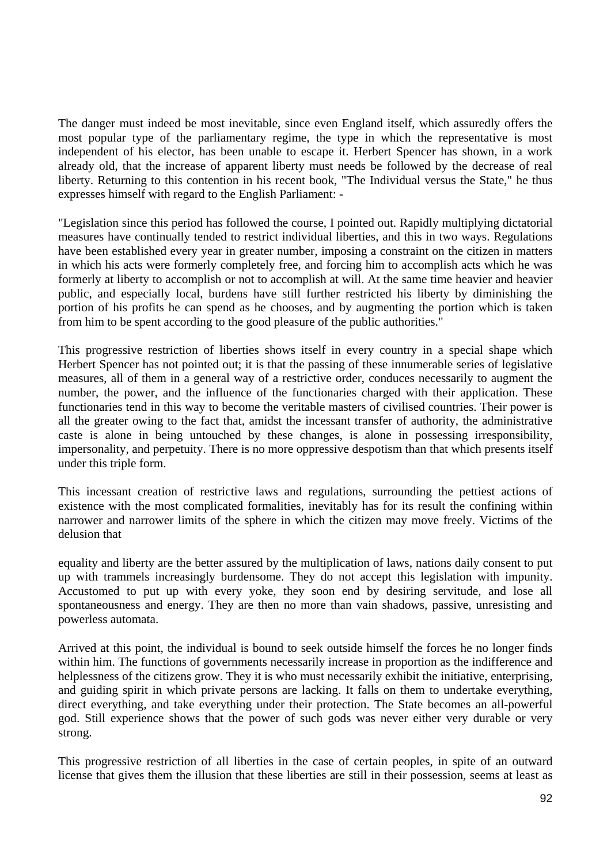The danger must indeed be most inevitable, since even England itself, which assuredly offers the most popular type of the parliamentary regime, the type in which the representative is most independent of his elector, has been unable to escape it. Herbert Spencer has shown, in a work already old, that the increase of apparent liberty must needs be followed by the decrease of real liberty. Returning to this contention in his recent book, "The Individual versus the State," he thus expresses himself with regard to the English Parliament: -

"Legislation since this period has followed the course, I pointed out. Rapidly multiplying dictatorial measures have continually tended to restrict individual liberties, and this in two ways. Regulations have been established every year in greater number, imposing a constraint on the citizen in matters in which his acts were formerly completely free, and forcing him to accomplish acts which he was formerly at liberty to accomplish or not to accomplish at will. At the same time heavier and heavier public, and especially local, burdens have still further restricted his liberty by diminishing the portion of his profits he can spend as he chooses, and by augmenting the portion which is taken from him to be spent according to the good pleasure of the public authorities."

This progressive restriction of liberties shows itself in every country in a special shape which Herbert Spencer has not pointed out; it is that the passing of these innumerable series of legislative measures, all of them in a general way of a restrictive order, conduces necessarily to augment the number, the power, and the influence of the functionaries charged with their application. These functionaries tend in this way to become the veritable masters of civilised countries. Their power is all the greater owing to the fact that, amidst the incessant transfer of authority, the administrative caste is alone in being untouched by these changes, is alone in possessing irresponsibility, impersonality, and perpetuity. There is no more oppressive despotism than that which presents itself under this triple form.

This incessant creation of restrictive laws and regulations, surrounding the pettiest actions of existence with the most complicated formalities, inevitably has for its result the confining within narrower and narrower limits of the sphere in which the citizen may move freely. Victims of the delusion that

equality and liberty are the better assured by the multiplication of laws, nations daily consent to put up with trammels increasingly burdensome. They do not accept this legislation with impunity. Accustomed to put up with every yoke, they soon end by desiring servitude, and lose all spontaneousness and energy. They are then no more than vain shadows, passive, unresisting and powerless automata.

Arrived at this point, the individual is bound to seek outside himself the forces he no longer finds within him. The functions of governments necessarily increase in proportion as the indifference and helplessness of the citizens grow. They it is who must necessarily exhibit the initiative, enterprising, and guiding spirit in which private persons are lacking. It falls on them to undertake everything, direct everything, and take everything under their protection. The State becomes an all-powerful god. Still experience shows that the power of such gods was never either very durable or very strong.

This progressive restriction of all liberties in the case of certain peoples, in spite of an outward license that gives them the illusion that these liberties are still in their possession, seems at least as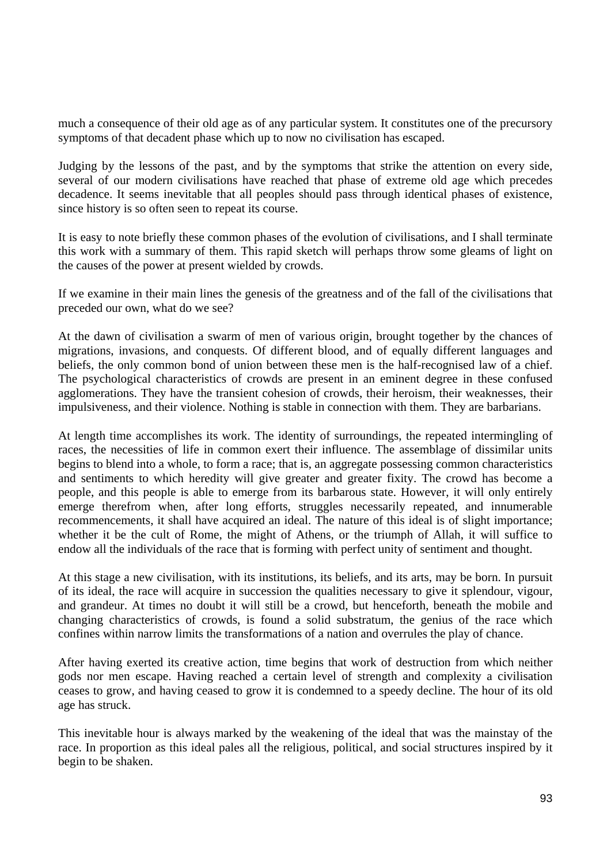much a consequence of their old age as of any particular system. It constitutes one of the precursory symptoms of that decadent phase which up to now no civilisation has escaped.

Judging by the lessons of the past, and by the symptoms that strike the attention on every side, several of our modern civilisations have reached that phase of extreme old age which precedes decadence. It seems inevitable that all peoples should pass through identical phases of existence, since history is so often seen to repeat its course.

It is easy to note briefly these common phases of the evolution of civilisations, and I shall terminate this work with a summary of them. This rapid sketch will perhaps throw some gleams of light on the causes of the power at present wielded by crowds.

If we examine in their main lines the genesis of the greatness and of the fall of the civilisations that preceded our own, what do we see?

At the dawn of civilisation a swarm of men of various origin, brought together by the chances of migrations, invasions, and conquests. Of different blood, and of equally different languages and beliefs, the only common bond of union between these men is the half-recognised law of a chief. The psychological characteristics of crowds are present in an eminent degree in these confused agglomerations. They have the transient cohesion of crowds, their heroism, their weaknesses, their impulsiveness, and their violence. Nothing is stable in connection with them. They are barbarians.

At length time accomplishes its work. The identity of surroundings, the repeated intermingling of races, the necessities of life in common exert their influence. The assemblage of dissimilar units begins to blend into a whole, to form a race; that is, an aggregate possessing common characteristics and sentiments to which heredity will give greater and greater fixity. The crowd has become a people, and this people is able to emerge from its barbarous state. However, it will only entirely emerge therefrom when, after long efforts, struggles necessarily repeated, and innumerable recommencements, it shall have acquired an ideal. The nature of this ideal is of slight importance; whether it be the cult of Rome, the might of Athens, or the triumph of Allah, it will suffice to endow all the individuals of the race that is forming with perfect unity of sentiment and thought.

At this stage a new civilisation, with its institutions, its beliefs, and its arts, may be born. In pursuit of its ideal, the race will acquire in succession the qualities necessary to give it splendour, vigour, and grandeur. At times no doubt it will still be a crowd, but henceforth, beneath the mobile and changing characteristics of crowds, is found a solid substratum, the genius of the race which confines within narrow limits the transformations of a nation and overrules the play of chance.

After having exerted its creative action, time begins that work of destruction from which neither gods nor men escape. Having reached a certain level of strength and complexity a civilisation ceases to grow, and having ceased to grow it is condemned to a speedy decline. The hour of its old age has struck.

This inevitable hour is always marked by the weakening of the ideal that was the mainstay of the race. In proportion as this ideal pales all the religious, political, and social structures inspired by it begin to be shaken.